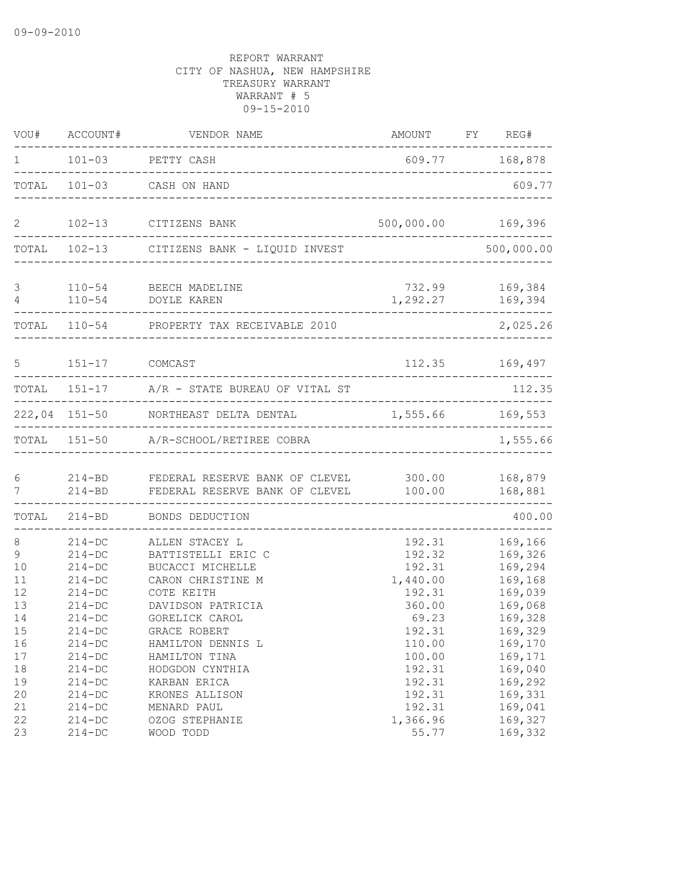| VOU#                       | ACCOUNT#                                                           | VENDOR NAME                                                                                 | AMOUNT FY REG#                                   |                                                     |
|----------------------------|--------------------------------------------------------------------|---------------------------------------------------------------------------------------------|--------------------------------------------------|-----------------------------------------------------|
| $1 \qquad \qquad$          |                                                                    | 101-03 PETTY CASH                                                                           |                                                  | 609.77 168,878                                      |
| TOTAL                      |                                                                    | 101-03 CASH ON HAND                                                                         |                                                  | 609.77                                              |
| $\overline{2}$             |                                                                    | 102-13 CITIZENS BANK                                                                        | 500,000.00                                       | 169,396                                             |
|                            |                                                                    | TOTAL 102-13 CITIZENS BANK - LIQUID INVEST                                                  |                                                  | 500,000.00                                          |
| 3<br>4                     |                                                                    | 110-54 BEECH MADELINE<br>110-54 DOYLE KAREN                                                 | 732.99<br>1,292.27 169,394                       | 169,384                                             |
|                            |                                                                    | TOTAL 110-54 PROPERTY TAX RECEIVABLE 2010                                                   |                                                  | 2,025.26                                            |
| $5^{\circ}$                | 151-17 COMCAST                                                     |                                                                                             |                                                  | 112.35 169,497                                      |
|                            |                                                                    | TOTAL 151-17 A/R - STATE BUREAU OF VITAL ST                                                 |                                                  | 112.35                                              |
|                            |                                                                    | 222,04 151-50 NORTHEAST DELTA DENTAL                                                        | 1,555.66 169,553                                 | ---------------                                     |
|                            |                                                                    | TOTAL 151-50 A/R-SCHOOL/RETIREE COBRA                                                       |                                                  | 1,555.66                                            |
| 6<br>7                     | $214 - BD$                                                         | 214-BD FEDERAL RESERVE BANK OF CLEVEL 300.00 168,879<br>FEDERAL RESERVE BANK OF CLEVEL      | 100.00                                           | 168,881                                             |
| TOTAL                      | $214 - BD$                                                         | BONDS DEDUCTION                                                                             |                                                  | 400.00                                              |
| 8<br>9<br>10<br>11<br>12   | $214 - DC$<br>$214-DC$<br>$214 - DC$<br>$214-DC$<br>$214 - DC$     | ALLEN STACEY L<br>BATTISTELLI ERIC C<br>BUCACCI MICHELLE<br>CARON CHRISTINE M<br>COTE KEITH | 192.31<br>192.32<br>192.31<br>1,440.00<br>192.31 | 169,166<br>169,326<br>169,294<br>169,168<br>169,039 |
| 13<br>14<br>15<br>16<br>17 | $214 - DC$<br>$214-DC$<br>$214 - DC$<br>$214 - DC$<br>$214-DC$     | DAVIDSON PATRICIA<br>GORELICK CAROL<br>GRACE ROBERT<br>HAMILTON DENNIS L<br>HAMILTON TINA   | 360.00<br>69.23<br>192.31<br>110.00<br>100.00    | 169,068<br>169,328<br>169,329<br>169,170<br>169,171 |
| 18<br>19<br>20<br>21<br>22 | $214 - DC$<br>$214 - DC$<br>$214 - DC$<br>$214 - DC$<br>$214 - DC$ | HODGDON CYNTHIA<br>KARBAN ERICA<br>KRONES ALLISON<br>MENARD PAUL<br>OZOG STEPHANIE          | 192.31<br>192.31<br>192.31<br>192.31<br>1,366.96 | 169,040<br>169,292<br>169,331<br>169,041<br>169,327 |
| 23                         | $214-DC$                                                           | WOOD TODD                                                                                   | 55.77                                            | 169,332                                             |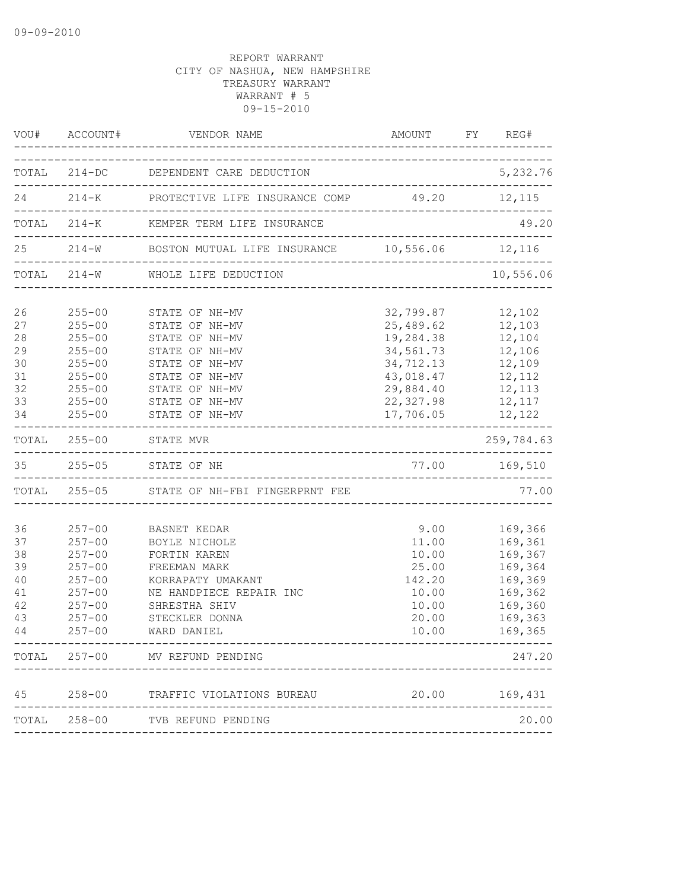|                                                    |                                                                                                                            | VOU# ACCOUNT# VENDOR NAME                                                                                                                                                                         | AMOUNT FY REG#                                                                                                     |                                                                                                           |
|----------------------------------------------------|----------------------------------------------------------------------------------------------------------------------------|---------------------------------------------------------------------------------------------------------------------------------------------------------------------------------------------------|--------------------------------------------------------------------------------------------------------------------|-----------------------------------------------------------------------------------------------------------|
|                                                    |                                                                                                                            | TOTAL 214-DC DEPENDENT CARE DEDUCTION                                                                                                                                                             |                                                                                                                    | 5,232.76                                                                                                  |
|                                                    |                                                                                                                            | 24 214-K PROTECTIVE LIFE INSURANCE COMP 49.20 12,115                                                                                                                                              |                                                                                                                    |                                                                                                           |
|                                                    |                                                                                                                            | TOTAL 214-K KEMPER TERM LIFE INSURANCE                                                                                                                                                            |                                                                                                                    | 49.20                                                                                                     |
|                                                    |                                                                                                                            | 25   214-W   BOSTON MUTUAL LIFE INSURANCE   10,556.06   12,116                                                                                                                                    |                                                                                                                    |                                                                                                           |
|                                                    |                                                                                                                            | TOTAL 214-W WHOLE LIFE DEDUCTION                                                                                                                                                                  |                                                                                                                    | 10,556.06                                                                                                 |
| 26<br>27<br>28<br>29<br>30<br>31<br>32<br>33<br>34 | $255 - 00$<br>$255 - 00$<br>$255 - 00$<br>$255 - 00$<br>$255 - 00$<br>$255 - 00$<br>$255 - 00$<br>$255 - 00$<br>$255 - 00$ | STATE OF NH-MV<br>STATE OF NH-MV<br>STATE OF NH-MV<br>STATE OF NH-MV<br>STATE OF NH-MV<br>STATE OF NH-MV<br>STATE OF NH-MV<br>STATE OF NH-MV<br>STATE OF NH-MV                                    | 32,799.87<br>25,489.62<br>19,284.38<br>34,561.73<br>34,712.13<br>43,018.47<br>29,884.40<br>22, 327.98<br>17,706.05 | 12,102<br>12,103<br>12,104<br>12,106<br>12,109<br>12,112<br>12,113<br>12,117<br>12,122                    |
|                                                    |                                                                                                                            | TOTAL 255-00 STATE MVR                                                                                                                                                                            |                                                                                                                    | . _ _ _ _ _ _ _ _ _ _ _ _ _ _<br>259,784.63                                                               |
|                                                    |                                                                                                                            | 35 255-05 STATE OF NH                                                                                                                                                                             | 77.00 169,510                                                                                                      |                                                                                                           |
|                                                    |                                                                                                                            | TOTAL 255-05 STATE OF NH-FBI FINGERPRNT FEE                                                                                                                                                       |                                                                                                                    | 77.00                                                                                                     |
| 36<br>37<br>38<br>39<br>40<br>41<br>42<br>43<br>44 | $257 - 00$<br>$257 - 00$<br>$257 - 00$<br>$257 - 00$<br>$257 - 00$<br>$257 - 00$<br>$257 - 00$<br>$257 - 00$<br>$257 - 00$ | BASNET KEDAR<br>BOYLE NICHOLE<br>FORTIN KAREN<br>FREEMAN MARK<br>KORRAPATY UMAKANT<br>NE HANDPIECE REPAIR INC<br>SHRESTHA SHIV<br>STECKLER DONNA<br>WARD DANIEL<br>TOTAL 257-00 MV REFUND PENDING | 9.00<br>11.00<br>10.00<br>25.00<br>142.20<br>10.00<br>10.00<br>20.00<br>10.00                                      | 169,366<br>169,361<br>169,367<br>169,364<br>169,369<br>169,362<br>169,360<br>169,363<br>169,365<br>247.20 |
|                                                    |                                                                                                                            |                                                                                                                                                                                                   |                                                                                                                    |                                                                                                           |
|                                                    |                                                                                                                            | 45 258-00 TRAFFIC VIOLATIONS BUREAU                                                                                                                                                               |                                                                                                                    | 20.00 169,431                                                                                             |
|                                                    |                                                                                                                            | TOTAL 258-00 TVB REFUND PENDING                                                                                                                                                                   |                                                                                                                    | 20.00                                                                                                     |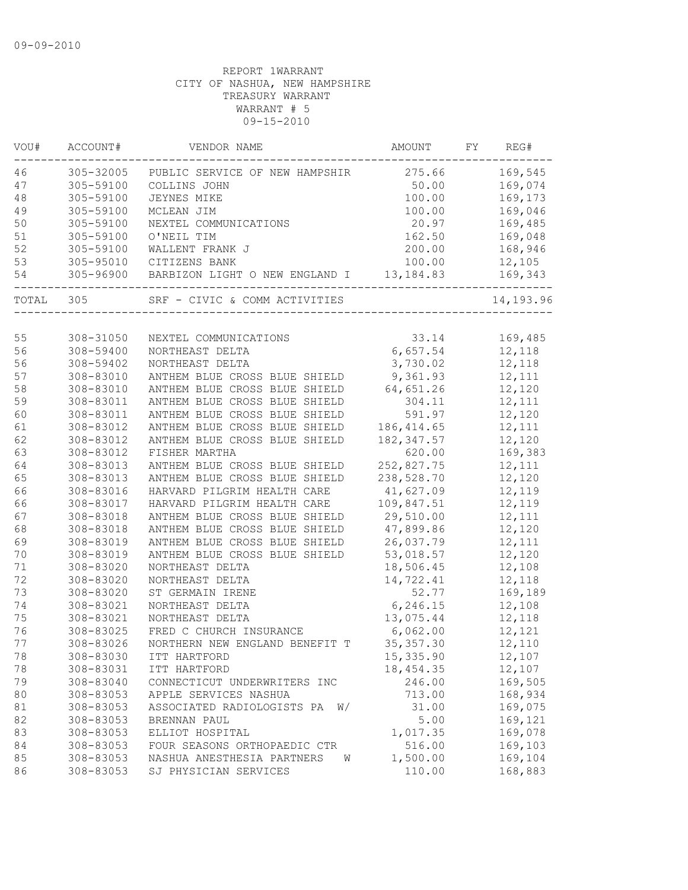| 46<br>305-32005<br>275.66<br>169,545<br>PUBLIC SERVICE OF NEW HAMPSHIR<br>47<br>305-59100<br>50.00<br>169,074<br>COLLINS JOHN<br>$4\,8$<br>305-59100<br>100.00<br>169,173<br><b>JEYNES MIKE</b><br>49<br>305-59100<br>100.00<br>169,046<br>MCLEAN JIM<br>50<br>305-59100<br>20.97<br>169,485<br>NEXTEL COMMUNICATIONS<br>51<br>305-59100<br>O'NEIL TIM<br>162.50<br>169,048<br>52<br>305-59100<br>200.00<br>168,946<br>WALLENT FRANK J<br>100.00<br>12,105<br>305-95010<br>CITIZENS BANK<br>54<br>305-96900<br>BARBIZON LIGHT O NEW ENGLAND I 13,184.83<br>169,343<br>14,193.96<br>305<br>SRF - CIVIC & COMM ACTIVITIES<br>55<br>33.14<br>169,485<br>308-31050<br>NEXTEL COMMUNICATIONS<br>56<br>6,657.54<br>308-59400<br>12,118<br>NORTHEAST DELTA<br>3,730.02<br>12,118<br>56<br>308-59402<br>NORTHEAST DELTA<br>57<br>308-83010<br>ANTHEM BLUE CROSS BLUE SHIELD<br>9,361.93<br>12,111<br>12,120<br>58<br>308-83010<br>64,651.26<br>ANTHEM BLUE CROSS BLUE SHIELD<br>59<br>308-83011<br>304.11<br>12,111<br>ANTHEM BLUE CROSS BLUE SHIELD<br>60<br>308-83011<br>ANTHEM BLUE CROSS BLUE SHIELD<br>591.97<br>12,120<br>ANTHEM BLUE CROSS BLUE SHIELD<br>186, 414.65<br>12,111<br>61<br>308-83012<br>62<br>ANTHEM BLUE CROSS BLUE SHIELD<br>182, 347.57<br>12,120<br>308-83012<br>63<br>308-83012<br>620.00<br>169,383<br>FISHER MARTHA<br>64<br>252,827.75<br>308-83013<br>12,111<br>ANTHEM BLUE CROSS BLUE SHIELD<br>238,528.70<br>65<br>308-83013<br>ANTHEM BLUE CROSS BLUE SHIELD<br>12,120<br>66<br>12,119<br>41,627.09<br>308-83016<br>HARVARD PILGRIM HEALTH CARE<br>12,119<br>66<br>109,847.51<br>308-83017<br>HARVARD PILGRIM HEALTH CARE<br>67<br>308-83018<br>29,510.00<br>12,111<br>ANTHEM BLUE CROSS BLUE SHIELD<br>12,120<br>68<br>308-83018<br>ANTHEM BLUE CROSS BLUE SHIELD<br>47,899.86<br>69<br>308-83019<br>ANTHEM BLUE CROSS BLUE SHIELD<br>26,037.79<br>12,111<br>70<br>308-83019<br>ANTHEM BLUE CROSS BLUE SHIELD<br>53,018.57<br>12,120<br>71<br>18,506.45<br>12,108<br>308-83020<br>NORTHEAST DELTA<br>72<br>308-83020<br>NORTHEAST DELTA<br>14,722.41<br>12,118<br>52.77<br>73<br>308-83020<br>169,189<br>ST GERMAIN IRENE<br>6,246.15<br>308-83021<br>12,108<br>NORTHEAST DELTA<br>12,118<br>308-83021<br>NORTHEAST DELTA<br>13,075.44<br>FRED C CHURCH INSURANCE<br>6,062.00<br>12,121<br>308-83025<br>77<br>308-83026<br>NORTHERN NEW ENGLAND BENEFIT T<br>35, 357.30<br>12,110<br>308-83030<br>15,335.90<br>12,107<br>78<br>ITT HARTFORD<br>78<br>12,107<br>308-83031<br>18, 454.35<br>ITT HARTFORD<br>79<br>246.00<br>308-83040<br>169,505<br>CONNECTICUT UNDERWRITERS INC<br>80<br>308-83053<br>713.00<br>168,934<br>APPLE SERVICES NASHUA<br>169,075<br>81<br>308-83053<br>ASSOCIATED RADIOLOGISTS PA<br>31.00<br>W/<br>169,121<br>82<br>308-83053<br>5.00<br>BRENNAN PAUL<br>169,078<br>83<br>308-83053<br>1,017.35<br>ELLIOT HOSPITAL<br>308-83053<br>516.00<br>169,103<br>84<br>FOUR SEASONS ORTHOPAEDIC CTR<br>85<br>308-83053<br>NASHUA ANESTHESIA PARTNERS<br>1,500.00<br>169,104<br>W<br>168,883<br>86<br>308-83053<br>SJ PHYSICIAN SERVICES<br>110.00 | VOU#  | ACCOUNT# | VENDOR NAME | AMOUNT | FY | REG# |
|-----------------------------------------------------------------------------------------------------------------------------------------------------------------------------------------------------------------------------------------------------------------------------------------------------------------------------------------------------------------------------------------------------------------------------------------------------------------------------------------------------------------------------------------------------------------------------------------------------------------------------------------------------------------------------------------------------------------------------------------------------------------------------------------------------------------------------------------------------------------------------------------------------------------------------------------------------------------------------------------------------------------------------------------------------------------------------------------------------------------------------------------------------------------------------------------------------------------------------------------------------------------------------------------------------------------------------------------------------------------------------------------------------------------------------------------------------------------------------------------------------------------------------------------------------------------------------------------------------------------------------------------------------------------------------------------------------------------------------------------------------------------------------------------------------------------------------------------------------------------------------------------------------------------------------------------------------------------------------------------------------------------------------------------------------------------------------------------------------------------------------------------------------------------------------------------------------------------------------------------------------------------------------------------------------------------------------------------------------------------------------------------------------------------------------------------------------------------------------------------------------------------------------------------------------------------------------------------------------------------------------------------------------------------------------------------------------------------------------------------------------------------------------------------------------------------------------------------------------------------------------------------------------------------------------------------------------------------------------------------------------------------------------------------------------------------------------------------------|-------|----------|-------------|--------|----|------|
|                                                                                                                                                                                                                                                                                                                                                                                                                                                                                                                                                                                                                                                                                                                                                                                                                                                                                                                                                                                                                                                                                                                                                                                                                                                                                                                                                                                                                                                                                                                                                                                                                                                                                                                                                                                                                                                                                                                                                                                                                                                                                                                                                                                                                                                                                                                                                                                                                                                                                                                                                                                                                                                                                                                                                                                                                                                                                                                                                                                                                                                                                               |       |          |             |        |    |      |
|                                                                                                                                                                                                                                                                                                                                                                                                                                                                                                                                                                                                                                                                                                                                                                                                                                                                                                                                                                                                                                                                                                                                                                                                                                                                                                                                                                                                                                                                                                                                                                                                                                                                                                                                                                                                                                                                                                                                                                                                                                                                                                                                                                                                                                                                                                                                                                                                                                                                                                                                                                                                                                                                                                                                                                                                                                                                                                                                                                                                                                                                                               |       |          |             |        |    |      |
|                                                                                                                                                                                                                                                                                                                                                                                                                                                                                                                                                                                                                                                                                                                                                                                                                                                                                                                                                                                                                                                                                                                                                                                                                                                                                                                                                                                                                                                                                                                                                                                                                                                                                                                                                                                                                                                                                                                                                                                                                                                                                                                                                                                                                                                                                                                                                                                                                                                                                                                                                                                                                                                                                                                                                                                                                                                                                                                                                                                                                                                                                               |       |          |             |        |    |      |
|                                                                                                                                                                                                                                                                                                                                                                                                                                                                                                                                                                                                                                                                                                                                                                                                                                                                                                                                                                                                                                                                                                                                                                                                                                                                                                                                                                                                                                                                                                                                                                                                                                                                                                                                                                                                                                                                                                                                                                                                                                                                                                                                                                                                                                                                                                                                                                                                                                                                                                                                                                                                                                                                                                                                                                                                                                                                                                                                                                                                                                                                                               |       |          |             |        |    |      |
|                                                                                                                                                                                                                                                                                                                                                                                                                                                                                                                                                                                                                                                                                                                                                                                                                                                                                                                                                                                                                                                                                                                                                                                                                                                                                                                                                                                                                                                                                                                                                                                                                                                                                                                                                                                                                                                                                                                                                                                                                                                                                                                                                                                                                                                                                                                                                                                                                                                                                                                                                                                                                                                                                                                                                                                                                                                                                                                                                                                                                                                                                               |       |          |             |        |    |      |
|                                                                                                                                                                                                                                                                                                                                                                                                                                                                                                                                                                                                                                                                                                                                                                                                                                                                                                                                                                                                                                                                                                                                                                                                                                                                                                                                                                                                                                                                                                                                                                                                                                                                                                                                                                                                                                                                                                                                                                                                                                                                                                                                                                                                                                                                                                                                                                                                                                                                                                                                                                                                                                                                                                                                                                                                                                                                                                                                                                                                                                                                                               |       |          |             |        |    |      |
|                                                                                                                                                                                                                                                                                                                                                                                                                                                                                                                                                                                                                                                                                                                                                                                                                                                                                                                                                                                                                                                                                                                                                                                                                                                                                                                                                                                                                                                                                                                                                                                                                                                                                                                                                                                                                                                                                                                                                                                                                                                                                                                                                                                                                                                                                                                                                                                                                                                                                                                                                                                                                                                                                                                                                                                                                                                                                                                                                                                                                                                                                               |       |          |             |        |    |      |
|                                                                                                                                                                                                                                                                                                                                                                                                                                                                                                                                                                                                                                                                                                                                                                                                                                                                                                                                                                                                                                                                                                                                                                                                                                                                                                                                                                                                                                                                                                                                                                                                                                                                                                                                                                                                                                                                                                                                                                                                                                                                                                                                                                                                                                                                                                                                                                                                                                                                                                                                                                                                                                                                                                                                                                                                                                                                                                                                                                                                                                                                                               | 53    |          |             |        |    |      |
|                                                                                                                                                                                                                                                                                                                                                                                                                                                                                                                                                                                                                                                                                                                                                                                                                                                                                                                                                                                                                                                                                                                                                                                                                                                                                                                                                                                                                                                                                                                                                                                                                                                                                                                                                                                                                                                                                                                                                                                                                                                                                                                                                                                                                                                                                                                                                                                                                                                                                                                                                                                                                                                                                                                                                                                                                                                                                                                                                                                                                                                                                               |       |          |             |        |    |      |
|                                                                                                                                                                                                                                                                                                                                                                                                                                                                                                                                                                                                                                                                                                                                                                                                                                                                                                                                                                                                                                                                                                                                                                                                                                                                                                                                                                                                                                                                                                                                                                                                                                                                                                                                                                                                                                                                                                                                                                                                                                                                                                                                                                                                                                                                                                                                                                                                                                                                                                                                                                                                                                                                                                                                                                                                                                                                                                                                                                                                                                                                                               | TOTAL |          |             |        |    |      |
|                                                                                                                                                                                                                                                                                                                                                                                                                                                                                                                                                                                                                                                                                                                                                                                                                                                                                                                                                                                                                                                                                                                                                                                                                                                                                                                                                                                                                                                                                                                                                                                                                                                                                                                                                                                                                                                                                                                                                                                                                                                                                                                                                                                                                                                                                                                                                                                                                                                                                                                                                                                                                                                                                                                                                                                                                                                                                                                                                                                                                                                                                               |       |          |             |        |    |      |
|                                                                                                                                                                                                                                                                                                                                                                                                                                                                                                                                                                                                                                                                                                                                                                                                                                                                                                                                                                                                                                                                                                                                                                                                                                                                                                                                                                                                                                                                                                                                                                                                                                                                                                                                                                                                                                                                                                                                                                                                                                                                                                                                                                                                                                                                                                                                                                                                                                                                                                                                                                                                                                                                                                                                                                                                                                                                                                                                                                                                                                                                                               |       |          |             |        |    |      |
|                                                                                                                                                                                                                                                                                                                                                                                                                                                                                                                                                                                                                                                                                                                                                                                                                                                                                                                                                                                                                                                                                                                                                                                                                                                                                                                                                                                                                                                                                                                                                                                                                                                                                                                                                                                                                                                                                                                                                                                                                                                                                                                                                                                                                                                                                                                                                                                                                                                                                                                                                                                                                                                                                                                                                                                                                                                                                                                                                                                                                                                                                               |       |          |             |        |    |      |
|                                                                                                                                                                                                                                                                                                                                                                                                                                                                                                                                                                                                                                                                                                                                                                                                                                                                                                                                                                                                                                                                                                                                                                                                                                                                                                                                                                                                                                                                                                                                                                                                                                                                                                                                                                                                                                                                                                                                                                                                                                                                                                                                                                                                                                                                                                                                                                                                                                                                                                                                                                                                                                                                                                                                                                                                                                                                                                                                                                                                                                                                                               |       |          |             |        |    |      |
|                                                                                                                                                                                                                                                                                                                                                                                                                                                                                                                                                                                                                                                                                                                                                                                                                                                                                                                                                                                                                                                                                                                                                                                                                                                                                                                                                                                                                                                                                                                                                                                                                                                                                                                                                                                                                                                                                                                                                                                                                                                                                                                                                                                                                                                                                                                                                                                                                                                                                                                                                                                                                                                                                                                                                                                                                                                                                                                                                                                                                                                                                               |       |          |             |        |    |      |
|                                                                                                                                                                                                                                                                                                                                                                                                                                                                                                                                                                                                                                                                                                                                                                                                                                                                                                                                                                                                                                                                                                                                                                                                                                                                                                                                                                                                                                                                                                                                                                                                                                                                                                                                                                                                                                                                                                                                                                                                                                                                                                                                                                                                                                                                                                                                                                                                                                                                                                                                                                                                                                                                                                                                                                                                                                                                                                                                                                                                                                                                                               |       |          |             |        |    |      |
|                                                                                                                                                                                                                                                                                                                                                                                                                                                                                                                                                                                                                                                                                                                                                                                                                                                                                                                                                                                                                                                                                                                                                                                                                                                                                                                                                                                                                                                                                                                                                                                                                                                                                                                                                                                                                                                                                                                                                                                                                                                                                                                                                                                                                                                                                                                                                                                                                                                                                                                                                                                                                                                                                                                                                                                                                                                                                                                                                                                                                                                                                               |       |          |             |        |    |      |
|                                                                                                                                                                                                                                                                                                                                                                                                                                                                                                                                                                                                                                                                                                                                                                                                                                                                                                                                                                                                                                                                                                                                                                                                                                                                                                                                                                                                                                                                                                                                                                                                                                                                                                                                                                                                                                                                                                                                                                                                                                                                                                                                                                                                                                                                                                                                                                                                                                                                                                                                                                                                                                                                                                                                                                                                                                                                                                                                                                                                                                                                                               |       |          |             |        |    |      |
|                                                                                                                                                                                                                                                                                                                                                                                                                                                                                                                                                                                                                                                                                                                                                                                                                                                                                                                                                                                                                                                                                                                                                                                                                                                                                                                                                                                                                                                                                                                                                                                                                                                                                                                                                                                                                                                                                                                                                                                                                                                                                                                                                                                                                                                                                                                                                                                                                                                                                                                                                                                                                                                                                                                                                                                                                                                                                                                                                                                                                                                                                               |       |          |             |        |    |      |
|                                                                                                                                                                                                                                                                                                                                                                                                                                                                                                                                                                                                                                                                                                                                                                                                                                                                                                                                                                                                                                                                                                                                                                                                                                                                                                                                                                                                                                                                                                                                                                                                                                                                                                                                                                                                                                                                                                                                                                                                                                                                                                                                                                                                                                                                                                                                                                                                                                                                                                                                                                                                                                                                                                                                                                                                                                                                                                                                                                                                                                                                                               |       |          |             |        |    |      |
|                                                                                                                                                                                                                                                                                                                                                                                                                                                                                                                                                                                                                                                                                                                                                                                                                                                                                                                                                                                                                                                                                                                                                                                                                                                                                                                                                                                                                                                                                                                                                                                                                                                                                                                                                                                                                                                                                                                                                                                                                                                                                                                                                                                                                                                                                                                                                                                                                                                                                                                                                                                                                                                                                                                                                                                                                                                                                                                                                                                                                                                                                               |       |          |             |        |    |      |
|                                                                                                                                                                                                                                                                                                                                                                                                                                                                                                                                                                                                                                                                                                                                                                                                                                                                                                                                                                                                                                                                                                                                                                                                                                                                                                                                                                                                                                                                                                                                                                                                                                                                                                                                                                                                                                                                                                                                                                                                                                                                                                                                                                                                                                                                                                                                                                                                                                                                                                                                                                                                                                                                                                                                                                                                                                                                                                                                                                                                                                                                                               |       |          |             |        |    |      |
|                                                                                                                                                                                                                                                                                                                                                                                                                                                                                                                                                                                                                                                                                                                                                                                                                                                                                                                                                                                                                                                                                                                                                                                                                                                                                                                                                                                                                                                                                                                                                                                                                                                                                                                                                                                                                                                                                                                                                                                                                                                                                                                                                                                                                                                                                                                                                                                                                                                                                                                                                                                                                                                                                                                                                                                                                                                                                                                                                                                                                                                                                               |       |          |             |        |    |      |
|                                                                                                                                                                                                                                                                                                                                                                                                                                                                                                                                                                                                                                                                                                                                                                                                                                                                                                                                                                                                                                                                                                                                                                                                                                                                                                                                                                                                                                                                                                                                                                                                                                                                                                                                                                                                                                                                                                                                                                                                                                                                                                                                                                                                                                                                                                                                                                                                                                                                                                                                                                                                                                                                                                                                                                                                                                                                                                                                                                                                                                                                                               |       |          |             |        |    |      |
|                                                                                                                                                                                                                                                                                                                                                                                                                                                                                                                                                                                                                                                                                                                                                                                                                                                                                                                                                                                                                                                                                                                                                                                                                                                                                                                                                                                                                                                                                                                                                                                                                                                                                                                                                                                                                                                                                                                                                                                                                                                                                                                                                                                                                                                                                                                                                                                                                                                                                                                                                                                                                                                                                                                                                                                                                                                                                                                                                                                                                                                                                               |       |          |             |        |    |      |
|                                                                                                                                                                                                                                                                                                                                                                                                                                                                                                                                                                                                                                                                                                                                                                                                                                                                                                                                                                                                                                                                                                                                                                                                                                                                                                                                                                                                                                                                                                                                                                                                                                                                                                                                                                                                                                                                                                                                                                                                                                                                                                                                                                                                                                                                                                                                                                                                                                                                                                                                                                                                                                                                                                                                                                                                                                                                                                                                                                                                                                                                                               |       |          |             |        |    |      |
|                                                                                                                                                                                                                                                                                                                                                                                                                                                                                                                                                                                                                                                                                                                                                                                                                                                                                                                                                                                                                                                                                                                                                                                                                                                                                                                                                                                                                                                                                                                                                                                                                                                                                                                                                                                                                                                                                                                                                                                                                                                                                                                                                                                                                                                                                                                                                                                                                                                                                                                                                                                                                                                                                                                                                                                                                                                                                                                                                                                                                                                                                               |       |          |             |        |    |      |
|                                                                                                                                                                                                                                                                                                                                                                                                                                                                                                                                                                                                                                                                                                                                                                                                                                                                                                                                                                                                                                                                                                                                                                                                                                                                                                                                                                                                                                                                                                                                                                                                                                                                                                                                                                                                                                                                                                                                                                                                                                                                                                                                                                                                                                                                                                                                                                                                                                                                                                                                                                                                                                                                                                                                                                                                                                                                                                                                                                                                                                                                                               |       |          |             |        |    |      |
|                                                                                                                                                                                                                                                                                                                                                                                                                                                                                                                                                                                                                                                                                                                                                                                                                                                                                                                                                                                                                                                                                                                                                                                                                                                                                                                                                                                                                                                                                                                                                                                                                                                                                                                                                                                                                                                                                                                                                                                                                                                                                                                                                                                                                                                                                                                                                                                                                                                                                                                                                                                                                                                                                                                                                                                                                                                                                                                                                                                                                                                                                               |       |          |             |        |    |      |
|                                                                                                                                                                                                                                                                                                                                                                                                                                                                                                                                                                                                                                                                                                                                                                                                                                                                                                                                                                                                                                                                                                                                                                                                                                                                                                                                                                                                                                                                                                                                                                                                                                                                                                                                                                                                                                                                                                                                                                                                                                                                                                                                                                                                                                                                                                                                                                                                                                                                                                                                                                                                                                                                                                                                                                                                                                                                                                                                                                                                                                                                                               |       |          |             |        |    |      |
|                                                                                                                                                                                                                                                                                                                                                                                                                                                                                                                                                                                                                                                                                                                                                                                                                                                                                                                                                                                                                                                                                                                                                                                                                                                                                                                                                                                                                                                                                                                                                                                                                                                                                                                                                                                                                                                                                                                                                                                                                                                                                                                                                                                                                                                                                                                                                                                                                                                                                                                                                                                                                                                                                                                                                                                                                                                                                                                                                                                                                                                                                               |       |          |             |        |    |      |
|                                                                                                                                                                                                                                                                                                                                                                                                                                                                                                                                                                                                                                                                                                                                                                                                                                                                                                                                                                                                                                                                                                                                                                                                                                                                                                                                                                                                                                                                                                                                                                                                                                                                                                                                                                                                                                                                                                                                                                                                                                                                                                                                                                                                                                                                                                                                                                                                                                                                                                                                                                                                                                                                                                                                                                                                                                                                                                                                                                                                                                                                                               |       |          |             |        |    |      |
|                                                                                                                                                                                                                                                                                                                                                                                                                                                                                                                                                                                                                                                                                                                                                                                                                                                                                                                                                                                                                                                                                                                                                                                                                                                                                                                                                                                                                                                                                                                                                                                                                                                                                                                                                                                                                                                                                                                                                                                                                                                                                                                                                                                                                                                                                                                                                                                                                                                                                                                                                                                                                                                                                                                                                                                                                                                                                                                                                                                                                                                                                               | 74    |          |             |        |    |      |
|                                                                                                                                                                                                                                                                                                                                                                                                                                                                                                                                                                                                                                                                                                                                                                                                                                                                                                                                                                                                                                                                                                                                                                                                                                                                                                                                                                                                                                                                                                                                                                                                                                                                                                                                                                                                                                                                                                                                                                                                                                                                                                                                                                                                                                                                                                                                                                                                                                                                                                                                                                                                                                                                                                                                                                                                                                                                                                                                                                                                                                                                                               | 75    |          |             |        |    |      |
|                                                                                                                                                                                                                                                                                                                                                                                                                                                                                                                                                                                                                                                                                                                                                                                                                                                                                                                                                                                                                                                                                                                                                                                                                                                                                                                                                                                                                                                                                                                                                                                                                                                                                                                                                                                                                                                                                                                                                                                                                                                                                                                                                                                                                                                                                                                                                                                                                                                                                                                                                                                                                                                                                                                                                                                                                                                                                                                                                                                                                                                                                               | 76    |          |             |        |    |      |
|                                                                                                                                                                                                                                                                                                                                                                                                                                                                                                                                                                                                                                                                                                                                                                                                                                                                                                                                                                                                                                                                                                                                                                                                                                                                                                                                                                                                                                                                                                                                                                                                                                                                                                                                                                                                                                                                                                                                                                                                                                                                                                                                                                                                                                                                                                                                                                                                                                                                                                                                                                                                                                                                                                                                                                                                                                                                                                                                                                                                                                                                                               |       |          |             |        |    |      |
|                                                                                                                                                                                                                                                                                                                                                                                                                                                                                                                                                                                                                                                                                                                                                                                                                                                                                                                                                                                                                                                                                                                                                                                                                                                                                                                                                                                                                                                                                                                                                                                                                                                                                                                                                                                                                                                                                                                                                                                                                                                                                                                                                                                                                                                                                                                                                                                                                                                                                                                                                                                                                                                                                                                                                                                                                                                                                                                                                                                                                                                                                               |       |          |             |        |    |      |
|                                                                                                                                                                                                                                                                                                                                                                                                                                                                                                                                                                                                                                                                                                                                                                                                                                                                                                                                                                                                                                                                                                                                                                                                                                                                                                                                                                                                                                                                                                                                                                                                                                                                                                                                                                                                                                                                                                                                                                                                                                                                                                                                                                                                                                                                                                                                                                                                                                                                                                                                                                                                                                                                                                                                                                                                                                                                                                                                                                                                                                                                                               |       |          |             |        |    |      |
|                                                                                                                                                                                                                                                                                                                                                                                                                                                                                                                                                                                                                                                                                                                                                                                                                                                                                                                                                                                                                                                                                                                                                                                                                                                                                                                                                                                                                                                                                                                                                                                                                                                                                                                                                                                                                                                                                                                                                                                                                                                                                                                                                                                                                                                                                                                                                                                                                                                                                                                                                                                                                                                                                                                                                                                                                                                                                                                                                                                                                                                                                               |       |          |             |        |    |      |
|                                                                                                                                                                                                                                                                                                                                                                                                                                                                                                                                                                                                                                                                                                                                                                                                                                                                                                                                                                                                                                                                                                                                                                                                                                                                                                                                                                                                                                                                                                                                                                                                                                                                                                                                                                                                                                                                                                                                                                                                                                                                                                                                                                                                                                                                                                                                                                                                                                                                                                                                                                                                                                                                                                                                                                                                                                                                                                                                                                                                                                                                                               |       |          |             |        |    |      |
|                                                                                                                                                                                                                                                                                                                                                                                                                                                                                                                                                                                                                                                                                                                                                                                                                                                                                                                                                                                                                                                                                                                                                                                                                                                                                                                                                                                                                                                                                                                                                                                                                                                                                                                                                                                                                                                                                                                                                                                                                                                                                                                                                                                                                                                                                                                                                                                                                                                                                                                                                                                                                                                                                                                                                                                                                                                                                                                                                                                                                                                                                               |       |          |             |        |    |      |
|                                                                                                                                                                                                                                                                                                                                                                                                                                                                                                                                                                                                                                                                                                                                                                                                                                                                                                                                                                                                                                                                                                                                                                                                                                                                                                                                                                                                                                                                                                                                                                                                                                                                                                                                                                                                                                                                                                                                                                                                                                                                                                                                                                                                                                                                                                                                                                                                                                                                                                                                                                                                                                                                                                                                                                                                                                                                                                                                                                                                                                                                                               |       |          |             |        |    |      |
|                                                                                                                                                                                                                                                                                                                                                                                                                                                                                                                                                                                                                                                                                                                                                                                                                                                                                                                                                                                                                                                                                                                                                                                                                                                                                                                                                                                                                                                                                                                                                                                                                                                                                                                                                                                                                                                                                                                                                                                                                                                                                                                                                                                                                                                                                                                                                                                                                                                                                                                                                                                                                                                                                                                                                                                                                                                                                                                                                                                                                                                                                               |       |          |             |        |    |      |
|                                                                                                                                                                                                                                                                                                                                                                                                                                                                                                                                                                                                                                                                                                                                                                                                                                                                                                                                                                                                                                                                                                                                                                                                                                                                                                                                                                                                                                                                                                                                                                                                                                                                                                                                                                                                                                                                                                                                                                                                                                                                                                                                                                                                                                                                                                                                                                                                                                                                                                                                                                                                                                                                                                                                                                                                                                                                                                                                                                                                                                                                                               |       |          |             |        |    |      |
|                                                                                                                                                                                                                                                                                                                                                                                                                                                                                                                                                                                                                                                                                                                                                                                                                                                                                                                                                                                                                                                                                                                                                                                                                                                                                                                                                                                                                                                                                                                                                                                                                                                                                                                                                                                                                                                                                                                                                                                                                                                                                                                                                                                                                                                                                                                                                                                                                                                                                                                                                                                                                                                                                                                                                                                                                                                                                                                                                                                                                                                                                               |       |          |             |        |    |      |
|                                                                                                                                                                                                                                                                                                                                                                                                                                                                                                                                                                                                                                                                                                                                                                                                                                                                                                                                                                                                                                                                                                                                                                                                                                                                                                                                                                                                                                                                                                                                                                                                                                                                                                                                                                                                                                                                                                                                                                                                                                                                                                                                                                                                                                                                                                                                                                                                                                                                                                                                                                                                                                                                                                                                                                                                                                                                                                                                                                                                                                                                                               |       |          |             |        |    |      |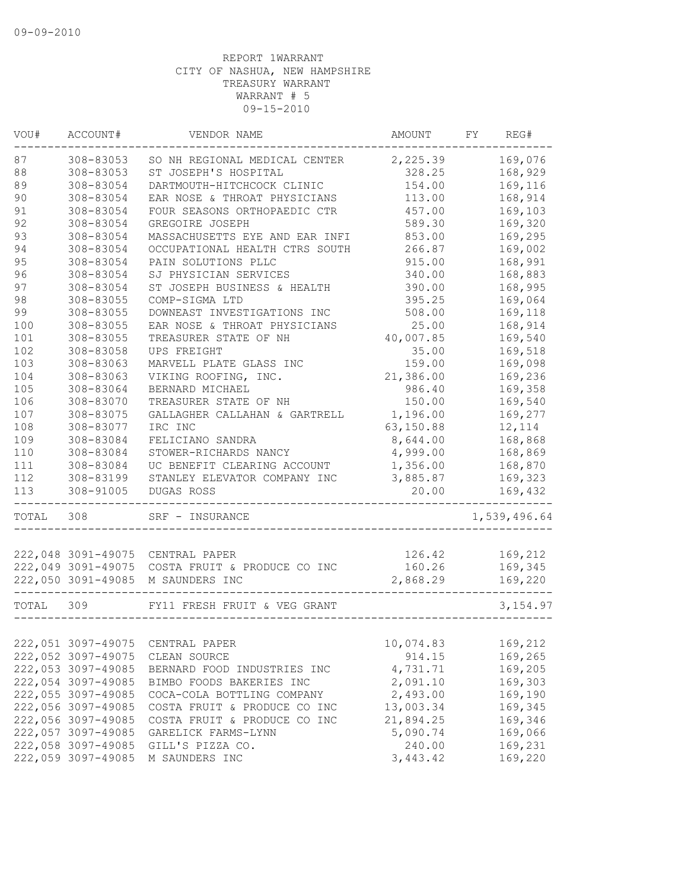| VOU#  | ACCOUNT#           | VENDOR NAME                    | AMOUNT    | FY | REG#         |
|-------|--------------------|--------------------------------|-----------|----|--------------|
| 87    | 308-83053          | SO NH REGIONAL MEDICAL CENTER  | 2,225.39  |    | 169,076      |
| 88    | 308-83053          | ST JOSEPH'S HOSPITAL           | 328.25    |    | 168,929      |
| 89    | 308-83054          | DARTMOUTH-HITCHCOCK CLINIC     | 154.00    |    | 169,116      |
| 90    | 308-83054          | EAR NOSE & THROAT PHYSICIANS   | 113.00    |    | 168,914      |
| 91    | 308-83054          | FOUR SEASONS ORTHOPAEDIC CTR   | 457.00    |    | 169,103      |
| 92    | 308-83054          | GREGOIRE JOSEPH                | 589.30    |    | 169,320      |
| 93    | 308-83054          | MASSACHUSETTS EYE AND EAR INFI | 853.00    |    | 169,295      |
| 94    | 308-83054          | OCCUPATIONAL HEALTH CTRS SOUTH | 266.87    |    | 169,002      |
| 95    | 308-83054          | PAIN SOLUTIONS PLLC            | 915.00    |    | 168,991      |
| 96    | 308-83054          | SJ PHYSICIAN SERVICES          | 340.00    |    | 168,883      |
| 97    | 308-83054          | ST JOSEPH BUSINESS & HEALTH    | 390.00    |    | 168,995      |
| 98    | 308-83055          | COMP-SIGMA LTD                 | 395.25    |    | 169,064      |
| 99    | 308-83055          | DOWNEAST INVESTIGATIONS INC    | 508.00    |    | 169,118      |
| 100   | 308-83055          | EAR NOSE & THROAT PHYSICIANS   | 25.00     |    | 168,914      |
| 101   | 308-83055          | TREASURER STATE OF NH          | 40,007.85 |    | 169,540      |
| 102   | 308-83058          | UPS FREIGHT                    | 35.00     |    | 169,518      |
| 103   | 308-83063          | MARVELL PLATE GLASS INC        | 159.00    |    | 169,098      |
| 104   | 308-83063          | VIKING ROOFING, INC.           | 21,386.00 |    | 169,236      |
| 105   | 308-83064          | BERNARD MICHAEL                | 986.40    |    | 169,358      |
| 106   | 308-83070          | TREASURER STATE OF NH          | 150.00    |    | 169,540      |
| 107   | 308-83075          | GALLAGHER CALLAHAN & GARTRELL  | 1,196.00  |    | 169,277      |
| 108   | 308-83077          | IRC INC                        | 63,150.88 |    | 12,114       |
| 109   | 308-83084          | FELICIANO SANDRA               | 8,644.00  |    | 168,868      |
| 110   | 308-83084          | STOWER-RICHARDS NANCY          | 4,999.00  |    | 168,869      |
| 111   | 308-83084          | UC BENEFIT CLEARING ACCOUNT    | 1,356.00  |    | 168,870      |
| 112   | 308-83199          | STANLEY ELEVATOR COMPANY INC   | 3,885.87  |    | 169,323      |
| 113   | 308-91005          | DUGAS ROSS                     | 20.00     |    | 169,432      |
| TOTAL | 308                | SRF - INSURANCE                |           |    | 1,539,496.64 |
|       |                    |                                |           |    |              |
|       | 222,048 3091-49075 | CENTRAL PAPER                  | 126.42    |    | 169,212      |
|       | 222,049 3091-49075 | COSTA FRUIT & PRODUCE CO INC   | 160.26    |    | 169,345      |
|       | 222,050 3091-49085 | M SAUNDERS INC                 | 2,868.29  |    | 169,220      |
| TOTAL | 309                | FY11 FRESH FRUIT & VEG GRANT   |           |    | 3, 154.97    |
|       |                    |                                |           |    |              |
|       | 222,051 3097-49075 | CENTRAL PAPER                  | 10,074.83 |    | 169,212      |
|       | 222,052 3097-49075 | CLEAN SOURCE                   | 914.15    |    | 169,265      |
|       | 222,053 3097-49085 | BERNARD FOOD INDUSTRIES INC    | 4,731.71  |    | 169,205      |
|       | 222,054 3097-49085 | BIMBO FOODS BAKERIES INC       | 2,091.10  |    | 169,303      |
|       | 222,055 3097-49085 | COCA-COLA BOTTLING COMPANY     | 2,493.00  |    | 169,190      |
|       | 222,056 3097-49085 | COSTA FRUIT & PRODUCE CO INC   | 13,003.34 |    | 169,345      |
|       | 222,056 3097-49085 | COSTA FRUIT & PRODUCE CO INC   | 21,894.25 |    | 169,346      |
|       | 222,057 3097-49085 | GARELICK FARMS-LYNN            | 5,090.74  |    | 169,066      |
|       | 222,058 3097-49085 | GILL'S PIZZA CO.               | 240.00    |    | 169,231      |
|       | 222,059 3097-49085 | M SAUNDERS INC                 | 3, 443.42 |    | 169,220      |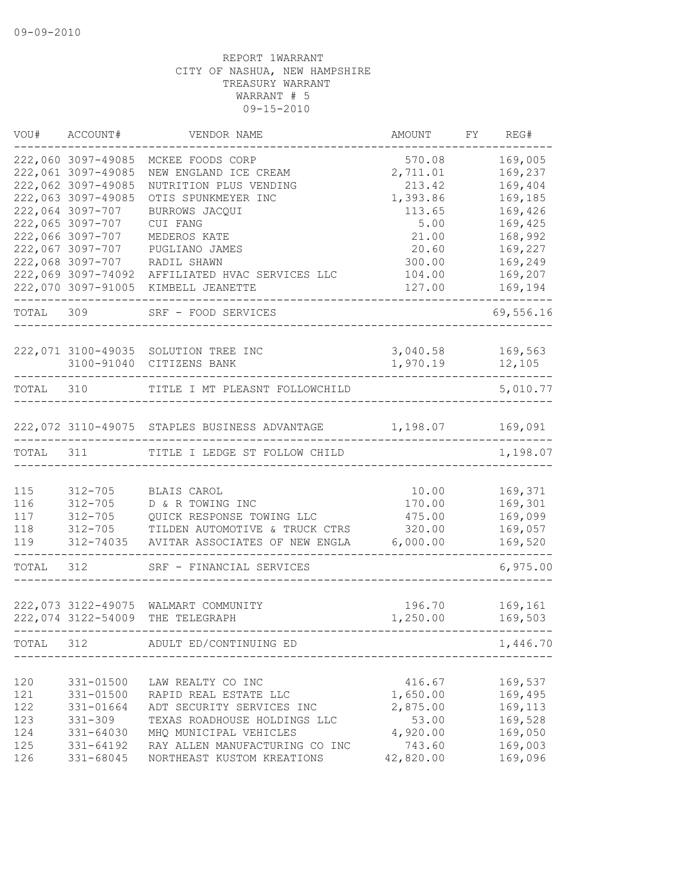| VOU#       | ACCOUNT#                             | VENDOR NAME                                            | AMOUNT          | FY | REG#               |
|------------|--------------------------------------|--------------------------------------------------------|-----------------|----|--------------------|
|            | 222,060 3097-49085                   | MCKEE FOODS CORP                                       | 570.08          |    | 169,005            |
|            | 222,061 3097-49085                   | NEW ENGLAND ICE CREAM                                  | 2,711.01        |    | 169,237            |
|            | 222,062 3097-49085                   | NUTRITION PLUS VENDING                                 | 213.42          |    | 169,404            |
|            | 222,063 3097-49085                   | OTIS SPUNKMEYER INC                                    | 1,393.86        |    | 169,185            |
|            | 222,064 3097-707                     | BURROWS JACQUI                                         | 113.65          |    | 169,426            |
|            | 222,065 3097-707                     | CUI FANG                                               | 5.00            |    | 169,425            |
|            | 222,066 3097-707<br>222,067 3097-707 | MEDEROS KATE                                           | 21.00<br>20.60  |    | 168,992<br>169,227 |
|            | 222,068 3097-707                     | PUGLIANO JAMES<br>RADIL SHAWN                          | 300.00          |    | 169,249            |
|            | 222,069 3097-74092                   | AFFILIATED HVAC SERVICES LLC                           | 104.00          |    | 169,207            |
|            | 222,070 3097-91005                   | KIMBELL JEANETTE                                       | 127.00          |    | 169,194            |
|            |                                      |                                                        |                 |    |                    |
| TOTAL 309  |                                      | SRF - FOOD SERVICES                                    |                 |    | 69,556.16          |
|            |                                      | 222,071 3100-49035 SOLUTION TREE INC                   | 3,040.58        |    | 169,563            |
|            |                                      | 3100-91040 CITIZENS BANK                               | 1,970.19        |    | 12,105             |
| TOTAL      | 310                                  | TITLE I MT PLEASNT FOLLOWCHILD                         |                 |    | 5,010.77           |
|            |                                      |                                                        |                 |    |                    |
|            |                                      | 222,072 3110-49075 STAPLES BUSINESS ADVANTAGE 1,198.07 |                 |    | 169,091            |
| TOTAL      | 311                                  | TITLE I LEDGE ST FOLLOW CHILD                          |                 |    | 1,198.07           |
|            |                                      |                                                        |                 |    |                    |
| 115<br>116 | $312 - 705$<br>$312 - 705$           | BLAIS CAROL<br>D & R TOWING INC                        | 10.00<br>170.00 |    | 169,371<br>169,301 |
| 117        | $312 - 705$                          | QUICK RESPONSE TOWING LLC                              | 475.00          |    | 169,099            |
| 118        | $312 - 705$                          | TILDEN AUTOMOTIVE & TRUCK CTRS                         | 320.00          |    | 169,057            |
| 119        | 312-74035                            | AVITAR ASSOCIATES OF NEW ENGLA                         | 6,000.00        |    | 169,520            |
| TOTAL      | 312                                  | SRF - FINANCIAL SERVICES                               |                 |    | 6,975.00           |
|            |                                      |                                                        |                 |    |                    |
|            |                                      | 222,073 3122-49075 WALMART COMMUNITY                   | 196.70          |    | 169,161            |
|            | 222,074 3122-54009                   | THE TELEGRAPH                                          | 1,250.00        |    | 169,503            |
| TOTAL      | 312                                  | ADULT ED/CONTINUING ED                                 |                 |    | 1,446.70           |
|            |                                      |                                                        |                 |    |                    |
| 120        | 331-01500                            | LAW REALTY CO INC                                      | 416.67          |    | 169,537            |
| 121        | 331-01500                            | RAPID REAL ESTATE LLC                                  | 1,650.00        |    | 169,495            |
| 122        | 331-01664                            | ADT SECURITY SERVICES INC                              | 2,875.00        |    | 169,113            |
| 123        | $331 - 309$                          | TEXAS ROADHOUSE HOLDINGS LLC                           | 53.00           |    | 169,528            |
| 124        | 331-64030                            | MHQ MUNICIPAL VEHICLES                                 | 4,920.00        |    | 169,050            |
| 125        | 331-64192                            | RAY ALLEN MANUFACTURING CO INC                         | 743.60          |    | 169,003            |
| 126        | 331-68045                            | NORTHEAST KUSTOM KREATIONS                             | 42,820.00       |    | 169,096            |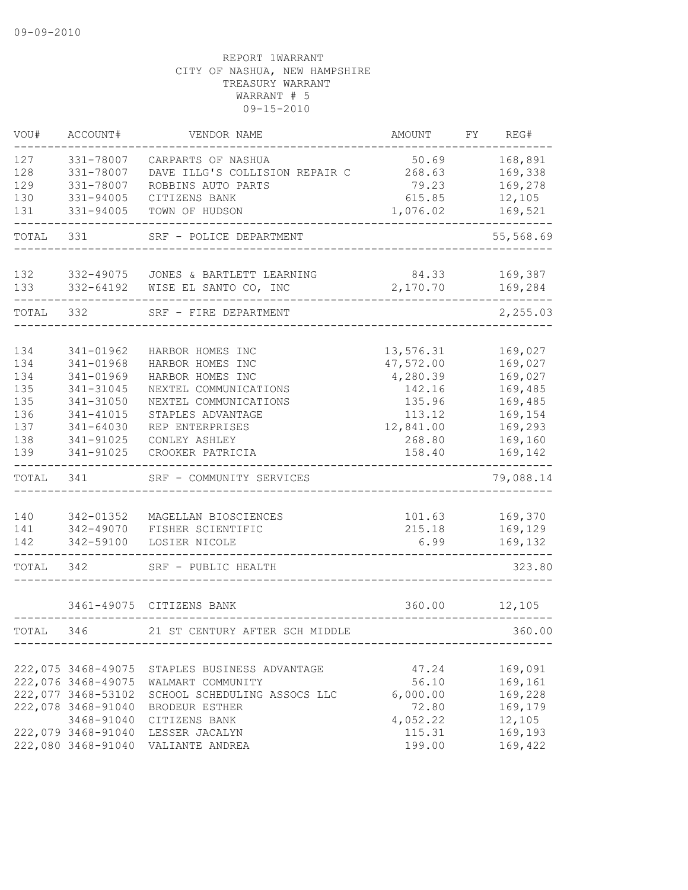| VOU#       | ACCOUNT#               | VENDOR NAME                                          | AMOUNT            | FY | REG#               |
|------------|------------------------|------------------------------------------------------|-------------------|----|--------------------|
| 127<br>128 | 331-78007<br>331-78007 | CARPARTS OF NASHUA<br>DAVE ILLG'S COLLISION REPAIR C | 50.69<br>268.63   |    | 168,891<br>169,338 |
| 129        | 331-78007              | ROBBINS AUTO PARTS                                   | 79.23             |    | 169,278            |
| 130        | 331-94005              | CITIZENS BANK                                        | 615.85            |    | 12,105             |
| 131        | 331-94005              | TOWN OF HUDSON                                       | 1,076.02          |    | 169,521            |
| TOTAL      | 331                    | SRF - POLICE DEPARTMENT                              |                   |    | 55,568.69          |
| 132<br>133 | 332-49075<br>332-64192 | JONES & BARTLETT LEARNING<br>WISE EL SANTO CO, INC   | 84.33<br>2,170.70 |    | 169,387<br>169,284 |
| TOTAL      | 332                    | SRF - FIRE DEPARTMENT                                |                   |    | 2,255.03           |
|            |                        |                                                      |                   |    |                    |
| 134        | 341-01962              | HARBOR HOMES INC                                     | 13,576.31         |    | 169,027            |
| 134        | 341-01968              | HARBOR HOMES INC                                     | 47,572.00         |    | 169,027            |
| 134        | 341-01969              | HARBOR HOMES INC                                     | 4,280.39          |    | 169,027            |
| 135        | 341-31045              | NEXTEL COMMUNICATIONS                                | 142.16            |    | 169,485            |
| 135        | 341-31050              | NEXTEL COMMUNICATIONS                                | 135.96            |    | 169,485            |
| 136        | 341-41015              | STAPLES ADVANTAGE                                    | 113.12            |    | 169,154            |
| 137        | 341-64030              | REP ENTERPRISES                                      | 12,841.00         |    | 169,293            |
| 138        | 341-91025              | CONLEY ASHLEY                                        | 268.80            |    | 169,160            |
| 139        | 341-91025              | CROOKER PATRICIA                                     | 158.40            |    | 169,142            |
| TOTAL      | 341                    | SRF - COMMUNITY SERVICES                             |                   |    | 79,088.14          |
|            |                        |                                                      |                   |    |                    |
| 140        | 342-01352              | MAGELLAN BIOSCIENCES                                 | 101.63            |    | 169,370            |
| 141        | 342-49070              | FISHER SCIENTIFIC                                    | 215.18            |    | 169,129            |
| 142        | 342-59100              | LOSIER NICOLE                                        | 6.99              |    | 169,132            |
| TOTAL      | 342                    | SRF - PUBLIC HEALTH                                  |                   |    | 323.80             |
|            |                        | 3461-49075 CITIZENS BANK                             | 360.00            |    | 12,105             |
|            |                        |                                                      |                   |    |                    |
| TOTAL      | 346                    | 21 ST CENTURY AFTER SCH MIDDLE                       |                   |    | 360.00             |
|            | 222,075 3468-49075     | STAPLES BUSINESS ADVANTAGE                           | 47.24             |    | 169,091            |
|            | 222,076 3468-49075     | WALMART COMMUNITY                                    | 56.10             |    | 169,161            |
|            | 222,077 3468-53102     | SCHOOL SCHEDULING ASSOCS LLC                         | 6,000.00          |    | 169,228            |
|            | 222,078 3468-91040     | <b>BRODEUR ESTHER</b>                                | 72.80             |    | 169,179            |
|            | 3468-91040             | CITIZENS BANK                                        | 4,052.22          |    | 12,105             |
|            | 222,079 3468-91040     | LESSER JACALYN                                       | 115.31            |    | 169,193            |
|            | 222,080 3468-91040     | VALIANTE ANDREA                                      | 199.00            |    | 169,422            |
|            |                        |                                                      |                   |    |                    |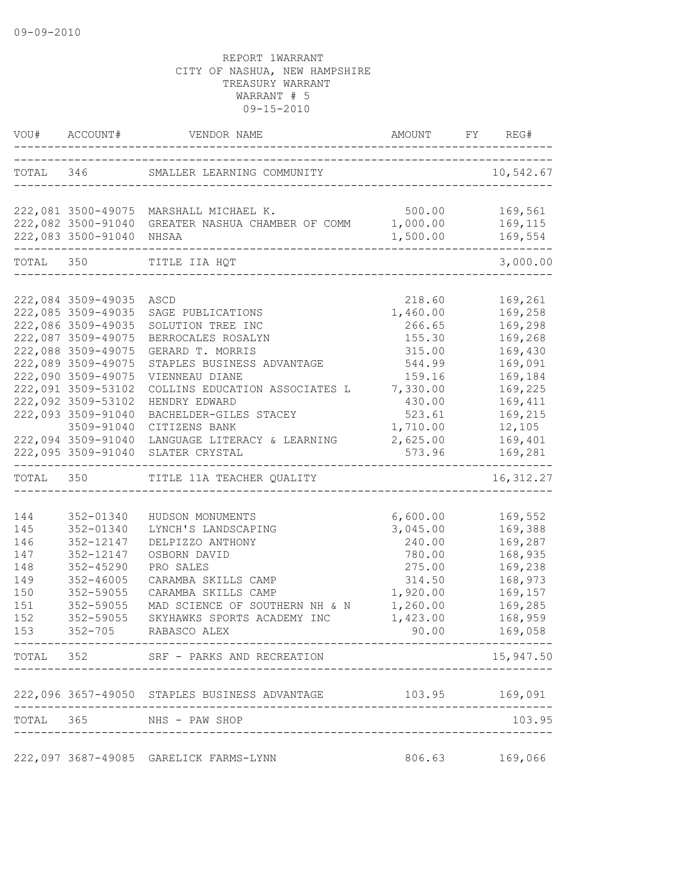|           |                          | VOU# ACCOUNT# VENDOR NAME AMOUNT                                   | AMOUNT FY REG#     |                                   |
|-----------|--------------------------|--------------------------------------------------------------------|--------------------|-----------------------------------|
|           |                          | TOTAL 346 SMALLER LEARNING COMMUNITY                               |                    | 10,542.67                         |
|           |                          |                                                                    | ------------------ |                                   |
|           |                          | 222,081 3500-49075 MARSHALL MICHAEL K.<br>$500.00$ 169,561         |                    |                                   |
|           |                          | 222,082 3500-91040 GREATER NASHUA CHAMBER OF COMM 1,000.00 169,115 |                    |                                   |
|           | 222,083 3500-91040 NHSAA |                                                                    | 1,500.00 169,554   | . _ _ _ _ _ _ _ _ _ _ _ _ _ _ _ _ |
| TOTAL 350 |                          | TITLE IIA HQT                                                      |                    | 3,000.00                          |
|           |                          |                                                                    |                    |                                   |
|           | 222,084 3509-49035 ASCD  |                                                                    | 218.60             | 169,261                           |
|           | 222,085 3509-49035       | SAGE PUBLICATIONS                                                  | 1,460.00           | 169,258                           |
|           | 222,086 3509-49035       | SOLUTION TREE INC                                                  | 266.65             | 169,298                           |
|           | 222,087 3509-49075       | BERROCALES ROSALYN                                                 | 155.30             | 169,268                           |
|           | 222,088 3509-49075       | GERARD T. MORRIS                                                   | 315.00             | 169,430                           |
|           | 222,089 3509-49075       | STAPLES BUSINESS ADVANTAGE                                         | 544.99             | 169,091                           |
|           | 222,090 3509-49075       | VIENNEAU DIANE                                                     | 159.16             | 169,184                           |
|           | 222,091 3509-53102       | COLLINS EDUCATION ASSOCIATES L                                     | 7,330.00           | 169,225                           |
|           | 222,092 3509-53102       | HENDRY EDWARD                                                      | 430.00             | 169,411                           |
|           | 222,093 3509-91040       | BACHELDER-GILES STACEY                                             | 523.61             | 169,215                           |
|           | 3509-91040               | CITIZENS BANK                                                      | 1,710.00           | 12,105                            |
|           | 222,094 3509-91040       | LANGUAGE LITERACY & LEARNING 2,625.00 169,401                      |                    |                                   |
|           | 222,095 3509-91040       | SLATER CRYSTAL                                                     | 573.96             | 169,281                           |
|           |                          | TOTAL 350 TITLE 11A TEACHER QUALITY                                |                    | 16, 312.27                        |
|           |                          |                                                                    |                    |                                   |
| 144       | 352-01340                | HUDSON MONUMENTS                                                   | 6,600.00           | 169,552                           |
| 145       | 352-01340                | LYNCH'S LANDSCAPING                                                | 3,045.00           | 169,388                           |
| 146       | 352-12147                | DELPIZZO ANTHONY                                                   | 240.00             | 169,287                           |
| 147       | 352-12147                | OSBORN DAVID                                                       | 780.00             | 168,935                           |
| 148       | $352 - 45290$            | PRO SALES                                                          | 275.00             | 169,238                           |
| 149       | $352 - 46005$            | CARAMBA SKILLS CAMP                                                | 314.50             | 168,973                           |
| 150       | 352-59055                | CARAMBA SKILLS CAMP                                                | 1,920.00           | 169,157                           |
| 151       | 352-59055                | MAD SCIENCE OF SOUTHERN NH & N                                     | 1,260.00           | 169,285                           |
| 152       | 352-59055                | SKYHAWKS SPORTS ACADEMY INC                                        | 1,423.00           | 168,959                           |
| 153       | $352 - 705$              | RABASCO ALEX                                                       | 90.00              | 169,058                           |
|           |                          | TOTAL 352 SRF - PARKS AND RECREATION                               |                    | 15,947.50                         |
|           |                          | 222,096 3657-49050 STAPLES BUSINESS ADVANTAGE                      |                    | 103.95 169,091                    |
|           |                          | TOTAL 365 NHS - PAW SHOP                                           |                    | 103.95                            |
|           |                          |                                                                    |                    |                                   |
|           |                          | 222,097 3687-49085 GARELICK FARMS-LYNN                             |                    | 806.63 169,066                    |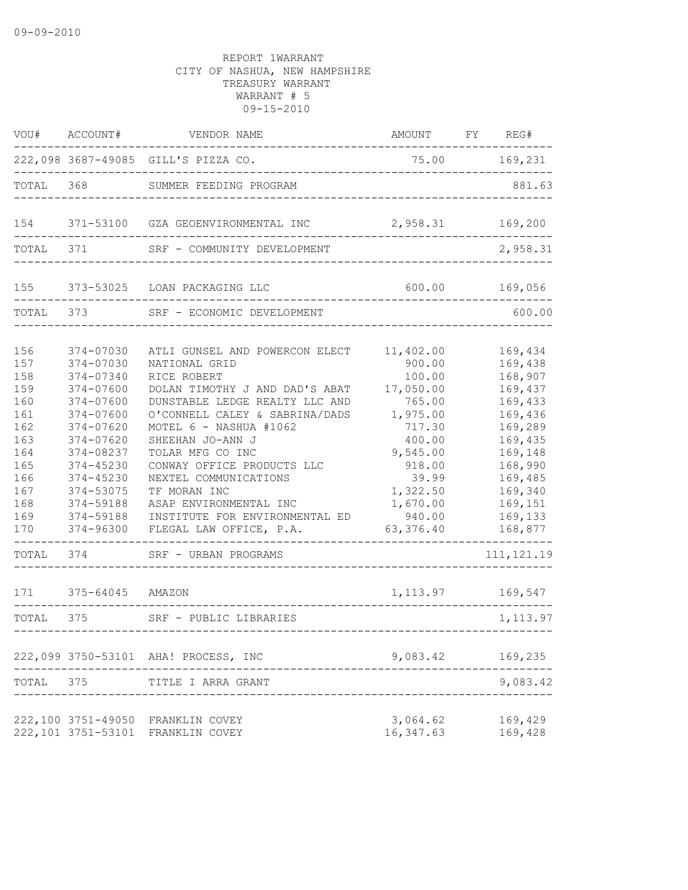| VOU#                                                                                                  | ACCOUNT#                                                                                                                                                                                        | VENDOR NAME                                                                                                                                                                                                                                                                                                                                                                                          | AMOUNT                                                                                                                                                             | FY REG#                                                                                                                                                           |
|-------------------------------------------------------------------------------------------------------|-------------------------------------------------------------------------------------------------------------------------------------------------------------------------------------------------|------------------------------------------------------------------------------------------------------------------------------------------------------------------------------------------------------------------------------------------------------------------------------------------------------------------------------------------------------------------------------------------------------|--------------------------------------------------------------------------------------------------------------------------------------------------------------------|-------------------------------------------------------------------------------------------------------------------------------------------------------------------|
|                                                                                                       |                                                                                                                                                                                                 | 222,098 3687-49085 GILL'S PIZZA CO.                                                                                                                                                                                                                                                                                                                                                                  | 75.00                                                                                                                                                              | 169,231                                                                                                                                                           |
| TOTAL                                                                                                 | 368                                                                                                                                                                                             | SUMMER FEEDING PROGRAM                                                                                                                                                                                                                                                                                                                                                                               |                                                                                                                                                                    | 881.63                                                                                                                                                            |
| 154                                                                                                   |                                                                                                                                                                                                 | 371-53100 GZA GEOENVIRONMENTAL INC                                                                                                                                                                                                                                                                                                                                                                   | 2,958.31                                                                                                                                                           | 169,200                                                                                                                                                           |
| TOTAL                                                                                                 | 371                                                                                                                                                                                             | SRF - COMMUNITY DEVELOPMENT                                                                                                                                                                                                                                                                                                                                                                          |                                                                                                                                                                    | 2,958.31                                                                                                                                                          |
| 155                                                                                                   | 373-53025                                                                                                                                                                                       | LOAN PACKAGING LLC                                                                                                                                                                                                                                                                                                                                                                                   | 600.00                                                                                                                                                             | 169,056                                                                                                                                                           |
| TOTAL                                                                                                 | 373                                                                                                                                                                                             | SRF - ECONOMIC DEVELOPMENT                                                                                                                                                                                                                                                                                                                                                                           |                                                                                                                                                                    | 600.00                                                                                                                                                            |
| 156<br>157<br>158<br>159<br>160<br>161<br>162<br>163<br>164<br>165<br>166<br>167<br>168<br>169<br>170 | 374-07030<br>374-07030<br>374-07340<br>374-07600<br>374-07600<br>374-07600<br>374-07620<br>374-07620<br>374-08237<br>374-45230<br>374-45230<br>374-53075<br>374-59188<br>374-59188<br>374-96300 | ATLI GUNSEL AND POWERCON ELECT<br>NATIONAL GRID<br>RICE ROBERT<br>DOLAN TIMOTHY J AND DAD'S ABAT<br>DUNSTABLE LEDGE REALTY LLC AND<br>O'CONNELL CALEY & SABRINA/DADS<br>MOTEL 6 - NASHUA #1062<br>SHEEHAN JO-ANN J<br>TOLAR MFG CO INC<br>CONWAY OFFICE PRODUCTS LLC<br>NEXTEL COMMUNICATIONS<br>TF MORAN INC<br>ASAP ENVIRONMENTAL INC<br>INSTITUTE FOR ENVIRONMENTAL ED<br>FLEGAL LAW OFFICE, P.A. | 11,402.00<br>900.00<br>100.00<br>17,050.00<br>765.00<br>1,975.00<br>717.30<br>400.00<br>9,545.00<br>918.00<br>39.99<br>1,322.50<br>1,670.00<br>940.00<br>63,376.40 | 169,434<br>169,438<br>168,907<br>169,437<br>169,433<br>169,436<br>169,289<br>169,435<br>169,148<br>168,990<br>169,485<br>169,340<br>169,151<br>169,133<br>168,877 |
| TOTAL                                                                                                 | 374                                                                                                                                                                                             | SRF - URBAN PROGRAMS                                                                                                                                                                                                                                                                                                                                                                                 |                                                                                                                                                                    | 111, 121.19                                                                                                                                                       |
| 171                                                                                                   | 375-64045 AMAZON                                                                                                                                                                                |                                                                                                                                                                                                                                                                                                                                                                                                      |                                                                                                                                                                    | 1, 113.97 169, 547                                                                                                                                                |
| TOTAL                                                                                                 | 375                                                                                                                                                                                             | SRF - PUBLIC LIBRARIES<br>---------------                                                                                                                                                                                                                                                                                                                                                            |                                                                                                                                                                    | 1, 113.97                                                                                                                                                         |
|                                                                                                       |                                                                                                                                                                                                 | 222,099 3750-53101 AHA! PROCESS, INC                                                                                                                                                                                                                                                                                                                                                                 | 9,083.42                                                                                                                                                           | 169,235                                                                                                                                                           |
| TOTAL                                                                                                 | 375                                                                                                                                                                                             | TITLE I ARRA GRANT                                                                                                                                                                                                                                                                                                                                                                                   |                                                                                                                                                                    | 9,083.42                                                                                                                                                          |
|                                                                                                       | 222,100 3751-49050<br>222,101 3751-53101                                                                                                                                                        | FRANKLIN COVEY<br>FRANKLIN COVEY                                                                                                                                                                                                                                                                                                                                                                     | 3,064.62<br>16, 347.63                                                                                                                                             | 169,429<br>169,428                                                                                                                                                |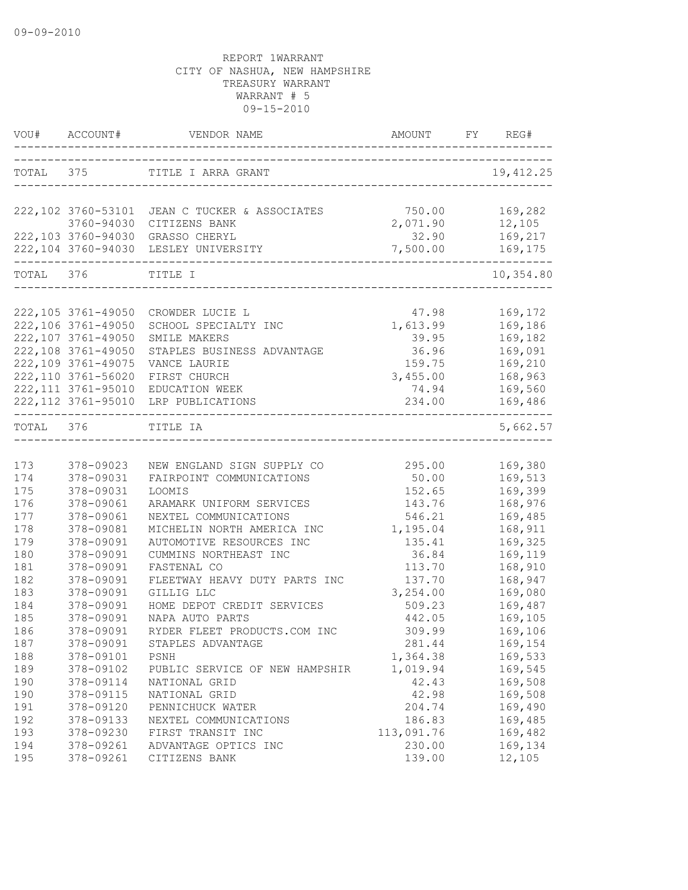|            | VOU# ACCOUNT#                            | VENDOR NAME                                                  | AMOUNT<br>-------------------------------------- | FY | REG#               |
|------------|------------------------------------------|--------------------------------------------------------------|--------------------------------------------------|----|--------------------|
| TOTAL 375  |                                          | TITLE I ARRA GRANT<br>____________________________________   |                                                  |    | 19, 412.25         |
|            |                                          | 222,102 3760-53101 JEAN C TUCKER & ASSOCIATES                | 750.00                                           |    | 169,282            |
|            |                                          | 3760-94030 CITIZENS BANK                                     | 2,071.90                                         |    | 12,105             |
|            |                                          | 222,103 3760-94030 GRASSO CHERYL                             | 32.90                                            |    | 169,217            |
|            |                                          | 222,104 3760-94030 LESLEY UNIVERSITY<br>____________________ | 7,500.00                                         |    | 169,175            |
| TOTAL 376  |                                          | TITLE I                                                      |                                                  |    | 10,354.80          |
|            |                                          |                                                              |                                                  |    |                    |
|            | 222,105 3761-49050                       | CROWDER LUCIE L                                              | 47.98                                            |    | 169,172            |
|            | 222,106 3761-49050                       | SCHOOL SPECIALTY INC                                         | 1,613.99                                         |    | 169,186            |
|            | 222,107 3761-49050<br>222,108 3761-49050 | SMILE MAKERS                                                 | 39.95<br>36.96                                   |    | 169,182<br>169,091 |
|            | 222,109 3761-49075                       | STAPLES BUSINESS ADVANTAGE<br>VANCE LAURIE                   | 159.75                                           |    | 169,210            |
|            | 222,110 3761-56020                       | FIRST CHURCH                                                 | 3,455.00                                         |    | 168,963            |
|            | 222, 111 3761-95010                      | EDUCATION WEEK                                               | 74.94                                            |    | 169,560            |
|            | 222, 112 3761-95010                      | LRP PUBLICATIONS                                             | 234.00                                           |    | 169,486            |
| TOTAL 376  |                                          | TITLE IA                                                     |                                                  |    | 5,662.57           |
|            |                                          |                                                              |                                                  |    |                    |
| 173        | 378-09023                                | NEW ENGLAND SIGN SUPPLY CO                                   | 295.00                                           |    | 169,380            |
| 174        | 378-09031                                | FAIRPOINT COMMUNICATIONS                                     | 50.00                                            |    | 169,513            |
| 175        | 378-09031                                | LOOMIS                                                       | 152.65                                           |    | 169,399            |
| 176        | 378-09061                                | ARAMARK UNIFORM SERVICES                                     | 143.76                                           |    | 168,976            |
| 177        | 378-09061                                | NEXTEL COMMUNICATIONS                                        | 546.21                                           |    | 169,485            |
| 178        | 378-09081                                | MICHELIN NORTH AMERICA INC                                   | 1,195.04                                         |    | 168,911            |
| 179        | 378-09091                                | AUTOMOTIVE RESOURCES INC                                     | 135.41                                           |    | 169,325            |
| 180        | 378-09091                                | CUMMINS NORTHEAST INC                                        | 36.84                                            |    | 169,119            |
| 181        | 378-09091                                | FASTENAL CO                                                  | 113.70                                           |    | 168,910            |
| 182        | 378-09091                                | FLEETWAY HEAVY DUTY PARTS INC                                | 137.70                                           |    | 168,947            |
| 183        | 378-09091                                | GILLIG LLC                                                   | 3,254.00                                         |    | 169,080            |
| 184        | 378-09091                                | HOME DEPOT CREDIT SERVICES                                   | 509.23                                           |    | 169,487            |
| 185        | 378-09091                                | NAPA AUTO PARTS                                              | 442.05                                           |    | 169,105            |
| 186        | 378-09091                                | RYDER FLEET PRODUCTS.COM INC                                 | 309.99                                           |    | 169,106            |
| 187        | 378-09091                                | STAPLES ADVANTAGE                                            | 281.44                                           |    | 169,154            |
| 188        | 378-09101                                | PSNH                                                         | 1,364.38                                         |    | 169,533            |
| 189        | 378-09102                                | PUBLIC SERVICE OF NEW HAMPSHIR                               | 1,019.94<br>42.43                                |    | 169,545            |
| 190        | 378-09114                                | NATIONAL GRID                                                |                                                  |    | 169,508            |
| 190        | 378-09115                                | NATIONAL GRID                                                | 42.98<br>204.74                                  |    | 169,508            |
| 191<br>192 | 378-09120<br>378-09133                   | PENNICHUCK WATER                                             |                                                  |    | 169,490<br>169,485 |
| 193        | 378-09230                                | NEXTEL COMMUNICATIONS<br>FIRST TRANSIT INC                   | 186.83<br>113,091.76                             |    | 169,482            |
| 194        | 378-09261                                | ADVANTAGE OPTICS INC                                         | 230.00                                           |    | 169,134            |
| 195        | 378-09261                                | CITIZENS BANK                                                | 139.00                                           |    | 12,105             |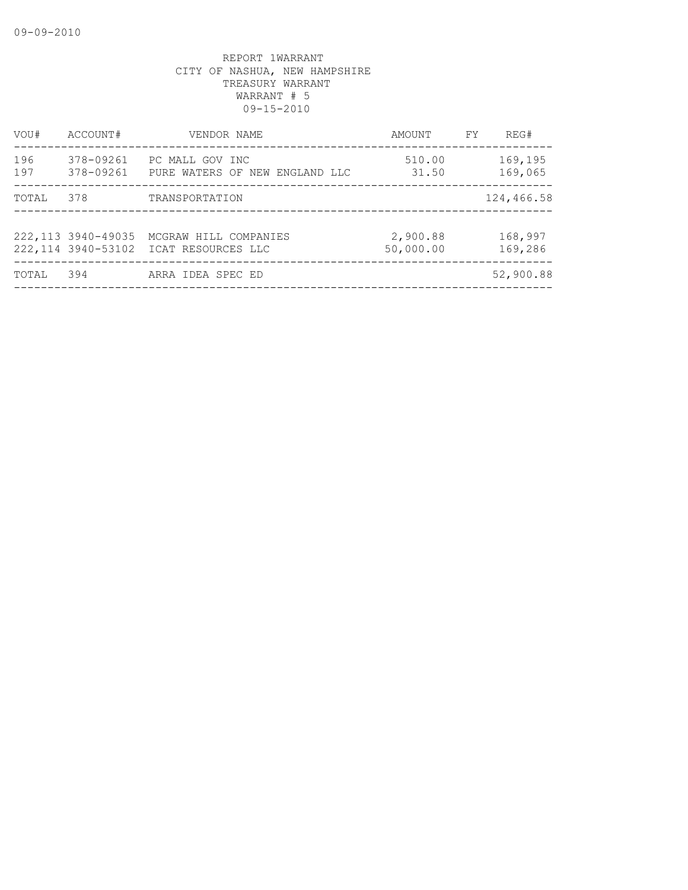| VOU#       | ACCOUNT#               | VENDOR NAME                                                    | AMOUNT                | FY. | REG#               |
|------------|------------------------|----------------------------------------------------------------|-----------------------|-----|--------------------|
| 196<br>197 | 378-09261<br>378-09261 | PC MALL GOV INC<br>PURE WATERS OF NEW ENGLAND LLC              | 510.00<br>31.50       |     | 169,195<br>169,065 |
| TOTAL      | 378                    | TRANSPORTATION                                                 |                       |     | 124,466.58         |
|            |                        |                                                                |                       |     |                    |
|            | 222, 113 3940-49035    | MCGRAW HILL COMPANIES<br>222,114 3940-53102 ICAT RESOURCES LLC | 2,900.88<br>50,000.00 |     | 168,997<br>169,286 |
| TOTAL      | 394                    | ARRA IDEA SPEC ED                                              |                       |     | 52,900.88          |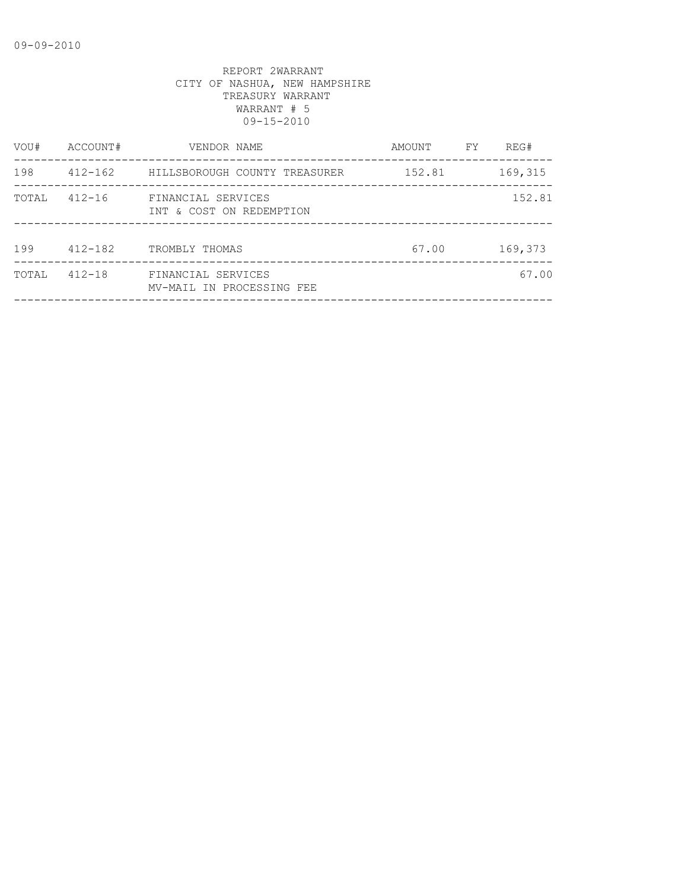| VOU#  | ACCOUNT#    | VENDOR NAME                                     | AMOUNT | FY | REG#    |
|-------|-------------|-------------------------------------------------|--------|----|---------|
| 198   | 412-162     | HILLSBOROUGH COUNTY TREASURER                   | 152.81 |    | 169,315 |
| TOTAL | $412 - 16$  | FINANCIAL SERVICES<br>INT & COST ON REDEMPTION  |        |    | 152.81  |
| 199   | $412 - 182$ | TROMBLY THOMAS                                  | 67.00  |    | 169,373 |
| TOTAL | $412 - 18$  | FINANCIAL SERVICES<br>MV-MAIL IN PROCESSING FEE |        |    | 67.00   |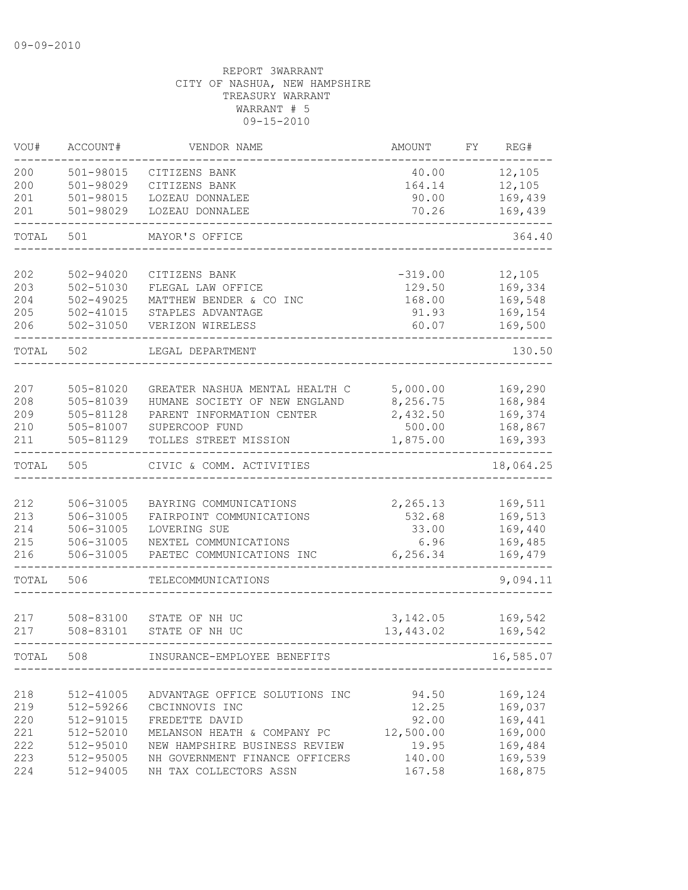| VOU#       | ACCOUNT#               | VENDOR NAME                                        | AMOUNT           | FΥ | REG#               |
|------------|------------------------|----------------------------------------------------|------------------|----|--------------------|
| 200        | 501-98015              | CITIZENS BANK                                      | 40.00            |    | 12,105             |
| 200        | 501-98029              | CITIZENS BANK                                      | 164.14           |    | 12,105             |
| 201        | 501-98015              | LOZEAU DONNALEE                                    | 90.00            |    | 169,439            |
| 201        | 501-98029              | LOZEAU DONNALEE                                    | 70.26            |    | 169,439            |
| TOTAL      | 501                    | MAYOR'S OFFICE                                     |                  |    | 364.40             |
| 202        | 502-94020              | CITIZENS BANK                                      | $-319.00$        |    | 12,105             |
| 203        | 502-51030              | FLEGAL LAW OFFICE                                  | 129.50           |    | 169,334            |
| 204        | $502 - 49025$          | MATTHEW BENDER & CO INC                            | 168.00           |    | 169,548            |
| 205        | $502 - 41015$          | STAPLES ADVANTAGE                                  | 91.93            |    | 169,154            |
| 206        | $502 - 31050$          | VERIZON WIRELESS                                   | 60.07            |    | 169,500            |
| TOTAL      | 502                    | LEGAL DEPARTMENT                                   |                  |    | 130.50             |
|            |                        |                                                    |                  |    |                    |
| 207        | 505-81020              | GREATER NASHUA MENTAL HEALTH C                     | 5,000.00         |    | 169,290            |
| 208        | 505-81039              | HUMANE SOCIETY OF NEW ENGLAND                      | 8,256.75         |    | 168,984            |
| 209        | 505-81128              | PARENT INFORMATION CENTER                          | 2,432.50         |    | 169,374            |
| 210        | 505-81007              | SUPERCOOP FUND                                     | 500.00           |    | 168,867            |
| 211        | 505-81129              | TOLLES STREET MISSION                              | 1,875.00         |    | 169,393            |
| TOTAL      | 505                    | CIVIC & COMM. ACTIVITIES                           |                  |    | 18,064.25          |
|            |                        |                                                    |                  |    |                    |
| 212        | 506-31005              | BAYRING COMMUNICATIONS                             | 2,265.13         |    | 169,511            |
| 213        | 506-31005              | FAIRPOINT COMMUNICATIONS                           | 532.68           |    | 169,513            |
| 214        | 506-31005              | LOVERING SUE                                       | 33.00            |    | 169,440            |
| 215<br>216 | 506-31005<br>506-31005 | NEXTEL COMMUNICATIONS<br>PAETEC COMMUNICATIONS INC | 6.96<br>6,256.34 |    | 169,485<br>169,479 |
|            |                        |                                                    |                  |    |                    |
| TOTAL      | 506                    | TELECOMMUNICATIONS                                 |                  |    | 9,094.11           |
| 217        | 508-83100              | STATE OF NH UC                                     | 3,142.05         |    | 169,542            |
| 217        | 508-83101              | STATE OF NH UC                                     | 13,443.02        |    | 169,542            |
| TOTAL      | 508                    | INSURANCE-EMPLOYEE BENEFITS                        |                  |    | 16,585.07          |
|            |                        |                                                    |                  |    |                    |
| 218        | 512-41005              | ADVANTAGE OFFICE SOLUTIONS INC                     | 94.50            |    | 169,124            |
| 219        | 512-59266              | CBCINNOVIS INC                                     | 12.25            |    | 169,037            |
| 220        | 512-91015              | FREDETTE DAVID                                     | 92.00            |    | 169,441            |
| 221        | 512-52010              | MELANSON HEATH & COMPANY PC                        | 12,500.00        |    | 169,000            |
| 222        | 512-95010              | NEW HAMPSHIRE BUSINESS REVIEW                      | 19.95            |    | 169,484            |
| 223        | 512-95005              | NH GOVERNMENT FINANCE OFFICERS                     | 140.00           |    | 169,539            |
| 224        | 512-94005              | NH TAX COLLECTORS ASSN                             | 167.58           |    | 168,875            |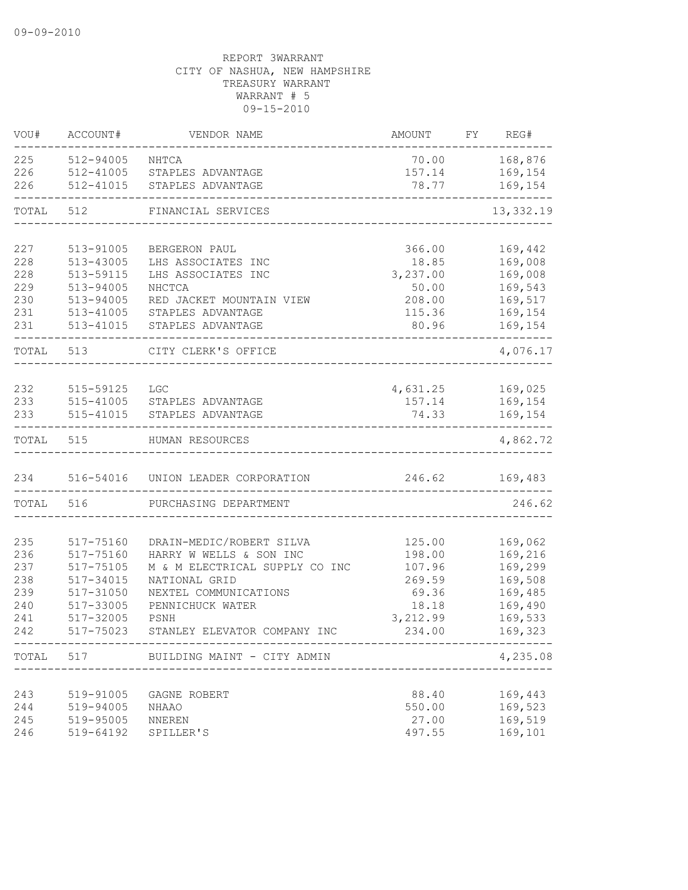| VOU#       | ACCOUNT#               | VENDOR NAME                                     | <b>AMOUNT</b>     | FY | REG#               |
|------------|------------------------|-------------------------------------------------|-------------------|----|--------------------|
| 225        | 512-94005              | NHTCA                                           | 70.00             |    | 168,876            |
| 226        | 512-41005              | STAPLES ADVANTAGE                               | 157.14            |    | 169,154            |
| 226        | 512-41015              | STAPLES ADVANTAGE                               | 78.77             |    | 169,154            |
| TOTAL      | 512                    | FINANCIAL SERVICES                              |                   |    | 13,332.19          |
|            |                        |                                                 |                   |    |                    |
| 227        | 513-91005              | BERGERON PAUL                                   | 366.00            |    | 169,442            |
| 228        | 513-43005              | LHS ASSOCIATES INC                              | 18.85             |    | 169,008            |
| 228        | 513-59115              | LHS ASSOCIATES INC                              | 3,237.00          |    | 169,008            |
| 229        | 513-94005              | NHCTCA                                          | 50.00             |    | 169,543            |
| 230        | 513-94005              | RED JACKET MOUNTAIN VIEW                        | 208.00            |    | 169,517            |
| 231        | $513 - 41005$          | STAPLES ADVANTAGE                               | 115.36            |    | 169,154            |
| 231        | 513-41015              | STAPLES ADVANTAGE                               | 80.96             |    | 169,154            |
| TOTAL      | 513                    | CITY CLERK'S OFFICE                             |                   |    | 4,076.17           |
|            |                        |                                                 |                   |    |                    |
| 232        | 515-59125              | <b>LGC</b>                                      | 4,631.25          |    | 169,025            |
| 233        |                        | 515-41005 STAPLES ADVANTAGE                     | 157.14            |    | 169,154            |
| 233        | 515-41015              | STAPLES ADVANTAGE                               | 74.33             |    | 169,154            |
| TOTAL      | 515                    | HUMAN RESOURCES                                 |                   |    | 4,862.72           |
| 234        | 516-54016              | UNION LEADER CORPORATION                        | 246.62            |    | 169,483            |
| TOTAL      | 516                    | PURCHASING DEPARTMENT                           |                   |    | 246.62             |
|            |                        |                                                 |                   |    |                    |
| 235        | 517-75160              | DRAIN-MEDIC/ROBERT SILVA                        | 125.00            |    | 169,062            |
| 236        | 517-75160              | HARRY W WELLS & SON INC                         | 198.00            |    | 169,216            |
| 237        | 517-75105<br>517-34015 | M & M ELECTRICAL SUPPLY CO INC<br>NATIONAL GRID | 107.96            |    | 169,299            |
| 238<br>239 | 517-31050              | NEXTEL COMMUNICATIONS                           | 269.59<br>69.36   |    | 169,508<br>169,485 |
| 240        |                        | PENNICHUCK WATER                                |                   |    | 169,490            |
| 241        | 517-33005<br>517-32005 | PSNH                                            | 18.18<br>3,212.99 |    | 169,533            |
| 242        | 517-75023              | STANLEY ELEVATOR COMPANY INC                    | 234.00            |    | 169,323            |
|            |                        | TOTAL 517 BUILDING MAINT - CITY ADMIN           |                   |    | 4,235.08           |
|            |                        |                                                 |                   |    |                    |
| 243        | 519-91005              | GAGNE ROBERT                                    | 88.40             |    | 169,443            |
| 244        | 519-94005              | <b>NHAAO</b>                                    | 550.00            |    | 169,523            |
| 245        | 519-95005              | NNEREN                                          | 27.00             |    | 169,519            |
| 246        | 519-64192              | SPILLER'S                                       | 497.55            |    | 169,101            |
|            |                        |                                                 |                   |    |                    |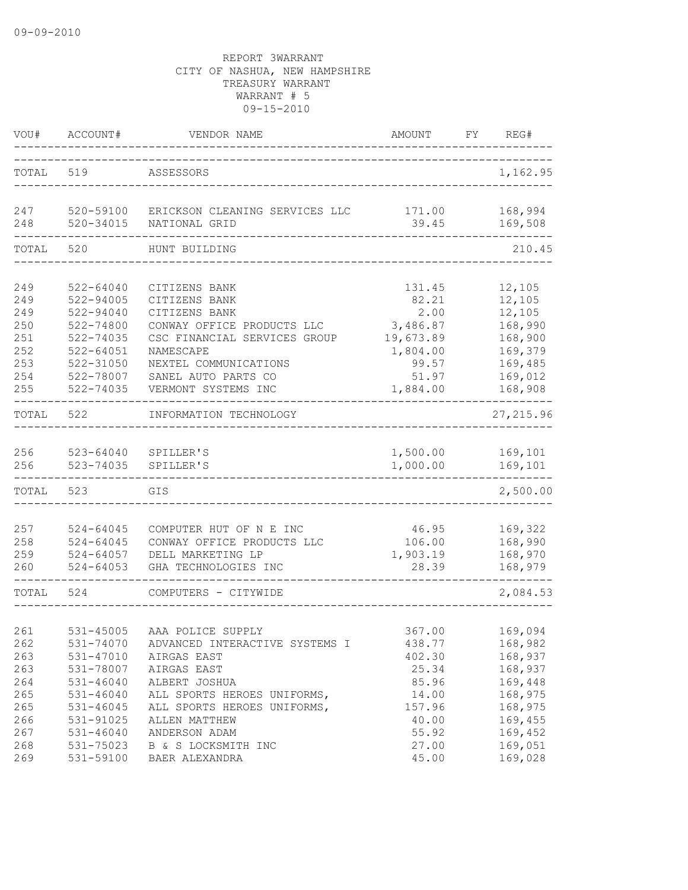| VOU#              | ACCOUNT#                                | VENDOR NAME                                                                 | AMOUNT                         | FY | REG#                          |
|-------------------|-----------------------------------------|-----------------------------------------------------------------------------|--------------------------------|----|-------------------------------|
| TOTAL             | 519                                     | ASSESSORS                                                                   |                                |    | 1,162.95                      |
| 247<br>248        | 520-59100<br>$520 - 34015$              | ERICKSON CLEANING SERVICES LLC<br>NATIONAL GRID                             | 171.00<br>39.45                |    | 168,994<br>169,508            |
| TOTAL             | 520                                     | HUNT BUILDING                                                               |                                |    | 210.45                        |
|                   |                                         |                                                                             |                                |    |                               |
| 249<br>249        | $522 - 64040$<br>522-94005              | CITIZENS BANK<br>CITIZENS BANK                                              | 131.45<br>82.21                |    | 12,105<br>12,105              |
| 249<br>250<br>251 | 522-94040<br>$522 - 74800$<br>522-74035 | CITIZENS BANK<br>CONWAY OFFICE PRODUCTS LLC<br>CSC FINANCIAL SERVICES GROUP | 2.00<br>3,486.87               |    | 12,105<br>168,990             |
| 252<br>253        | $522 - 64051$<br>522-31050              | NAMESCAPE<br>NEXTEL COMMUNICATIONS                                          | 19,673.89<br>1,804.00<br>99.57 |    | 168,900<br>169,379<br>169,485 |
| 254<br>255        | 522-78007<br>522-74035                  | SANEL AUTO PARTS CO<br>VERMONT SYSTEMS INC                                  | 51.97<br>1,884.00              |    | 169,012<br>168,908            |
| TOTAL             | 522                                     | INFORMATION TECHNOLOGY                                                      |                                |    | 27, 215.96                    |
| 256<br>256        | 523-64040<br>523-74035                  | SPILLER'S<br>SPILLER'S                                                      | 1,500.00<br>1,000.00           |    | 169,101<br>169,101            |
| TOTAL             | 523                                     | GIS                                                                         |                                |    | 2,500.00                      |
| 257               | $524 - 64045$                           | COMPUTER HUT OF N E INC                                                     | 46.95                          |    | 169,322                       |
| 258               | $524 - 64045$                           | CONWAY OFFICE PRODUCTS LLC                                                  | 106.00                         |    | 168,990                       |
| 259               | $524 - 64057$                           | DELL MARKETING LP                                                           | 1,903.19                       |    | 168,970                       |
| 260               | $524 - 64053$                           | GHA TECHNOLOGIES INC                                                        | 28.39                          |    | 168,979                       |
| TOTAL             | 524                                     | COMPUTERS - CITYWIDE                                                        |                                |    | 2,084.53                      |
| 261               |                                         |                                                                             |                                |    |                               |
| 262               | 531-45005<br>531-74070                  | AAA POLICE SUPPLY<br>ADVANCED INTERACTIVE SYSTEMS I                         | 367.00<br>438.77               |    | 169,094<br>168,982            |
| 263               | 531-47010                               | AIRGAS EAST                                                                 | 402.30                         |    | 168,937                       |
| 263               | 531-78007                               | AIRGAS EAST                                                                 | 25.34                          |    | 168,937                       |
| 264               | $531 - 46040$                           | ALBERT JOSHUA                                                               | 85.96                          |    | 169,448                       |
| 265               | $531 - 46040$                           | ALL SPORTS HEROES UNIFORMS,                                                 | 14.00                          |    | 168,975                       |
| 265               | $531 - 46045$                           | ALL SPORTS HEROES UNIFORMS,                                                 | 157.96                         |    | 168,975                       |
| 266               | 531-91025                               | ALLEN MATTHEW                                                               | 40.00                          |    | 169,455                       |
| 267               | $531 - 46040$                           | ANDERSON ADAM                                                               | 55.92                          |    | 169,452                       |
| 268               | 531-75023                               | B & S LOCKSMITH INC                                                         | 27.00                          |    | 169,051                       |
| 269               | 531-59100                               | BAER ALEXANDRA                                                              | 45.00                          |    | 169,028                       |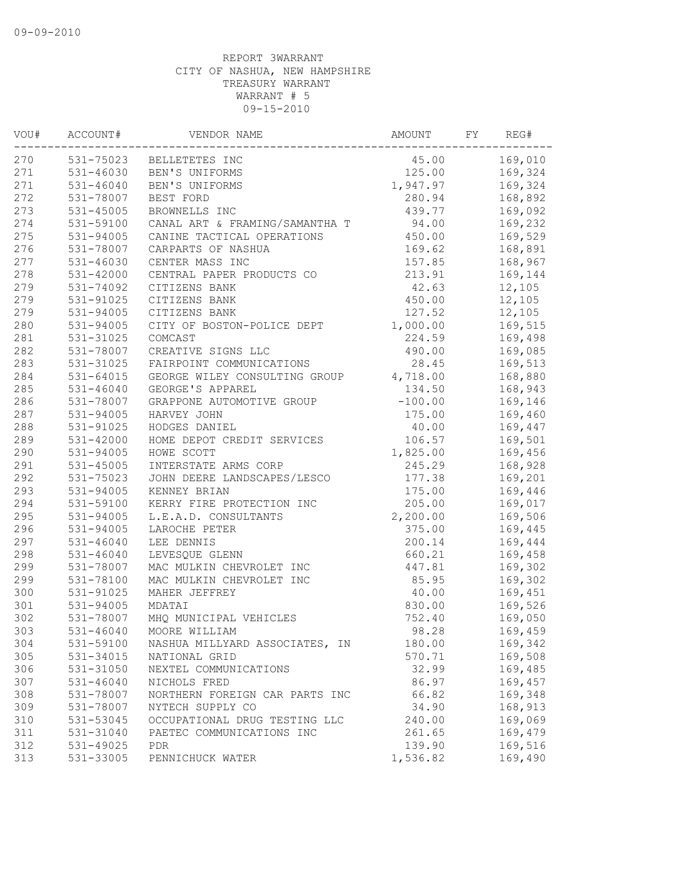| VOU# | ACCOUNT#      | VENDOR NAME                    | AMOUNT    | FY | REG#    |
|------|---------------|--------------------------------|-----------|----|---------|
| 270  | 531-75023     | BELLETETES INC                 | 45.00     |    | 169,010 |
| 271  | 531-46030     | BEN'S UNIFORMS                 | 125.00    |    | 169,324 |
| 271  | $531 - 46040$ | BEN'S UNIFORMS                 | 1,947.97  |    | 169,324 |
| 272  | 531-78007     | BEST FORD                      | 280.94    |    | 168,892 |
| 273  | $531 - 45005$ | BROWNELLS INC                  | 439.77    |    | 169,092 |
| 274  | 531-59100     | CANAL ART & FRAMING/SAMANTHA T | 94.00     |    | 169,232 |
| 275  | 531-94005     | CANINE TACTICAL OPERATIONS     | 450.00    |    | 169,529 |
| 276  | 531-78007     | CARPARTS OF NASHUA             | 169.62    |    | 168,891 |
| 277  | $531 - 46030$ | CENTER MASS INC                | 157.85    |    | 168,967 |
| 278  | 531-42000     | CENTRAL PAPER PRODUCTS CO      | 213.91    |    | 169,144 |
| 279  | 531-74092     | CITIZENS BANK                  | 42.63     |    | 12,105  |
| 279  | 531-91025     | CITIZENS BANK                  | 450.00    |    | 12,105  |
| 279  | $531 - 94005$ | CITIZENS BANK                  | 127.52    |    | 12,105  |
| 280  | $531 - 94005$ | CITY OF BOSTON-POLICE DEPT     | 1,000.00  |    | 169,515 |
| 281  | 531-31025     | COMCAST                        | 224.59    |    | 169,498 |
| 282  | 531-78007     | CREATIVE SIGNS LLC             | 490.00    |    | 169,085 |
| 283  | 531-31025     | FAIRPOINT COMMUNICATIONS       | 28.45     |    | 169,513 |
| 284  | 531-64015     | GEORGE WILEY CONSULTING GROUP  | 4,718.00  |    | 168,880 |
| 285  | $531 - 46040$ | GEORGE'S APPAREL               | 134.50    |    | 168,943 |
| 286  | 531-78007     | GRAPPONE AUTOMOTIVE GROUP      | $-100.00$ |    | 169,146 |
| 287  | $531 - 94005$ | HARVEY JOHN                    | 175.00    |    | 169,460 |
| 288  | 531-91025     | HODGES DANIEL                  | 40.00     |    | 169,447 |
| 289  | 531-42000     | HOME DEPOT CREDIT SERVICES     | 106.57    |    | 169,501 |
| 290  | 531-94005     | HOWE SCOTT                     | 1,825.00  |    | 169,456 |
| 291  | $531 - 45005$ | INTERSTATE ARMS CORP           | 245.29    |    | 168,928 |
| 292  | 531-75023     | JOHN DEERE LANDSCAPES/LESCO    | 177.38    |    | 169,201 |
| 293  | $531 - 94005$ | KENNEY BRIAN                   | 175.00    |    | 169,446 |
| 294  | 531-59100     | KERRY FIRE PROTECTION INC      | 205.00    |    | 169,017 |
| 295  | 531-94005     | L.E.A.D. CONSULTANTS           | 2,200.00  |    | 169,506 |
| 296  | 531-94005     | LAROCHE PETER                  | 375.00    |    | 169,445 |
| 297  | $531 - 46040$ | LEE DENNIS                     | 200.14    |    | 169,444 |
| 298  | $531 - 46040$ | LEVESQUE GLENN                 | 660.21    |    | 169,458 |
| 299  | 531-78007     | MAC MULKIN CHEVROLET INC       | 447.81    |    | 169,302 |
| 299  | 531-78100     | MAC MULKIN CHEVROLET INC       | 85.95     |    | 169,302 |
| 300  | 531-91025     | MAHER JEFFREY                  | 40.00     |    | 169,451 |
| 301  | $531 - 94005$ | MDATAI                         | 830.00    |    | 169,526 |
| 302  | 531-78007     | MHQ MUNICIPAL VEHICLES         | 752.40    |    | 169,050 |
| 303  | $531 - 46040$ | MOORE WILLIAM                  | 98.28     |    | 169,459 |
| 304  | 531-59100     | NASHUA MILLYARD ASSOCIATES, IN | 180.00    |    | 169,342 |
| 305  | 531-34015     | NATIONAL GRID                  | 570.71    |    | 169,508 |
| 306  | 531-31050     | NEXTEL COMMUNICATIONS          | 32.99     |    | 169,485 |
| 307  | $531 - 46040$ | NICHOLS FRED                   | 86.97     |    | 169,457 |
| 308  | 531-78007     | NORTHERN FOREIGN CAR PARTS INC | 66.82     |    | 169,348 |
| 309  | 531-78007     | NYTECH SUPPLY CO               | 34.90     |    | 168,913 |
| 310  | 531-53045     | OCCUPATIONAL DRUG TESTING LLC  | 240.00    |    | 169,069 |
| 311  | 531-31040     | PAETEC COMMUNICATIONS INC      | 261.65    |    | 169,479 |
| 312  | 531-49025     | <b>PDR</b>                     | 139.90    |    | 169,516 |
| 313  | 531-33005     | PENNICHUCK WATER               | 1,536.82  |    | 169,490 |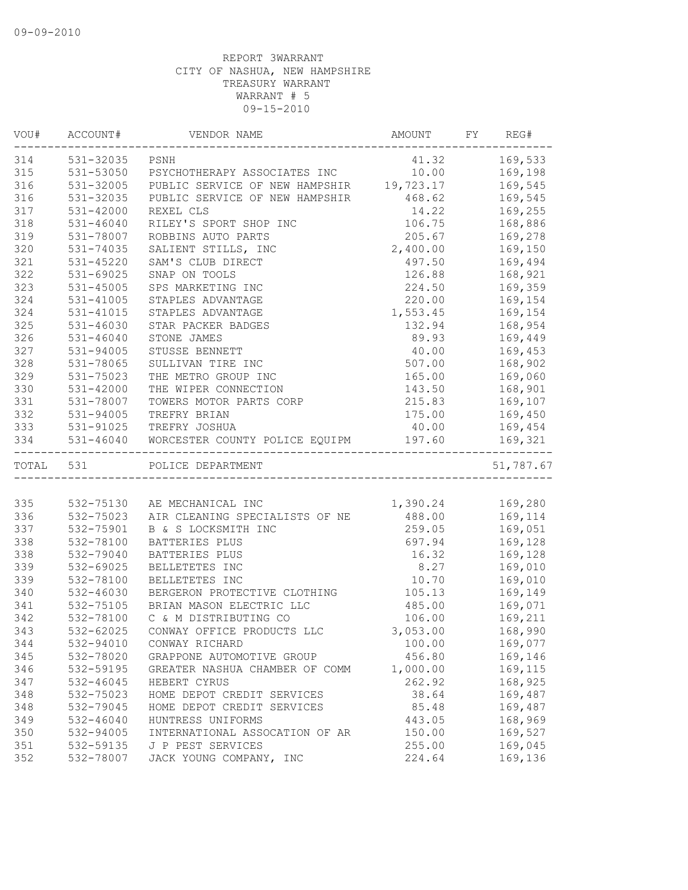| VOU#      | ACCOUNT#       | VENDOR NAME                                          | AMOUNT           | FY | REG#           |
|-----------|----------------|------------------------------------------------------|------------------|----|----------------|
| 314       | 531-32035 PSNH |                                                      | 41.32 169,533    |    |                |
| 315       |                | 531-53050 PSYCHOTHERAPY ASSOCIATES INC 10.00 169,198 |                  |    |                |
| 316       | 531-32005      | PUBLIC SERVICE OF NEW HAMPSHIR 19,723.17             |                  |    | 169,545        |
| 316       | 531-32035      | PUBLIC SERVICE OF NEW HAMPSHIR 468.62                |                  |    | 169,545        |
| 317       | 531-42000      | REXEL CLS                                            | 14.22            |    | 169,255        |
| 318       | $531 - 46040$  | RILEY'S SPORT SHOP INC                               | 106.75           |    | 168,886        |
| 319       | 531-78007      | ROBBINS AUTO PARTS                                   | 205.67           |    | 169,278        |
| 320       | 531-74035      | SALIENT STILLS, INC                                  | 2,400.00         |    | 169,150        |
| 321       | $531 - 45220$  | SAM'S CLUB DIRECT                                    | 497.50           |    | 169,494        |
| 322       | 531-69025      | SNAP ON TOOLS                                        | 126.88           |    | 168,921        |
| 323       | 531-45005      | SPS MARKETING INC                                    | 224.50           |    | 169,359        |
| 324       | 531-41005      | STAPLES ADVANTAGE                                    | 220.00           |    | 169,154        |
| 324       | 531-41015      | STAPLES ADVANTAGE                                    | 1,553.45         |    | 169,154        |
| 325       | 531-46030      | STAR PACKER BADGES                                   | 132.94           |    | 168,954        |
| 326       | 531-46040      | STONE JAMES                                          | 89.93            |    | 169,449        |
| 327       | 531-94005      | STUSSE BENNETT                                       | 40.00            |    | 169,453        |
| 328       | 531-78065      | SULLIVAN TIRE INC                                    | 507.00           |    | 168,902        |
| 329       | 531-75023      | THE METRO GROUP INC                                  | 165.00           |    | 169,060        |
| 330       | 531-42000      | THE WIPER CONNECTION                                 | 143.50           |    | 168,901        |
| 331       | 531-78007      | TOWERS MOTOR PARTS CORP                              | 215.83           |    | 169,107        |
| 332       | 531-94005      | TREFRY BRIAN                                         |                  |    | 175.00 169,450 |
| 333       |                | 531-91025 TREFRY JOSHUA                              | 40.00            |    | 169,454        |
| 334       |                | 531-46040 WORCESTER COUNTY POLICE EQUIPM             | 197.60           |    | 169,321        |
| TOTAL 531 |                | POLICE DEPARTMENT                                    |                  |    | 51,787.67      |
|           |                |                                                      |                  |    |                |
| 335       |                | 532-75130 AE MECHANICAL INC                          | 1,390.24 169,280 |    |                |
| 336       | 532-75023      | AIR CLEANING SPECIALISTS OF NE                       | 488.00 169,114   |    |                |
| 337       | 532-75901      | B & S LOCKSMITH INC                                  | 259.05           |    | 169,051        |
| 338       | 532-78100      | BATTERIES PLUS                                       | 697.94           |    | 169,128        |
| 338       | 532-79040      | BATTERIES PLUS                                       | 16.32            |    | 169,128        |
| 339       | 532-69025      | BELLETETES INC                                       | 8.27             |    | 169,010        |
| 339       | 532-78100      | BELLETETES INC                                       | 10.70            |    | 169,010        |
| 340       | 532-46030      | BERGERON PROTECTIVE CLOTHING                         | 105.13           |    | 169,149        |
| 341       | 532-75105      | BRIAN MASON ELECTRIC LLC                             | 485.00           |    | 169,071        |
| 342       | 532-78100      | C & M DISTRIBUTING CO                                | 106.00           |    | 169,211        |
| 343       | 532-62025      | CONWAY OFFICE PRODUCTS LLC                           | 3,053.00         |    | 168,990        |
| 344       | 532-94010      | CONWAY RICHARD                                       | 100.00           |    | 169,077        |
| 345       | 532-78020      | GRAPPONE AUTOMOTIVE GROUP                            | 456.80           |    | 169,146        |
| 346       | 532-59195      | GREATER NASHUA CHAMBER OF COMM                       | 1,000.00         |    | 169,115        |
| 347       | 532-46045      | HEBERT CYRUS                                         | 262.92           |    | 168,925        |
| 348       | 532-75023      | HOME DEPOT CREDIT SERVICES                           | 38.64            |    | 169,487        |
| 348       | 532-79045      | HOME DEPOT CREDIT SERVICES                           | 85.48            |    | 169,487        |
| 349       | 532-46040      | HUNTRESS UNIFORMS                                    | 443.05           |    | 168,969        |
| 350       | 532-94005      | INTERNATIONAL ASSOCATION OF AR                       | 150.00           |    | 169,527        |
| 351       | 532-59135      | J P PEST SERVICES                                    | 255.00           |    | 169,045        |
| 352       | 532-78007      | JACK YOUNG COMPANY, INC                              | 224.64           |    | 169,136        |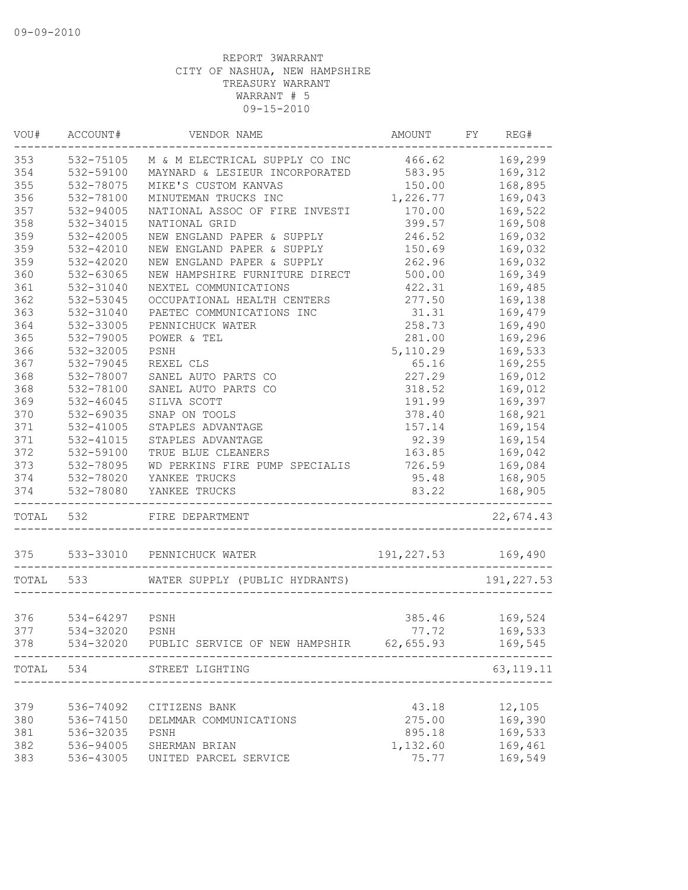| VOU#      | ACCOUNT#               | VENDOR NAME                                        | AMOUNT     | FY REG# |             |
|-----------|------------------------|----------------------------------------------------|------------|---------|-------------|
| 353       | 532-75105              | M & M ELECTRICAL SUPPLY CO INC 466.62              |            |         | 169,299     |
| 354       | 532-59100              | MAYNARD & LESIEUR INCORPORATED                     | 583.95     |         | 169,312     |
| 355       | 532-78075              | MIKE'S CUSTOM KANVAS                               | 150.00     |         | 168,895     |
| 356       | 532-78100              | MINUTEMAN TRUCKS INC                               | 1,226.77   |         | 169,043     |
| 357       | 532-94005              | NATIONAL ASSOC OF FIRE INVESTI                     | 170.00     |         | 169,522     |
| 358       | 532-34015              | NATIONAL GRID                                      | 399.57     |         | 169,508     |
| 359       | 532-42005              | NEW ENGLAND PAPER & SUPPLY                         | 246.52     |         | 169,032     |
| 359       | 532-42010              | NEW ENGLAND PAPER & SUPPLY                         | 150.69     |         | 169,032     |
| 359       | 532-42020              | NEW ENGLAND PAPER & SUPPLY                         | 262.96     |         | 169,032     |
| 360       | 532-63065              | NEW HAMPSHIRE FURNITURE DIRECT                     | 500.00     |         | 169,349     |
| 361       | 532-31040              | NEXTEL COMMUNICATIONS                              | 422.31     |         | 169,485     |
| 362       | 532-53045              | OCCUPATIONAL HEALTH CENTERS                        | 277.50     |         | 169,138     |
| 363       | 532-31040              | PAETEC COMMUNICATIONS INC                          | 31.31      |         | 169,479     |
| 364       | 532-33005              | PENNICHUCK WATER                                   | 258.73     |         | 169,490     |
| 365       | 532-79005              | POWER & TEL                                        | 281.00     |         | 169,296     |
| 366       | 532-32005              | PSNH                                               | 5,110.29   |         | 169,533     |
| 367       | 532-79045              | REXEL CLS                                          | 65.16      |         | 169,255     |
| 368       | 532-78007              | SANEL AUTO PARTS CO                                | 227.29     |         | 169,012     |
| 368       | 532-78100              | SANEL AUTO PARTS CO                                | 318.52     |         | 169,012     |
| 369       | 532-46045              | SILVA SCOTT                                        | 191.99     |         | 169,397     |
| 370       | 532-69035              | SNAP ON TOOLS                                      | 378.40     |         | 168,921     |
| 371       | 532-41005              | STAPLES ADVANTAGE                                  | 157.14     |         | 169,154     |
| 371       | 532-41015              | STAPLES ADVANTAGE                                  | 92.39      |         | 169,154     |
| 372       | 532-59100              | TRUE BLUE CLEANERS                                 | 163.85     |         | 169,042     |
| 373       | 532-78095              | WD PERKINS FIRE PUMP SPECIALIS                     | 726.59     |         | 169,084     |
| 374       | 532-78020              | YANKEE TRUCKS                                      | 95.48      |         | 168,905     |
| 374       | 532-78080              | YANKEE TRUCKS                                      | 83.22      |         | 168,905     |
| TOTAL 532 | ---------------------- | FIRE DEPARTMENT                                    |            |         | 22,674.43   |
|           | 375 533-33010          | PENNICHUCK WATER                                   | 191,227.53 | 169,490 |             |
| TOTAL 533 |                        | WATER SUPPLY (PUBLIC HYDRANTS)                     |            |         | 191, 227.53 |
|           |                        |                                                    |            |         |             |
| 376       | 534-64297              | PSNH                                               | 385.46     | 169,524 |             |
| 377       | 534-32020 PSNH         |                                                    | 77.72      | 169,533 |             |
| 378       |                        | 534-32020 PUBLIC SERVICE OF NEW HAMPSHIR 62,655.93 |            |         | 169,545     |
| TOTAL 534 |                        | STREET LIGHTING                                    |            |         | 63, 119. 11 |
|           |                        |                                                    |            |         |             |
| 379       | 536-74092              | CITIZENS BANK                                      | 43.18      |         | 12,105      |
| 380       | 536-74150              | DELMMAR COMMUNICATIONS                             | 275.00     |         | 169,390     |
| 381       | 536-32035              | PSNH                                               | 895.18     |         | 169,533     |
| 382       | 536-94005              | SHERMAN BRIAN                                      | 1,132.60   |         | 169,461     |
| 383       | 536-43005              | UNITED PARCEL SERVICE                              | 75.77      |         | 169,549     |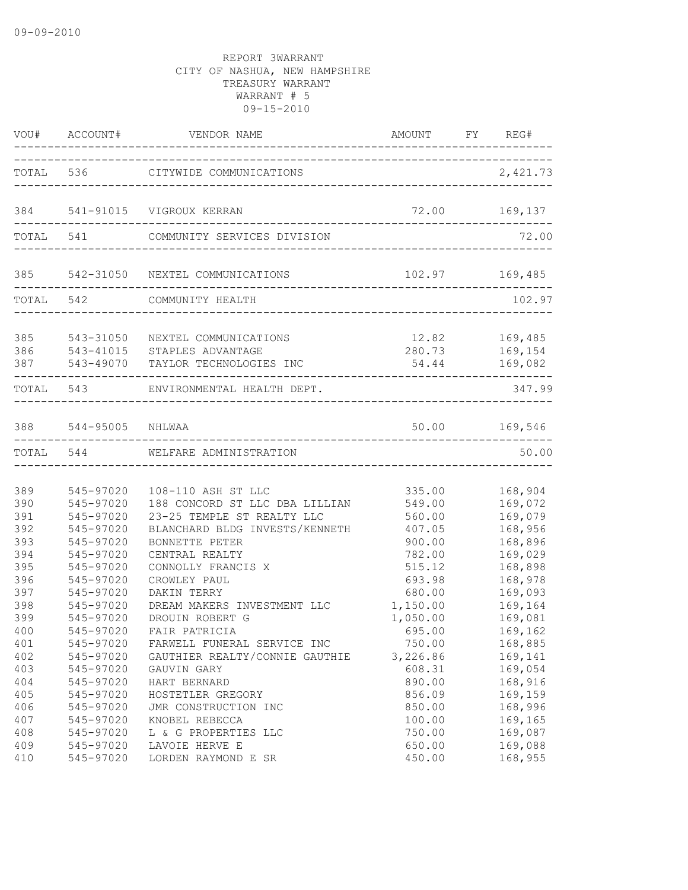|                          |                                                  | VOU# ACCOUNT# VENDOR NAME AMOUNT FY RE                                                              | AMOUNT FY REG#                           |                                          |
|--------------------------|--------------------------------------------------|-----------------------------------------------------------------------------------------------------|------------------------------------------|------------------------------------------|
|                          |                                                  | TOTAL 536 CITYWIDE COMMUNICATIONS                                                                   |                                          | 2,421.73                                 |
|                          |                                                  | 384 541-91015 VIGROUX KERRAN                                                                        | 72.00 169,137                            |                                          |
|                          |                                                  | TOTAL 541 COMMUNITY SERVICES DIVISION                                                               |                                          | 72.00                                    |
|                          |                                                  | 385 542-31050 NEXTEL COMMUNICATIONS                                                                 |                                          | 102.97 169,485                           |
|                          |                                                  | TOTAL 542 COMMUNITY HEALTH                                                                          |                                          | 102.97                                   |
| 385<br>386<br>387        | 87  543-49070  TA<br>--------------------        | 543-31050 NEXTEL COMMUNICATIONS<br>543-41015 STAPLES ADVANTAGE<br>543-49070 TAYLOR TECHNOLOGIES INC | 280.73 169,154                           | 12.82 169,485<br>54.44 169,082           |
|                          |                                                  | TOTAL 543 ENVIRONMENTAL HEALTH DEPT.                                                                |                                          | 347.99                                   |
|                          | 388 544-95005 NHLWAA                             |                                                                                                     |                                          | 50.00 169,546                            |
|                          |                                                  | TOTAL 544 WELFARE ADMINISTRATION                                                                    |                                          | 50.00                                    |
| 389<br>390<br>391        | 545-97020<br>545-97020<br>545-97020              | 108-110 ASH ST LLC<br>188 CONCORD ST LLC DBA LILLIAN<br>23-25 TEMPLE ST REALTY LLC                  | 335.00<br>549.00<br>560.00               | 168,904<br>169,072<br>169,079            |
| 392<br>393<br>394        | 545-97020<br>545-97020<br>545-97020              | BLANCHARD BLDG INVESTS/KENNETH<br>BONNETTE PETER<br>CENTRAL REALTY                                  | 407.05<br>900.00<br>782.00               | 168,956<br>168,896<br>169,029            |
| 395<br>396<br>397<br>398 | 545-97020<br>545-97020<br>545-97020<br>545-97020 | CONNOLLY FRANCIS X<br>CROWLEY PAUL<br>DAKIN TERRY<br>DREAM MAKERS INVESTMENT LLC                    | 515.12<br>693.98<br>680.00<br>1,150.00   | 168,898<br>168,978<br>169,093<br>169,164 |
| 399<br>400<br>401<br>402 | 545-97020<br>545-97020<br>545-97020<br>545-97020 | DROUIN ROBERT G<br>FAIR PATRICIA<br>FARWELL FUNERAL SERVICE INC<br>GAUTHIER REALTY/CONNIE GAUTHIE   | 1,050.00<br>695.00<br>750.00<br>3,226.86 | 169,081<br>169,162<br>168,885<br>169,141 |
| 403<br>404<br>405        | 545-97020<br>545-97020<br>545-97020              | GAUVIN GARY<br>HART BERNARD<br>HOSTETLER GREGORY                                                    | 608.31<br>890.00<br>856.09               | 169,054<br>168,916<br>169,159            |
| 406<br>407<br>408<br>409 | 545-97020<br>545-97020<br>545-97020<br>545-97020 | JMR CONSTRUCTION INC<br>KNOBEL REBECCA<br>L & G PROPERTIES LLC<br>LAVOIE HERVE E                    | 850.00<br>100.00<br>750.00<br>650.00     | 168,996<br>169,165<br>169,087<br>169,088 |
| 410                      | 545-97020                                        | LORDEN RAYMOND E SR                                                                                 | 450.00                                   | 168,955                                  |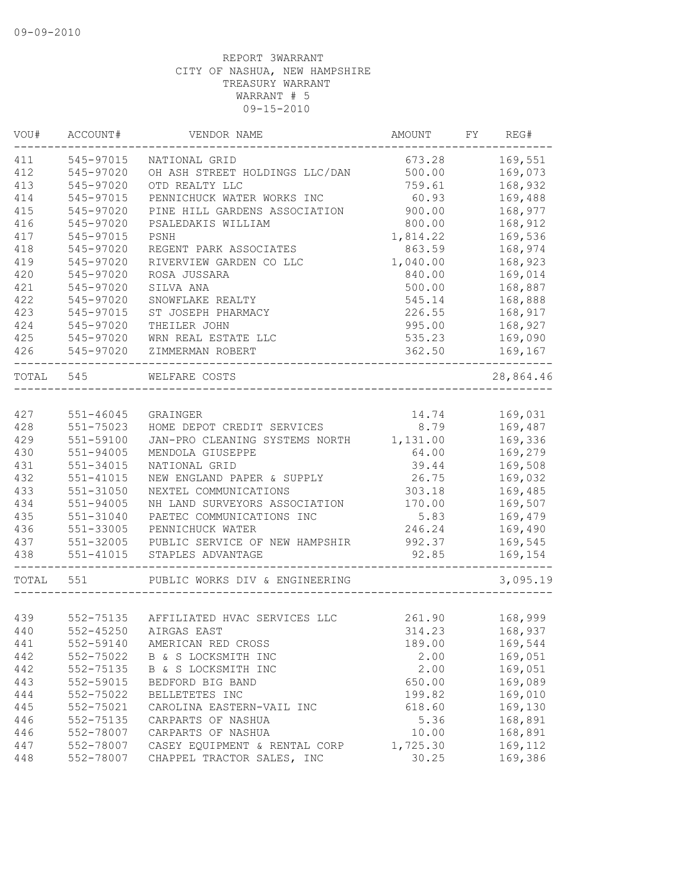| VOU#      | ACCOUNT#      | VENDOR NAME                                  | AMOUNT   | FY | REG#      |
|-----------|---------------|----------------------------------------------|----------|----|-----------|
| 411       | 545-97015     | NATIONAL GRID                                | 673.28   |    | 169,551   |
| 412       | 545-97020     | OH ASH STREET HOLDINGS LLC/DAN               | 500.00   |    | 169,073   |
| 413       | 545-97020     | OTD REALTY LLC                               | 759.61   |    | 168,932   |
| 414       | 545-97015     | PENNICHUCK WATER WORKS INC                   | 60.93    |    | 169,488   |
| 415       | 545-97020     | PINE HILL GARDENS ASSOCIATION                | 900.00   |    | 168,977   |
| 416       | 545-97020     | PSALEDAKIS WILLIAM                           | 800.00   |    | 168,912   |
| 417       | 545-97015     | PSNH                                         | 1,814.22 |    | 169,536   |
| 418       | 545-97020     | REGENT PARK ASSOCIATES                       | 863.59   |    | 168,974   |
| 419       | 545-97020     | RIVERVIEW GARDEN CO LLC                      | 1,040.00 |    | 168,923   |
| 420       | 545-97020     | ROSA JUSSARA                                 | 840.00   |    | 169,014   |
| 421       | 545-97020     | SILVA ANA                                    | 500.00   |    | 168,887   |
| 422       | 545-97020     | SNOWFLAKE REALTY                             | 545.14   |    | 168,888   |
| 423       | 545-97015     | ST JOSEPH PHARMACY                           | 226.55   |    | 168,917   |
| 424       | 545-97020     | THEILER JOHN                                 | 995.00   |    | 168,927   |
| 425       | 545-97020     | WRN REAL ESTATE LLC                          | 535.23   |    | 169,090   |
| 426       | 545-97020     | ZIMMERMAN ROBERT                             | 362.50   |    | 169,167   |
| TOTAL 545 |               | WELFARE COSTS<br>___________________________ |          |    | 28,864.46 |
|           |               |                                              |          |    |           |
| 427       | 551-46045     | GRAINGER                                     | 14.74    |    | 169,031   |
| 428       | 551-75023     | HOME DEPOT CREDIT SERVICES                   | 8.79     |    | 169,487   |
| 429       | 551-59100     | JAN-PRO CLEANING SYSTEMS NORTH               | 1,131.00 |    | 169,336   |
| 430       | 551-94005     | MENDOLA GIUSEPPE                             | 64.00    |    | 169,279   |
| 431       | 551-34015     | NATIONAL GRID                                | 39.44    |    | 169,508   |
| 432       | $551 - 41015$ | NEW ENGLAND PAPER & SUPPLY                   | 26.75    |    | 169,032   |
| 433       | $551 - 31050$ | NEXTEL COMMUNICATIONS                        | 303.18   |    | 169,485   |
| 434       | 551-94005     | NH LAND SURVEYORS ASSOCIATION                | 170.00   |    | 169,507   |
| 435       | 551-31040     | PAETEC COMMUNICATIONS INC                    | 5.83     |    | 169,479   |
| 436       | 551-33005     | PENNICHUCK WATER                             | 246.24   |    | 169,490   |
| 437       | 551-32005     | PUBLIC SERVICE OF NEW HAMPSHIR               | 992.37   |    | 169,545   |
| 438       | $551 - 41015$ | STAPLES ADVANTAGE                            | 92.85    |    | 169,154   |
| TOTAL     | 551           | PUBLIC WORKS DIV & ENGINEERING               |          |    | 3,095.19  |
|           |               |                                              |          |    |           |
| 439       |               | 552-75135 AFFILIATED HVAC SERVICES LLC       | 261.90   |    | 168,999   |
| 440       |               | 552-45250 AIRGAS EAST                        | 314.23   |    | 168,937   |
| 441       | 552-59140     | AMERICAN RED CROSS                           | 189.00   |    | 169,544   |
| 442       | 552-75022     | B & S LOCKSMITH INC                          | 2.00     |    | 169,051   |
| 442       | 552-75135     | B & S LOCKSMITH INC                          | 2.00     |    | 169,051   |
| 443       | 552-59015     | BEDFORD BIG BAND                             | 650.00   |    | 169,089   |
| 444       | 552-75022     | BELLETETES INC                               | 199.82   |    | 169,010   |
| 445       | 552-75021     | CAROLINA EASTERN-VAIL INC                    | 618.60   |    | 169,130   |
| 446       | 552-75135     | CARPARTS OF NASHUA                           | 5.36     |    | 168,891   |
| 446       | 552-78007     | CARPARTS OF NASHUA                           | 10.00    |    | 168,891   |
| 447       | 552-78007     | CASEY EQUIPMENT & RENTAL CORP                | 1,725.30 |    | 169,112   |
| 448       | 552-78007     | CHAPPEL TRACTOR SALES, INC                   | 30.25    |    | 169,386   |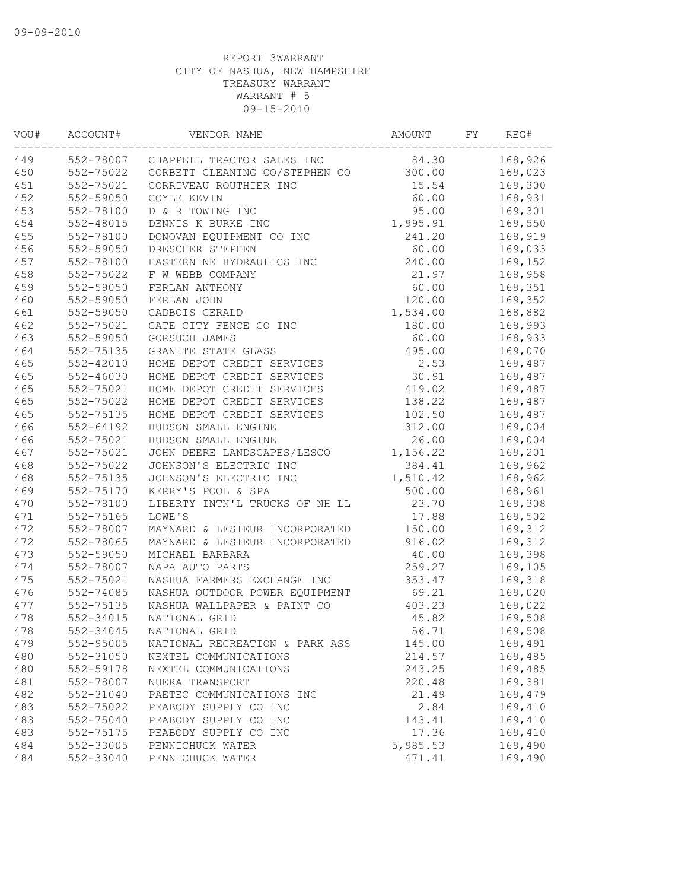| VOU# | ACCOUNT#      | VENDOR NAME                          | AMOUNT   | FY | REG#    |
|------|---------------|--------------------------------------|----------|----|---------|
| 449  |               | 552-78007 CHAPPELL TRACTOR SALES INC | 84.30    |    | 168,926 |
| 450  | 552-75022     | CORBETT CLEANING CO/STEPHEN CO       | 300.00   |    | 169,023 |
| 451  | 552-75021     | CORRIVEAU ROUTHIER INC               | 15.54    |    | 169,300 |
| 452  | 552-59050     | COYLE KEVIN                          | 60.00    |    | 168,931 |
| 453  | 552-78100     | D & R TOWING INC                     | 95.00    |    | 169,301 |
| 454  | 552-48015     | DENNIS K BURKE INC                   | 1,995.91 |    | 169,550 |
| 455  | 552-78100     | DONOVAN EQUIPMENT CO INC             | 241.20   |    | 168,919 |
| 456  | 552-59050     | DRESCHER STEPHEN                     | 60.00    |    | 169,033 |
| 457  | 552-78100     | EASTERN NE HYDRAULICS INC            | 240.00   |    | 169,152 |
| 458  | 552-75022     | F W WEBB COMPANY                     | 21.97    |    | 168,958 |
| 459  | 552-59050     | FERLAN ANTHONY                       | 60.00    |    | 169,351 |
| 460  | 552-59050     | FERLAN JOHN                          | 120.00   |    | 169,352 |
| 461  | 552-59050     | GADBOIS GERALD                       | 1,534.00 |    | 168,882 |
| 462  | 552-75021     | GATE CITY FENCE CO INC               | 180.00   |    | 168,993 |
| 463  | 552-59050     | GORSUCH JAMES                        | 60.00    |    | 168,933 |
| 464  | 552-75135     | GRANITE STATE GLASS                  | 495.00   |    | 169,070 |
| 465  | $552 - 42010$ | HOME DEPOT CREDIT SERVICES           | 2.53     |    | 169,487 |
| 465  | $552 - 46030$ | HOME DEPOT CREDIT SERVICES           | 30.91    |    | 169,487 |
| 465  | 552-75021     | HOME DEPOT CREDIT SERVICES           | 419.02   |    | 169,487 |
| 465  | 552-75022     | HOME DEPOT CREDIT SERVICES           | 138.22   |    | 169,487 |
| 465  | 552-75135     | HOME DEPOT CREDIT SERVICES           | 102.50   |    | 169,487 |
| 466  | $552 - 64192$ | HUDSON SMALL ENGINE                  | 312.00   |    | 169,004 |
| 466  | 552-75021     | HUDSON SMALL ENGINE                  | 26.00    |    | 169,004 |
| 467  | 552-75021     | JOHN DEERE LANDSCAPES/LESCO          | 1,156.22 |    | 169,201 |
| 468  | 552-75022     | JOHNSON'S ELECTRIC INC               | 384.41   |    | 168,962 |
| 468  | 552-75135     | JOHNSON'S ELECTRIC INC               | 1,510.42 |    | 168,962 |
| 469  | 552-75170     | KERRY'S POOL & SPA                   | 500.00   |    | 168,961 |
| 470  | 552-78100     | LIBERTY INTN'L TRUCKS OF NH LL       | 23.70    |    | 169,308 |
| 471  | 552-75165     | LOWE'S                               | 17.88    |    | 169,502 |
| 472  | 552-78007     | MAYNARD & LESIEUR INCORPORATED       | 150.00   |    | 169,312 |
| 472  | 552-78065     | MAYNARD & LESIEUR INCORPORATED       | 916.02   |    | 169,312 |
| 473  | 552-59050     | MICHAEL BARBARA                      | 40.00    |    | 169,398 |
| 474  | 552-78007     | NAPA AUTO PARTS                      | 259.27   |    | 169,105 |
| 475  | 552-75021     | NASHUA FARMERS EXCHANGE INC          | 353.47   |    |         |
| 476  | 552-74085     | NASHUA OUTDOOR POWER EQUIPMENT       | 69.21    |    | 169,318 |
|      | 552-75135     |                                      |          |    | 169,020 |
| 477  |               | NASHUA WALLPAPER & PAINT CO          | 403.23   |    | 169,022 |
| 478  | 552-34015     | NATIONAL GRID                        | 45.82    |    | 169,508 |
| 478  | 552-34045     | NATIONAL GRID                        | 56.71    |    | 169,508 |
| 479  | 552-95005     | NATIONAL RECREATION & PARK ASS       | 145.00   |    | 169,491 |
| 480  | 552-31050     | NEXTEL COMMUNICATIONS                | 214.57   |    | 169,485 |
| 480  | 552-59178     | NEXTEL COMMUNICATIONS                | 243.25   |    | 169,485 |
| 481  | 552-78007     | NUERA TRANSPORT                      | 220.48   |    | 169,381 |
| 482  | 552-31040     | PAETEC COMMUNICATIONS INC            | 21.49    |    | 169,479 |
| 483  | 552-75022     | PEABODY SUPPLY CO INC                | 2.84     |    | 169,410 |
| 483  | 552-75040     | PEABODY SUPPLY CO INC                | 143.41   |    | 169,410 |
| 483  | 552-75175     | PEABODY SUPPLY CO INC                | 17.36    |    | 169,410 |
| 484  | 552-33005     | PENNICHUCK WATER                     | 5,985.53 |    | 169,490 |
| 484  | 552-33040     | PENNICHUCK WATER                     | 471.41   |    | 169,490 |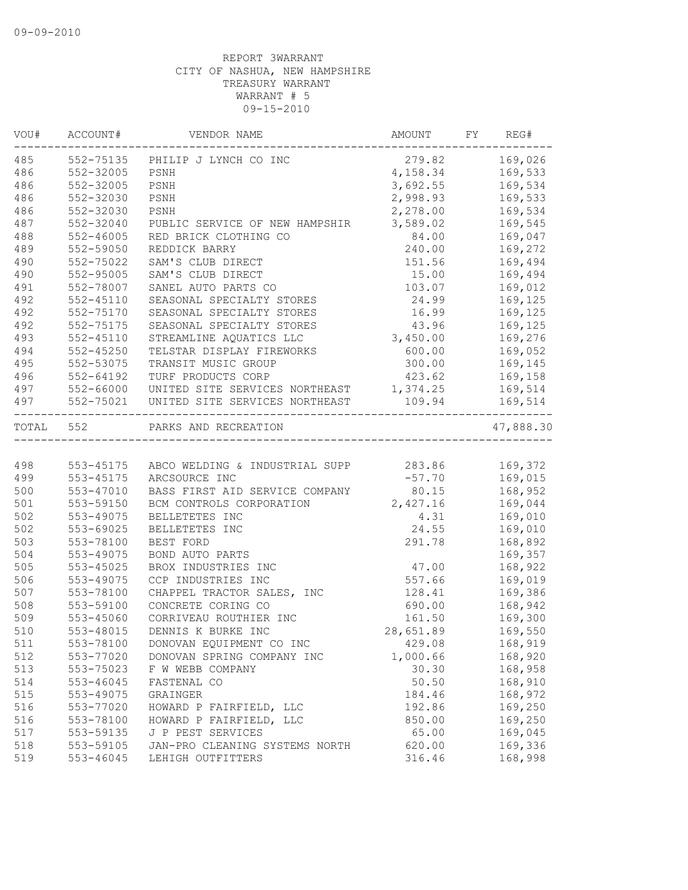| VOU#      | ACCOUNT#      | VENDOR NAME                    | AMOUNT    | FY. | REG#      |
|-----------|---------------|--------------------------------|-----------|-----|-----------|
| 485       | 552-75135     | PHILIP J LYNCH CO INC          | 279.82    |     | 169,026   |
| 486       | 552-32005     | PSNH                           | 4,158.34  |     | 169,533   |
| 486       | 552-32005     | PSNH                           | 3,692.55  |     | 169,534   |
| 486       | 552-32030     | PSNH                           | 2,998.93  |     | 169,533   |
| 486       | 552-32030     | PSNH                           | 2,278.00  |     | 169,534   |
| 487       | 552-32040     | PUBLIC SERVICE OF NEW HAMPSHIR | 3,589.02  |     | 169,545   |
| 488       | $552 - 46005$ | RED BRICK CLOTHING CO          | 84.00     |     | 169,047   |
| 489       | 552-59050     | REDDICK BARRY                  | 240.00    |     | 169,272   |
| 490       | 552-75022     | SAM'S CLUB DIRECT              | 151.56    |     | 169,494   |
| 490       | 552-95005     | SAM'S CLUB DIRECT              | 15.00     |     | 169,494   |
| 491       | 552-78007     | SANEL AUTO PARTS CO            | 103.07    |     | 169,012   |
| 492       | $552 - 45110$ | SEASONAL SPECIALTY STORES      | 24.99     |     | 169,125   |
| 492       | 552-75170     | SEASONAL SPECIALTY STORES      | 16.99     |     | 169,125   |
| 492       | 552-75175     | SEASONAL SPECIALTY STORES      | 43.96     |     | 169,125   |
| 493       | $552 - 45110$ | STREAMLINE AQUATICS LLC        | 3,450.00  |     | 169,276   |
| 494       | $552 - 45250$ | TELSTAR DISPLAY FIREWORKS      | 600.00    |     | 169,052   |
| 495       | 552-53075     | TRANSIT MUSIC GROUP            | 300.00    |     | 169,145   |
| 496       | 552-64192     | TURF PRODUCTS CORP             | 423.62    |     | 169,158   |
| 497       | 552-66000     | UNITED SITE SERVICES NORTHEAST | 1,374.25  |     | 169,514   |
| 497       | 552-75021     | UNITED SITE SERVICES NORTHEAST | 109.94    |     | 169,514   |
| TOTAL 552 |               | PARKS AND RECREATION           |           |     | 47,888.30 |
|           |               |                                |           |     |           |
| 498       | 553-45175     | ABCO WELDING & INDUSTRIAL SUPP | 283.86    |     | 169,372   |
| 499       | 553-45175     | ARCSOURCE INC                  | $-57.70$  |     | 169,015   |
| 500       | 553-47010     | BASS FIRST AID SERVICE COMPANY | 80.15     |     | 168,952   |
| 501       | 553-59150     | BCM CONTROLS CORPORATION       | 2,427.16  |     | 169,044   |
| 502       | 553-49075     | BELLETETES INC                 | 4.31      |     | 169,010   |
| 502       | 553-69025     | BELLETETES INC                 | 24.55     |     | 169,010   |
| 503       | 553-78100     | BEST FORD                      | 291.78    |     | 168,892   |
| 504       | 553-49075     | BOND AUTO PARTS                |           |     | 169,357   |
| 505       | 553-45025     | BROX INDUSTRIES INC            | 47.00     |     | 168,922   |
| 506       | 553-49075     | CCP INDUSTRIES INC             | 557.66    |     | 169,019   |
| 507       | 553-78100     | CHAPPEL TRACTOR SALES, INC     | 128.41    |     | 169,386   |
| 508       | 553-59100     | CONCRETE CORING CO             | 690.00    |     | 168,942   |
| 509       | 553-45060     | CORRIVEAU ROUTHIER INC         | 161.50    |     | 169,300   |
| 510       | 553-48015     | DENNIS K BURKE INC             | 28,651.89 |     | 169,550   |
| 511       | 553-78100     | DONOVAN EQUIPMENT CO INC       | 429.08    |     | 168,919   |
| 512       | 553-77020     | DONOVAN SPRING COMPANY INC     | 1,000.66  |     | 168,920   |
| 513       | 553-75023     | F W WEBB COMPANY               | 30.30     |     | 168,958   |
| 514       | 553-46045     | FASTENAL CO                    | 50.50     |     | 168,910   |
| 515       | 553-49075     | GRAINGER                       | 184.46    |     | 168,972   |
| 516       | 553-77020     | HOWARD P FAIRFIELD, LLC        | 192.86    |     | 169,250   |
| 516       | 553-78100     | HOWARD P FAIRFIELD, LLC        | 850.00    |     | 169,250   |
| 517       | 553-59135     | J P PEST SERVICES              | 65.00     |     | 169,045   |
| 518       | 553-59105     | JAN-PRO CLEANING SYSTEMS NORTH | 620.00    |     | 169,336   |
| 519       | 553-46045     | LEHIGH OUTFITTERS              | 316.46    |     | 168,998   |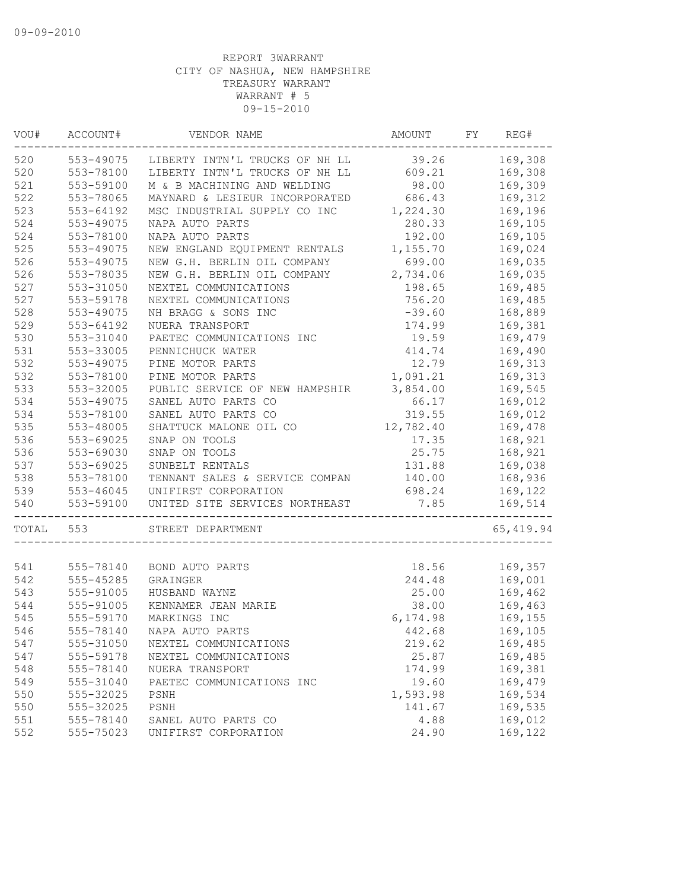| VOU#  | ACCOUNT#  | VENDOR NAME                    | AMOUNT    | FY | REG#       |
|-------|-----------|--------------------------------|-----------|----|------------|
| 520   | 553-49075 | LIBERTY INTN'L TRUCKS OF NH LL | 39.26     |    | 169,308    |
| 520   | 553-78100 | LIBERTY INTN'L TRUCKS OF NH LL | 609.21    |    | 169,308    |
| 521   | 553-59100 | M & B MACHINING AND WELDING    | 98.00     |    | 169,309    |
| 522   | 553-78065 | MAYNARD & LESIEUR INCORPORATED | 686.43    |    | 169,312    |
| 523   | 553-64192 | MSC INDUSTRIAL SUPPLY CO INC   | 1,224.30  |    | 169,196    |
| 524   | 553-49075 | NAPA AUTO PARTS                | 280.33    |    | 169,105    |
| 524   | 553-78100 | NAPA AUTO PARTS                | 192.00    |    | 169,105    |
| 525   | 553-49075 | NEW ENGLAND EQUIPMENT RENTALS  | 1,155.70  |    | 169,024    |
| 526   | 553-49075 | NEW G.H. BERLIN OIL COMPANY    | 699.00    |    | 169,035    |
| 526   | 553-78035 | NEW G.H. BERLIN OIL COMPANY    | 2,734.06  |    | 169,035    |
| 527   | 553-31050 | NEXTEL COMMUNICATIONS          | 198.65    |    | 169,485    |
| 527   | 553-59178 | NEXTEL COMMUNICATIONS          | 756.20    |    | 169,485    |
| 528   | 553-49075 | NH BRAGG & SONS INC            | $-39.60$  |    | 168,889    |
| 529   | 553-64192 | NUERA TRANSPORT                | 174.99    |    | 169,381    |
| 530   | 553-31040 | PAETEC COMMUNICATIONS INC      | 19.59     |    | 169,479    |
| 531   | 553-33005 | PENNICHUCK WATER               | 414.74    |    | 169,490    |
| 532   | 553-49075 | PINE MOTOR PARTS               | 12.79     |    | 169,313    |
| 532   | 553-78100 | PINE MOTOR PARTS               | 1,091.21  |    | 169,313    |
| 533   | 553-32005 | PUBLIC SERVICE OF NEW HAMPSHIR | 3,854.00  |    | 169,545    |
| 534   | 553-49075 | SANEL AUTO PARTS CO            | 66.17     |    | 169,012    |
| 534   | 553-78100 | SANEL AUTO PARTS CO            | 319.55    |    | 169,012    |
| 535   | 553-48005 | SHATTUCK MALONE OIL CO         | 12,782.40 |    | 169,478    |
| 536   | 553-69025 | SNAP ON TOOLS                  | 17.35     |    | 168,921    |
| 536   | 553-69030 | SNAP ON TOOLS                  | 25.75     |    | 168,921    |
| 537   | 553-69025 | SUNBELT RENTALS                | 131.88    |    | 169,038    |
| 538   | 553-78100 | TENNANT SALES & SERVICE COMPAN | 140.00    |    | 168,936    |
| 539   | 553-46045 | UNIFIRST CORPORATION           | 698.24    |    | 169,122    |
| 540   | 553-59100 | UNITED SITE SERVICES NORTHEAST | 7.85      |    | 169,514    |
| TOTAL | 553       | STREET DEPARTMENT              |           |    | 65, 419.94 |
|       |           |                                |           |    |            |
| 541   | 555-78140 | BOND AUTO PARTS                | 18.56     |    | 169,357    |
| 542   | 555-45285 | GRAINGER                       | 244.48    |    | 169,001    |
| 543   | 555-91005 | HUSBAND WAYNE                  | 25.00     |    | 169,462    |
| 544   | 555-91005 | KENNAMER JEAN MARIE            | 38.00     |    | 169,463    |
| 545   | 555-59170 | MARKINGS INC                   | 6,174.98  |    | 169,155    |
| 546   | 555-78140 | NAPA AUTO PARTS                | 442.68    |    | 169,105    |
| 547   | 555-31050 | NEXTEL COMMUNICATIONS          | 219.62    |    | 169,485    |
| 547   | 555-59178 | NEXTEL COMMUNICATIONS          | 25.87     |    | 169,485    |
| 548   | 555-78140 | NUERA TRANSPORT                | 174.99    |    | 169,381    |
| 549   | 555-31040 | PAETEC COMMUNICATIONS INC      | 19.60     |    | 169,479    |
| 550   | 555-32025 | PSNH                           | 1,593.98  |    | 169,534    |
| 550   | 555-32025 | PSNH                           | 141.67    |    | 169,535    |
| 551   | 555-78140 | SANEL AUTO PARTS CO            | 4.88      |    | 169,012    |
| 552   | 555-75023 | UNIFIRST CORPORATION           | 24.90     |    | 169,122    |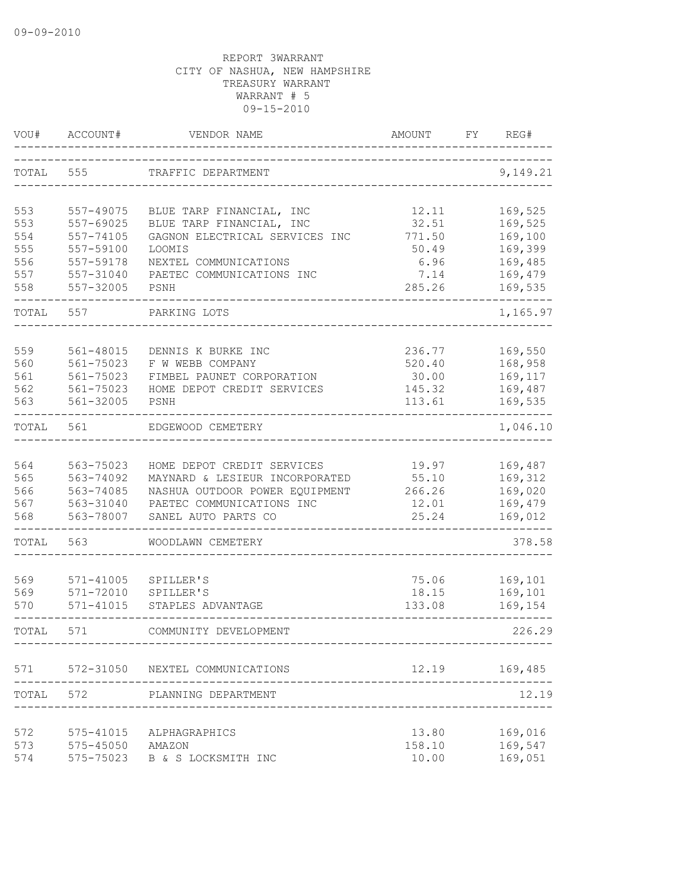| VOU#       | ACCOUNT#               | VENDOR NAME                                                  | <b>AMOUNT</b>   | FY. | REG#               |
|------------|------------------------|--------------------------------------------------------------|-----------------|-----|--------------------|
| TOTAL      | 555                    | TRAFFIC DEPARTMENT                                           |                 |     | 9,149.21           |
| 553        | 557-49075              | BLUE TARP FINANCIAL, INC                                     | 12.11           |     | 169,525            |
| 553        | 557-69025              | BLUE TARP FINANCIAL, INC                                     | 32.51           |     | 169,525            |
| 554        | 557-74105              | GAGNON ELECTRICAL SERVICES INC                               | 771.50          |     | 169,100            |
| 555        | 557-59100              | LOOMIS                                                       | 50.49           |     | 169,399            |
| 556        | 557-59178              | NEXTEL COMMUNICATIONS                                        | 6.96            |     | 169,485            |
| 557        | 557-31040              | PAETEC COMMUNICATIONS INC                                    | 7.14            |     | 169,479            |
| 558        | 557-32005              | PSNH                                                         | 285.26          |     | 169,535            |
| TOTAL      | 557                    | PARKING LOTS                                                 |                 |     | 1,165.97           |
|            |                        |                                                              |                 |     |                    |
| 559        | 561-48015              | DENNIS K BURKE INC                                           | 236.77          |     | 169,550            |
| 560<br>561 | 561-75023<br>561-75023 | F W WEBB COMPANY                                             | 520.40          |     | 168,958<br>169,117 |
| 562        | 561-75023              | FIMBEL PAUNET CORPORATION<br>HOME DEPOT CREDIT SERVICES      | 30.00<br>145.32 |     | 169,487            |
| 563        | 561-32005              | PSNH                                                         | 113.61          |     | 169,535            |
|            |                        |                                                              |                 |     |                    |
| TOTAL      | 561                    | EDGEWOOD CEMETERY                                            |                 |     | 1,046.10           |
|            |                        |                                                              |                 |     |                    |
| 564<br>565 | 563-75023<br>563-74092 | HOME DEPOT CREDIT SERVICES<br>MAYNARD & LESIEUR INCORPORATED | 19.97<br>55.10  |     | 169,487<br>169,312 |
| 566        | 563-74085              | NASHUA OUTDOOR POWER EQUIPMENT                               | 266.26          |     | 169,020            |
| 567        | 563-31040              | PAETEC COMMUNICATIONS INC                                    | 12.01           |     | 169,479            |
| 568        | 563-78007              | SANEL AUTO PARTS CO                                          | 25.24           |     | 169,012            |
| TOTAL      | 563                    | WOODLAWN CEMETERY                                            |                 |     | 378.58             |
|            |                        |                                                              |                 |     |                    |
| 569        | $571 - 41005$          | SPILLER'S                                                    | 75.06           |     | 169,101            |
| 569        | 571-72010              | SPILLER'S                                                    | 18.15           |     | 169,101            |
| 570        | 571-41015              | STAPLES ADVANTAGE                                            | 133.08          |     | 169,154            |
| TOTAL      | 571                    | COMMUNITY DEVELOPMENT                                        |                 |     | 226.29             |
| 571        | 572-31050              | NEXTEL COMMUNICATIONS                                        | 12.19           |     | 169,485            |
| TOTAL      | 572                    | PLANNING DEPARTMENT                                          |                 |     | 12.19              |
|            |                        |                                                              |                 |     |                    |
| 572        | 575-41015              | ALPHAGRAPHICS                                                | 13.80           |     | 169,016            |
| 573        | 575-45050 AMAZON       |                                                              | 158.10          |     | 169,547            |
| 574        | 575-75023              | B & S LOCKSMITH INC                                          | 10.00           |     | 169,051            |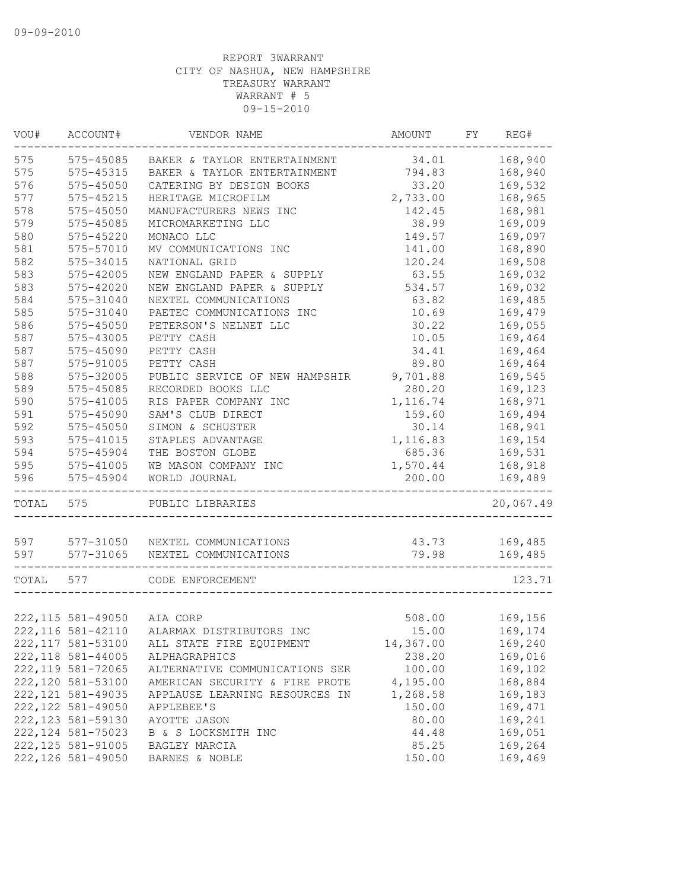| VOU#      | ACCOUNT#                   | VENDOR NAME                         | AMOUNT    | FY | REG#      |
|-----------|----------------------------|-------------------------------------|-----------|----|-----------|
| 575       | 575-45085                  | BAKER & TAYLOR ENTERTAINMENT        | 34.01     |    | 168,940   |
| 575       | 575-45315                  | BAKER & TAYLOR ENTERTAINMENT        | 794.83    |    | 168,940   |
| 576       | 575-45050                  | CATERING BY DESIGN BOOKS            | 33.20     |    | 169,532   |
| 577       | $575 - 45215$              | HERITAGE MICROFILM                  | 2,733.00  |    | 168,965   |
| 578       | $575 - 45050$              | MANUFACTURERS NEWS INC              | 142.45    |    | 168,981   |
| 579       | 575-45085                  | MICROMARKETING LLC                  | 38.99     |    | 169,009   |
| 580       | $575 - 45220$              | MONACO LLC                          | 149.57    |    | 169,097   |
| 581       | 575-57010                  | MV COMMUNICATIONS INC               | 141.00    |    | 168,890   |
| 582       | 575-34015                  | NATIONAL GRID                       | 120.24    |    | 169,508   |
| 583       | 575-42005                  | NEW ENGLAND PAPER & SUPPLY          | 63.55     |    | 169,032   |
| 583       | 575-42020                  | NEW ENGLAND PAPER & SUPPLY          | 534.57    |    | 169,032   |
| 584       | 575-31040                  | NEXTEL COMMUNICATIONS               | 63.82     |    | 169,485   |
| 585       | 575-31040                  | PAETEC COMMUNICATIONS INC           | 10.69     |    | 169,479   |
| 586       | 575-45050                  | PETERSON'S NELNET LLC               | 30.22     |    | 169,055   |
| 587       | 575-43005                  | PETTY CASH                          | 10.05     |    | 169,464   |
| 587       | 575-45090                  | PETTY CASH                          | 34.41     |    | 169,464   |
| 587       | 575-91005                  | PETTY CASH                          | 89.80     |    | 169,464   |
| 588       | 575-32005                  | PUBLIC SERVICE OF NEW HAMPSHIR      | 9,701.88  |    | 169,545   |
| 589       | 575-45085                  | RECORDED BOOKS LLC                  | 280.20    |    | 169,123   |
| 590       | 575-41005                  | RIS PAPER COMPANY INC               | 1,116.74  |    | 168,971   |
| 591       | 575-45090                  | SAM'S CLUB DIRECT                   | 159.60    |    | 169,494   |
| 592       | $575 - 45050$              | SIMON & SCHUSTER                    | 30.14     |    | 168,941   |
| 593       | 575-41015                  | STAPLES ADVANTAGE                   | 1,116.83  |    | 169,154   |
| 594       |                            |                                     |           |    |           |
|           | 575-45904                  | THE BOSTON GLOBE                    | 685.36    |    | 169,531   |
| 595       | $575 - 41005$              | WB MASON COMPANY INC                | 1,570.44  |    | 168,918   |
| 596       | 575-45904                  | WORLD JOURNAL                       | 200.00    |    | 169,489   |
| TOTAL     | 575                        | PUBLIC LIBRARIES                    |           |    | 20,067.49 |
|           |                            | 597 577-31050 NEXTEL COMMUNICATIONS | 43.73     |    | 169,485   |
| 597       | 577-31065                  | NEXTEL COMMUNICATIONS               | 79.98     |    | 169,485   |
|           |                            |                                     |           |    |           |
| TOTAL 577 |                            | CODE ENFORCEMENT                    |           |    | 123.71    |
|           |                            |                                     |           |    |           |
|           | 222,115 581-49050 AIA CORP |                                     | 508.00    |    | 169,156   |
|           | 222, 116 581-42110         | ALARMAX DISTRIBUTORS INC            | 15.00     |    | 169,174   |
|           | 222, 117 581-53100         | ALL STATE FIRE EQUIPMENT            | 14,367.00 |    | 169,240   |
|           | 222, 118 581-44005         | ALPHAGRAPHICS                       | 238.20    |    | 169,016   |
|           | 222, 119 581-72065         | ALTERNATIVE COMMUNICATIONS SER      | 100.00    |    | 169,102   |
|           | 222,120 581-53100          | AMERICAN SECURITY & FIRE PROTE      | 4,195.00  |    | 168,884   |
|           | 222, 121 581-49035         | APPLAUSE LEARNING RESOURCES IN      | 1,268.58  |    | 169,183   |
|           | 222, 122 581-49050         | APPLEBEE'S                          | 150.00    |    | 169,471   |
|           | 222, 123 581-59130         | AYOTTE JASON                        | 80.00     |    | 169,241   |
|           | 222, 124 581-75023         | B & S LOCKSMITH INC                 | 44.48     |    | 169,051   |
|           | 222, 125 581-91005         | BAGLEY MARCIA                       | 85.25     |    | 169,264   |
|           | 222, 126 581-49050         | BARNES & NOBLE                      | 150.00    |    | 169,469   |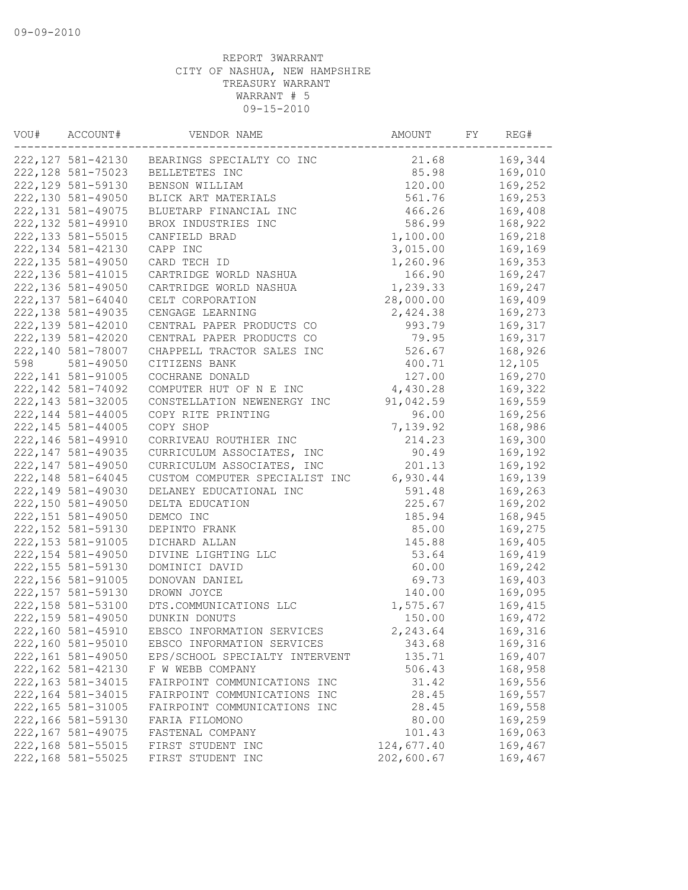| VOU# | ACCOUNT#           | VENDOR NAME                    | AMOUNT     | FY | REG#    |
|------|--------------------|--------------------------------|------------|----|---------|
|      | 222,127 581-42130  | BEARINGS SPECIALTY CO INC      | 21.68      |    | 169,344 |
|      | 222, 128 581-75023 | BELLETETES INC                 | 85.98      |    | 169,010 |
|      | 222, 129 581-59130 | BENSON WILLIAM                 | 120.00     |    | 169,252 |
|      | 222,130 581-49050  | BLICK ART MATERIALS            | 561.76     |    | 169,253 |
|      | 222, 131 581-49075 | BLUETARP FINANCIAL INC         | 466.26     |    | 169,408 |
|      | 222, 132 581-49910 | BROX INDUSTRIES INC            | 586.99     |    | 168,922 |
|      | 222, 133 581-55015 | CANFIELD BRAD                  | 1,100.00   |    | 169,218 |
|      | 222, 134 581-42130 | CAPP INC                       | 3,015.00   |    | 169,169 |
|      | 222, 135 581-49050 | CARD TECH ID                   | 1,260.96   |    | 169,353 |
|      | 222, 136 581-41015 | CARTRIDGE WORLD NASHUA         | 166.90     |    | 169,247 |
|      | 222,136 581-49050  | CARTRIDGE WORLD NASHUA         | 1,239.33   |    | 169,247 |
|      | 222, 137 581-64040 | CELT CORPORATION               | 28,000.00  |    | 169,409 |
|      | 222, 138 581-49035 | CENGAGE LEARNING               | 2,424.38   |    | 169,273 |
|      | 222, 139 581-42010 | CENTRAL PAPER PRODUCTS CO      | 993.79     |    | 169,317 |
|      | 222, 139 581-42020 | CENTRAL PAPER PRODUCTS CO      | 79.95      |    | 169,317 |
|      | 222,140 581-78007  | CHAPPELL TRACTOR SALES INC     | 526.67     |    | 168,926 |
| 598  | 581-49050          | CITIZENS BANK                  | 400.71     |    | 12,105  |
|      | 222, 141 581-91005 | COCHRANE DONALD                | 127.00     |    | 169,270 |
|      | 222, 142 581-74092 | COMPUTER HUT OF N E INC        | 4,430.28   |    | 169,322 |
|      | 222, 143 581-32005 | CONSTELLATION NEWENERGY INC    | 91,042.59  |    | 169,559 |
|      | 222, 144 581-44005 | COPY RITE PRINTING             | 96.00      |    | 169,256 |
|      | 222, 145 581-44005 | COPY SHOP                      | 7,139.92   |    | 168,986 |
|      | 222, 146 581-49910 | CORRIVEAU ROUTHIER INC         | 214.23     |    | 169,300 |
|      | 222, 147 581-49035 | CURRICULUM ASSOCIATES, INC     | 90.49      |    | 169,192 |
|      | 222, 147 581-49050 | CURRICULUM ASSOCIATES, INC     | 201.13     |    | 169,192 |
|      | 222, 148 581-64045 |                                | 6,930.44   |    | 169,139 |
|      | 222, 149 581-49030 | CUSTOM COMPUTER SPECIALIST INC |            |    |         |
|      |                    | DELANEY EDUCATIONAL INC        | 591.48     |    | 169,263 |
|      | 222,150 581-49050  | DELTA EDUCATION                | 225.67     |    | 169,202 |
|      | 222, 151 581-49050 | DEMCO INC                      | 185.94     |    | 168,945 |
|      | 222, 152 581-59130 | DEPINTO FRANK                  | 85.00      |    | 169,275 |
|      | 222, 153 581-91005 | DICHARD ALLAN                  | 145.88     |    | 169,405 |
|      | 222, 154 581-49050 | DIVINE LIGHTING LLC            | 53.64      |    | 169,419 |
|      | 222, 155 581-59130 | DOMINICI DAVID                 | 60.00      |    | 169,242 |
|      | 222, 156 581-91005 | DONOVAN DANIEL                 | 69.73      |    | 169,403 |
|      | 222, 157 581-59130 | DROWN JOYCE                    | 140.00     |    | 169,095 |
|      | 222, 158 581-53100 | DTS.COMMUNICATIONS LLC         | 1,575.67   |    | 169,415 |
|      | 222, 159 581-49050 | DUNKIN DONUTS                  | 150.00     |    | 169,472 |
|      | 222,160 581-45910  | EBSCO INFORMATION SERVICES     | 2,243.64   |    | 169,316 |
|      | 222,160 581-95010  | EBSCO INFORMATION SERVICES     | 343.68     |    | 169,316 |
|      | 222, 161 581-49050 | EPS/SCHOOL SPECIALTY INTERVENT | 135.71     |    | 169,407 |
|      | 222, 162 581-42130 | F W WEBB COMPANY               | 506.43     |    | 168,958 |
|      | 222, 163 581-34015 | FAIRPOINT COMMUNICATIONS INC   | 31.42      |    | 169,556 |
|      | 222, 164 581-34015 | FAIRPOINT COMMUNICATIONS INC   | 28.45      |    | 169,557 |
|      | 222, 165 581-31005 | FAIRPOINT COMMUNICATIONS INC   | 28.45      |    | 169,558 |
|      | 222,166 581-59130  | FARIA FILOMONO                 | 80.00      |    | 169,259 |
|      | 222, 167 581-49075 | FASTENAL COMPANY               | 101.43     |    | 169,063 |
|      | 222, 168 581-55015 | FIRST STUDENT INC              | 124,677.40 |    | 169,467 |
|      | 222, 168 581-55025 | FIRST STUDENT INC              | 202,600.67 |    | 169,467 |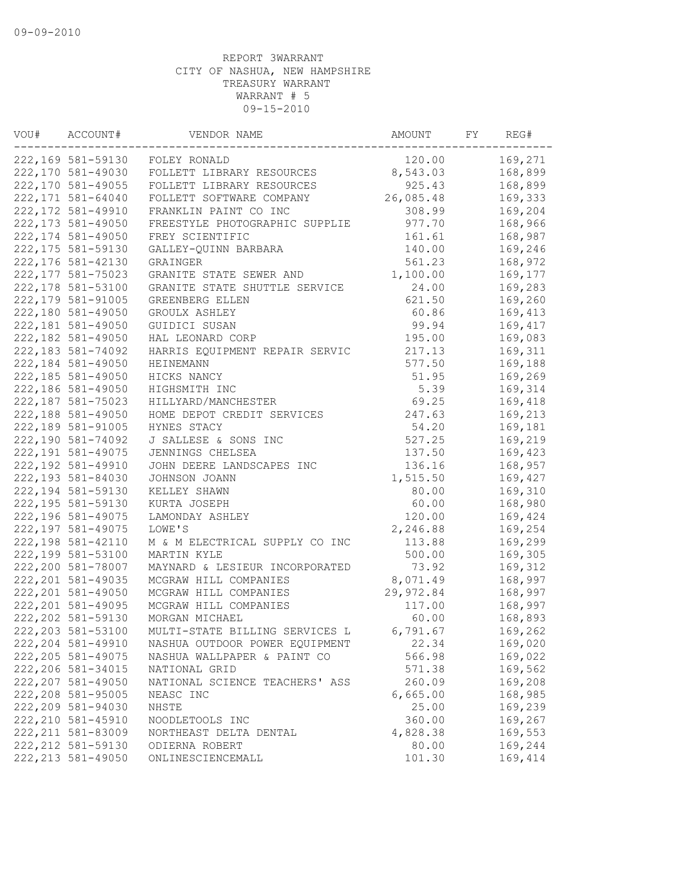| VOU# | ACCOUNT#           | VENDOR NAME                    | AMOUNT    | FY | REG#    |
|------|--------------------|--------------------------------|-----------|----|---------|
|      | 222,169 581-59130  | FOLEY RONALD                   | 120.00    |    | 169,271 |
|      | 222,170 581-49030  | FOLLETT LIBRARY RESOURCES      | 8,543.03  |    | 168,899 |
|      | 222,170 581-49055  | FOLLETT LIBRARY RESOURCES      | 925.43    |    | 168,899 |
|      | 222, 171 581-64040 | FOLLETT SOFTWARE COMPANY       | 26,085.48 |    | 169,333 |
|      | 222, 172 581-49910 | FRANKLIN PAINT CO INC          | 308.99    |    | 169,204 |
|      | 222, 173 581-49050 | FREESTYLE PHOTOGRAPHIC SUPPLIE | 977.70    |    | 168,966 |
|      | 222, 174 581-49050 | FREY SCIENTIFIC                | 161.61    |    | 168,987 |
|      | 222, 175 581-59130 | GALLEY-QUINN BARBARA           | 140.00    |    | 169,246 |
|      | 222, 176 581-42130 | GRAINGER                       | 561.23    |    | 168,972 |
|      | 222, 177 581-75023 | GRANITE STATE SEWER AND        | 1,100.00  |    | 169,177 |
|      | 222, 178 581-53100 | GRANITE STATE SHUTTLE SERVICE  | 24.00     |    | 169,283 |
|      | 222, 179 581-91005 | GREENBERG ELLEN                | 621.50    |    | 169,260 |
|      | 222,180 581-49050  | GROULX ASHLEY                  | 60.86     |    | 169,413 |
|      | 222,181 581-49050  | GUIDICI SUSAN                  | 99.94     |    | 169,417 |
|      | 222, 182 581-49050 | HAL LEONARD CORP               | 195.00    |    | 169,083 |
|      | 222, 183 581-74092 | HARRIS EQUIPMENT REPAIR SERVIC | 217.13    |    | 169,311 |
|      | 222,184 581-49050  | <b>HEINEMANN</b>               | 577.50    |    | 169,188 |
|      | 222, 185 581-49050 | HICKS NANCY                    | 51.95     |    | 169,269 |
|      | 222,186 581-49050  | HIGHSMITH INC                  | 5.39      |    | 169,314 |
|      | 222, 187 581-75023 | HILLYARD/MANCHESTER            | 69.25     |    | 169,418 |
|      | 222,188 581-49050  | HOME DEPOT CREDIT SERVICES     | 247.63    |    | 169,213 |
|      | 222, 189 581-91005 | HYNES STACY                    | 54.20     |    | 169,181 |
|      | 222,190 581-74092  | J SALLESE & SONS INC           | 527.25    |    | 169,219 |
|      | 222, 191 581-49075 | JENNINGS CHELSEA               | 137.50    |    | 169,423 |
|      | 222, 192 581-49910 | JOHN DEERE LANDSCAPES INC      | 136.16    |    | 168,957 |
|      | 222,193 581-84030  | JOHNSON JOANN                  | 1,515.50  |    | 169,427 |
|      | 222, 194 581-59130 | KELLEY SHAWN                   | 80.00     |    | 169,310 |
|      | 222, 195 581-59130 | KURTA JOSEPH                   | 60.00     |    | 168,980 |
|      | 222,196 581-49075  | LAMONDAY ASHLEY                | 120.00    |    | 169,424 |
|      | 222, 197 581-49075 | LOWE'S                         | 2,246.88  |    | 169,254 |
|      | 222, 198 581-42110 | M & M ELECTRICAL SUPPLY CO INC | 113.88    |    | 169,299 |
|      | 222,199 581-53100  | MARTIN KYLE                    | 500.00    |    | 169,305 |
|      | 222,200 581-78007  | MAYNARD & LESIEUR INCORPORATED | 73.92     |    | 169,312 |
|      | 222, 201 581-49035 |                                |           |    | 168,997 |
|      |                    | MCGRAW HILL COMPANIES          | 8,071.49  |    |         |
|      | 222, 201 581-49050 | MCGRAW HILL COMPANIES          | 29,972.84 |    | 168,997 |
|      | 222, 201 581-49095 | MCGRAW HILL COMPANIES          | 117.00    |    | 168,997 |
|      | 222, 202 581-59130 | MORGAN MICHAEL                 | 60.00     |    | 168,893 |
|      | 222, 203 581-53100 | MULTI-STATE BILLING SERVICES L | 6,791.67  |    | 169,262 |
|      | 222, 204 581-49910 | NASHUA OUTDOOR POWER EQUIPMENT | 22.34     |    | 169,020 |
|      | 222, 205 581-49075 | NASHUA WALLPAPER & PAINT CO    | 566.98    |    | 169,022 |
|      | 222, 206 581-34015 | NATIONAL GRID                  | 571.38    |    | 169,562 |
|      | 222, 207 581-49050 | NATIONAL SCIENCE TEACHERS' ASS | 260.09    |    | 169,208 |
|      | 222, 208 581-95005 | NEASC INC                      | 6,665.00  |    | 168,985 |
|      | 222,209 581-94030  | NHSTE                          | 25.00     |    | 169,239 |
|      | 222, 210 581-45910 | NOODLETOOLS INC                | 360.00    |    | 169,267 |
|      | 222, 211 581-83009 | NORTHEAST DELTA DENTAL         | 4,828.38  |    | 169,553 |
|      | 222, 212 581-59130 | ODIERNA ROBERT                 | 80.00     |    | 169,244 |
|      | 222, 213 581-49050 | ONLINESCIENCEMALL              | 101.30    |    | 169,414 |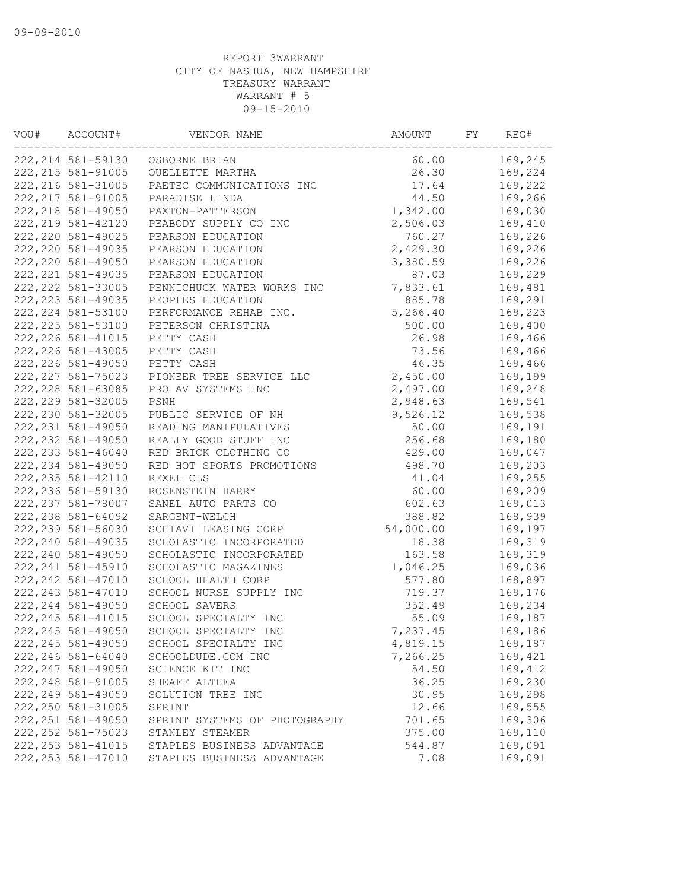| VOU# | ACCOUNT#           | VENDOR NAME                   | AMOUNT    | FY | REG#    |
|------|--------------------|-------------------------------|-----------|----|---------|
|      | 222, 214 581-59130 | OSBORNE BRIAN                 | 60.00     |    | 169,245 |
|      | 222, 215 581-91005 | OUELLETTE MARTHA              | 26.30     |    | 169,224 |
|      | 222, 216 581-31005 | PAETEC COMMUNICATIONS INC     | 17.64     |    | 169,222 |
|      | 222, 217 581-91005 | PARADISE LINDA                | 44.50     |    | 169,266 |
|      | 222, 218 581-49050 | PAXTON-PATTERSON              | 1,342.00  |    | 169,030 |
|      | 222, 219 581-42120 | PEABODY SUPPLY CO INC         | 2,506.03  |    | 169,410 |
|      | 222, 220 581-49025 | PEARSON EDUCATION             | 760.27    |    | 169,226 |
|      | 222, 220 581-49035 | PEARSON EDUCATION             | 2,429.30  |    | 169,226 |
|      | 222, 220 581-49050 | PEARSON EDUCATION             | 3,380.59  |    | 169,226 |
|      | 222, 221 581-49035 | PEARSON EDUCATION             | 87.03     |    | 169,229 |
|      | 222, 222 581-33005 | PENNICHUCK WATER WORKS INC    | 7,833.61  |    | 169,481 |
|      | 222, 223 581-49035 | PEOPLES EDUCATION             | 885.78    |    | 169,291 |
|      | 222, 224 581-53100 | PERFORMANCE REHAB INC.        | 5,266.40  |    | 169,223 |
|      | 222, 225 581-53100 | PETERSON CHRISTINA            | 500.00    |    | 169,400 |
|      | 222, 226 581-41015 | PETTY CASH                    | 26.98     |    | 169,466 |
|      | 222, 226 581-43005 | PETTY CASH                    | 73.56     |    | 169,466 |
|      | 222, 226 581-49050 | PETTY CASH                    | 46.35     |    | 169,466 |
|      | 222, 227 581-75023 | PIONEER TREE SERVICE LLC      | 2,450.00  |    | 169,199 |
|      | 222, 228 581-63085 | PRO AV SYSTEMS INC            | 2,497.00  |    | 169,248 |
|      | 222, 229 581-32005 | PSNH                          | 2,948.63  |    | 169,541 |
|      | 222, 230 581-32005 | PUBLIC SERVICE OF NH          | 9,526.12  |    | 169,538 |
|      | 222, 231 581-49050 | READING MANIPULATIVES         | 50.00     |    | 169,191 |
|      | 222, 232 581-49050 | REALLY GOOD STUFF INC         | 256.68    |    | 169,180 |
|      | 222, 233 581-46040 | RED BRICK CLOTHING CO         | 429.00    |    | 169,047 |
|      | 222, 234 581-49050 | RED HOT SPORTS PROMOTIONS     | 498.70    |    | 169,203 |
|      | 222, 235 581-42110 |                               | 41.04     |    | 169,255 |
|      | 222, 236 581-59130 | REXEL CLS                     |           |    | 169,209 |
|      | 222, 237 581-78007 | ROSENSTEIN HARRY              | 60.00     |    |         |
|      |                    | SANEL AUTO PARTS CO           | 602.63    |    | 169,013 |
|      | 222, 238 581-64092 | SARGENT-WELCH                 | 388.82    |    | 168,939 |
|      | 222, 239 581-56030 | SCHIAVI LEASING CORP          | 54,000.00 |    | 169,197 |
|      | 222, 240 581-49035 | SCHOLASTIC INCORPORATED       | 18.38     |    | 169,319 |
|      | 222, 240 581-49050 | SCHOLASTIC INCORPORATED       | 163.58    |    | 169,319 |
|      | 222, 241 581-45910 | SCHOLASTIC MAGAZINES          | 1,046.25  |    | 169,036 |
|      | 222, 242 581-47010 | SCHOOL HEALTH CORP            | 577.80    |    | 168,897 |
|      | 222, 243 581-47010 | SCHOOL NURSE SUPPLY INC       | 719.37    |    | 169,176 |
|      | 222, 244 581-49050 | SCHOOL SAVERS                 | 352.49    |    | 169,234 |
|      | 222, 245 581-41015 | SCHOOL SPECIALTY INC          | 55.09     |    | 169,187 |
|      | 222, 245 581-49050 | SCHOOL SPECIALTY INC          | 7,237.45  |    | 169,186 |
|      | 222, 245 581-49050 | SCHOOL SPECIALTY INC          | 4,819.15  |    | 169,187 |
|      | 222, 246 581-64040 | SCHOOLDUDE.COM INC            | 7,266.25  |    | 169,421 |
|      | 222, 247 581-49050 | SCIENCE KIT INC               | 54.50     |    | 169,412 |
|      | 222, 248 581-91005 | SHEAFF ALTHEA                 | 36.25     |    | 169,230 |
|      | 222, 249 581-49050 | SOLUTION TREE INC             | 30.95     |    | 169,298 |
|      | 222, 250 581-31005 | SPRINT                        | 12.66     |    | 169,555 |
|      | 222, 251 581-49050 | SPRINT SYSTEMS OF PHOTOGRAPHY | 701.65    |    | 169,306 |
|      | 222, 252 581-75023 | STANLEY STEAMER               | 375.00    |    | 169,110 |
|      | 222, 253 581-41015 | STAPLES BUSINESS ADVANTAGE    | 544.87    |    | 169,091 |
|      | 222, 253 581-47010 | STAPLES BUSINESS ADVANTAGE    | 7.08      |    | 169,091 |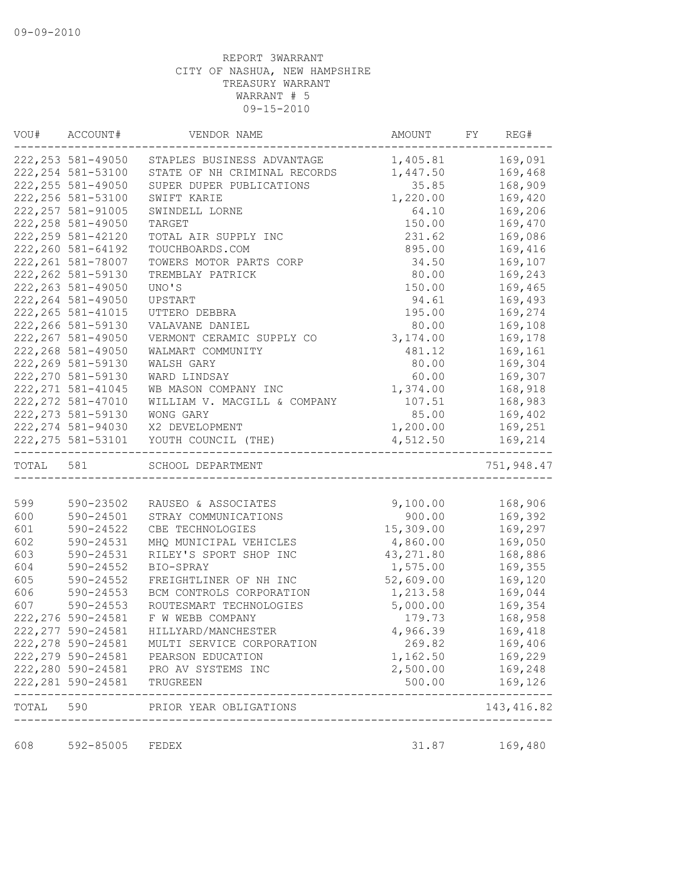| VOU#      | ACCOUNT#           | VENDOR NAME                            | AMOUNT    | FY | REG#        |
|-----------|--------------------|----------------------------------------|-----------|----|-------------|
|           | 222, 253 581-49050 | STAPLES BUSINESS ADVANTAGE             | 1,405.81  |    | 169,091     |
|           | 222, 254 581-53100 | STATE OF NH CRIMINAL RECORDS           | 1,447.50  |    | 169,468     |
|           | 222, 255 581-49050 | SUPER DUPER PUBLICATIONS               | 35.85     |    | 168,909     |
|           | 222, 256 581-53100 | SWIFT KARIE                            | 1,220.00  |    | 169,420     |
|           | 222, 257 581-91005 | SWINDELL LORNE                         | 64.10     |    | 169,206     |
|           | 222, 258 581-49050 | TARGET                                 | 150.00    |    | 169,470     |
|           | 222, 259 581-42120 | TOTAL AIR SUPPLY INC                   | 231.62    |    | 169,086     |
|           | 222, 260 581-64192 | TOUCHBOARDS.COM                        | 895.00    |    | 169,416     |
|           | 222, 261 581-78007 | TOWERS MOTOR PARTS CORP                | 34.50     |    | 169,107     |
|           | 222, 262 581-59130 | TREMBLAY PATRICK                       | 80.00     |    | 169,243     |
|           | 222, 263 581-49050 | UNO'S                                  | 150.00    |    | 169,465     |
|           | 222, 264 581-49050 | UPSTART                                | 94.61     |    | 169,493     |
|           | 222, 265 581-41015 | UTTERO DEBBRA                          | 195.00    |    | 169,274     |
|           | 222, 266 581-59130 | VALAVANE DANIEL                        | 80.00     |    | 169,108     |
|           | 222, 267 581-49050 | VERMONT CERAMIC SUPPLY CO              | 3,174.00  |    | 169,178     |
|           | 222, 268 581-49050 | WALMART COMMUNITY                      | 481.12    |    | 169,161     |
|           | 222, 269 581-59130 | WALSH GARY                             | 80.00     |    | 169,304     |
|           | 222, 270 581-59130 | WARD LINDSAY                           | 60.00     |    | 169,307     |
|           | 222, 271 581-41045 | WB MASON COMPANY INC                   | 1,374.00  |    | 168,918     |
|           | 222, 272 581-47010 | WILLIAM V. MACGILL & COMPANY           | 107.51    |    | 168,983     |
|           | 222, 273 581-59130 | WONG GARY                              | 85.00     |    | 169,402     |
|           | 222, 274 581-94030 | X2 DEVELOPMENT                         | 1,200.00  |    | 169,251     |
|           | 222, 275 581-53101 | YOUTH COUNCIL (THE)<br>_____________   | 4,512.50  |    | 169,214     |
| TOTAL 581 |                    | SCHOOL DEPARTMENT                      |           |    | 751,948.47  |
|           |                    |                                        |           |    |             |
| 599       | 590-23502          | RAUSEO & ASSOCIATES                    | 9,100.00  |    | 168,906     |
| 600       | 590-24501          | STRAY COMMUNICATIONS                   | 900.00    |    | 169,392     |
| 601       | 590-24522          | CBE TECHNOLOGIES                       | 15,309.00 |    | 169,297     |
| 602       | 590-24531          | MHQ MUNICIPAL VEHICLES                 | 4,860.00  |    | 169,050     |
| 603       | 590-24531          | RILEY'S SPORT SHOP INC                 | 43,271.80 |    | 168,886     |
| 604       | 590-24552          | BIO-SPRAY                              | 1,575.00  |    | 169,355     |
| 605       | 590-24552          | FREIGHTLINER OF NH INC                 | 52,609.00 |    | 169,120     |
| 606       | 590-24553          | BCM CONTROLS CORPORATION               | 1,213.58  |    | 169,044     |
| 607       | 590-24553          | ROUTESMART TECHNOLOGIES                | 5,000.00  |    | 169,354     |
|           | 222, 276 590-24581 | F W WEBB COMPANY                       | 179.73    |    | 168,958     |
|           | 222, 277 590-24581 | HILLYARD/MANCHESTER                    | 4,966.39  |    | 169,418     |
|           | 222, 278 590-24581 | MULTI SERVICE CORPORATION              | 269.82    |    | 169,406     |
|           | 222, 279 590-24581 | PEARSON EDUCATION                      | 1,162.50  |    | 169,229     |
|           | 222,280 590-24581  | PRO AV SYSTEMS INC                     | 2,500.00  |    | 169,248     |
|           | 222, 281 590-24581 | TRUGREEN<br>__________________________ | 500.00    |    | 169,126     |
| TOTAL 590 |                    | PRIOR YEAR OBLIGATIONS                 |           |    | 143, 416.82 |
| 608       | 592-85005          | FEDEX                                  | 31.87     |    | 169,480     |
|           |                    |                                        |           |    |             |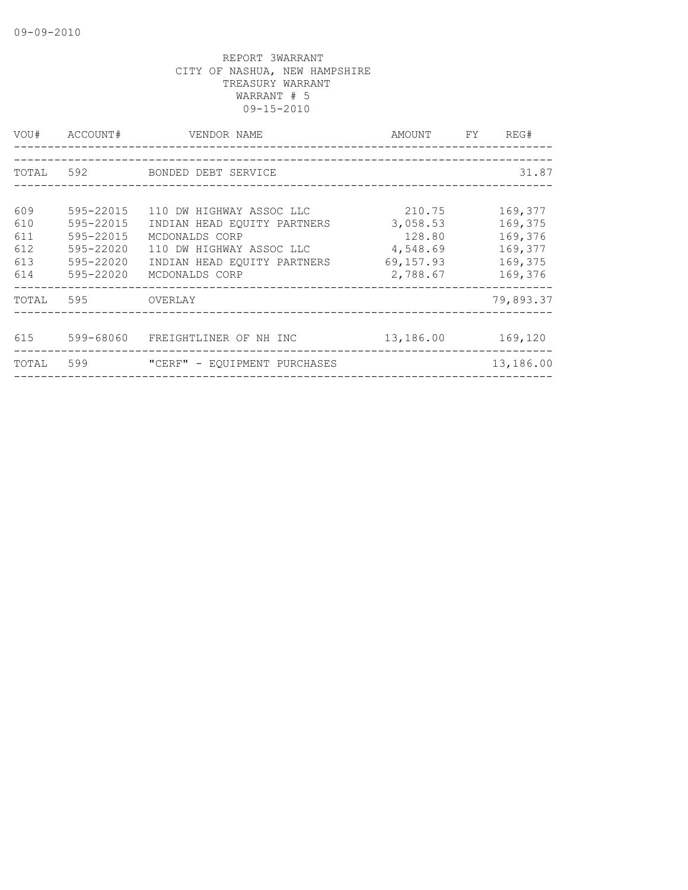| VOU#      | ACCOUNT#  | VENDOR NAME<br>----------------------- | AMOUNT    | FY | REG#      |
|-----------|-----------|----------------------------------------|-----------|----|-----------|
|           |           |                                        |           |    |           |
| TOTAL 592 |           | BONDED DEBT SERVICE                    |           |    | 31.87     |
|           |           |                                        |           |    |           |
| 609       | 595-22015 | 110 DW HIGHWAY ASSOC LLC               | 210.75    |    | 169,377   |
| 610       | 595-22015 | INDIAN HEAD EOUITY PARTNERS            | 3,058.53  |    | 169,375   |
| 611       | 595-22015 | MCDONALDS CORP                         | 128.80    |    | 169,376   |
| 612       | 595-22020 | 110 DW HIGHWAY ASSOC LLC               | 4,548.69  |    | 169,377   |
| 613       | 595-22020 | INDIAN HEAD EQUITY PARTNERS            | 69,157.93 |    | 169,375   |
| 614       | 595-22020 | MCDONALDS CORP                         | 2,788.67  |    | 169,376   |
| TOTAL     | 595       | OVERLAY                                |           |    | 79,893.37 |
|           |           |                                        |           |    |           |
| 615       | 599-68060 | FREIGHTLINER OF NH INC                 | 13,186.00 |    | 169,120   |
| TOTAL     | 599       | "CERF" - EQUIPMENT PURCHASES           |           |    | 13,186.00 |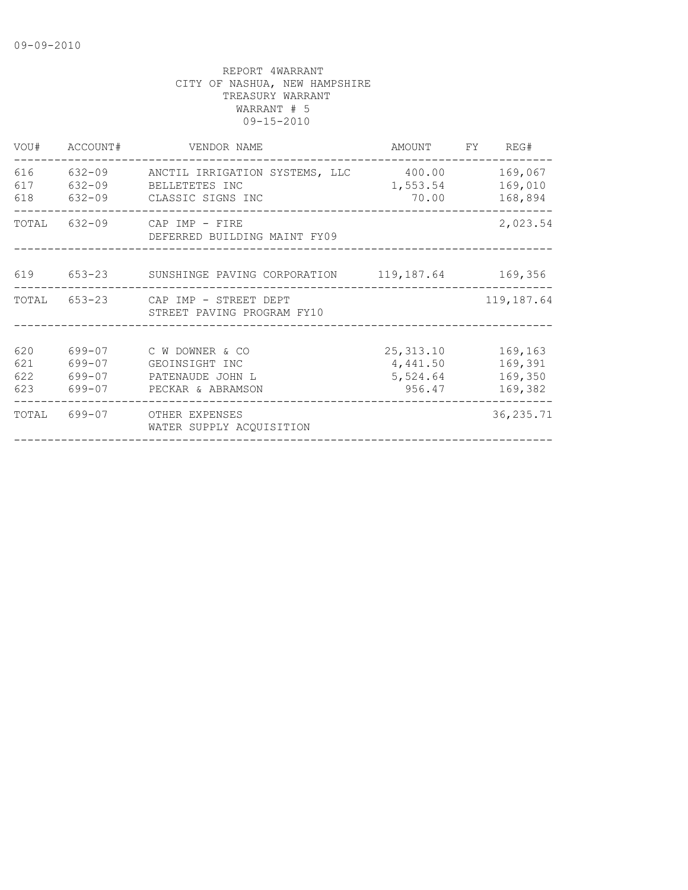|                          | VOU# ACCOUNT# | VENDOR NAME                                                                                            | AMOUNT FY REG#                               |                                          |
|--------------------------|---------------|--------------------------------------------------------------------------------------------------------|----------------------------------------------|------------------------------------------|
| 616<br>617<br>618        | 632-09        | 632-09 ANCTIL IRRIGATION SYSTEMS, LLC 400.00<br>BELLETETES INC<br>632-09 CLASSIC SIGNS INC             | 1,553.54<br>70.00                            | 169,067<br>169,010<br>168,894            |
| TOTAL                    |               | 632-09 CAP IMP - FIRE<br>DEFERRED BUILDING MAINT FY09                                                  |                                              | 2,023.54                                 |
|                          |               | 619 653-23 SUNSHINGE PAVING CORPORATION 119,187.64 169,356                                             |                                              |                                          |
|                          |               | TOTAL 653-23 CAP IMP - STREET DEPT<br>STREET PAVING PROGRAM FY10                                       |                                              | 119,187.64                               |
| 620<br>621<br>622<br>623 |               | 699-07 C W DOWNER & CO<br>699-07 GEOINSIGHT INC<br>699-07 PATENAUDE JOHN L<br>699-07 PECKAR & ABRAMSON | 25, 313.10<br>4,441.50<br>5,524.64<br>956.47 | 169,163<br>169,391<br>169,350<br>169,382 |
|                          |               | TOTAL 699-07 OTHER EXPENSES<br>WATER SUPPLY ACOUISITION                                                |                                              | 36, 235.71                               |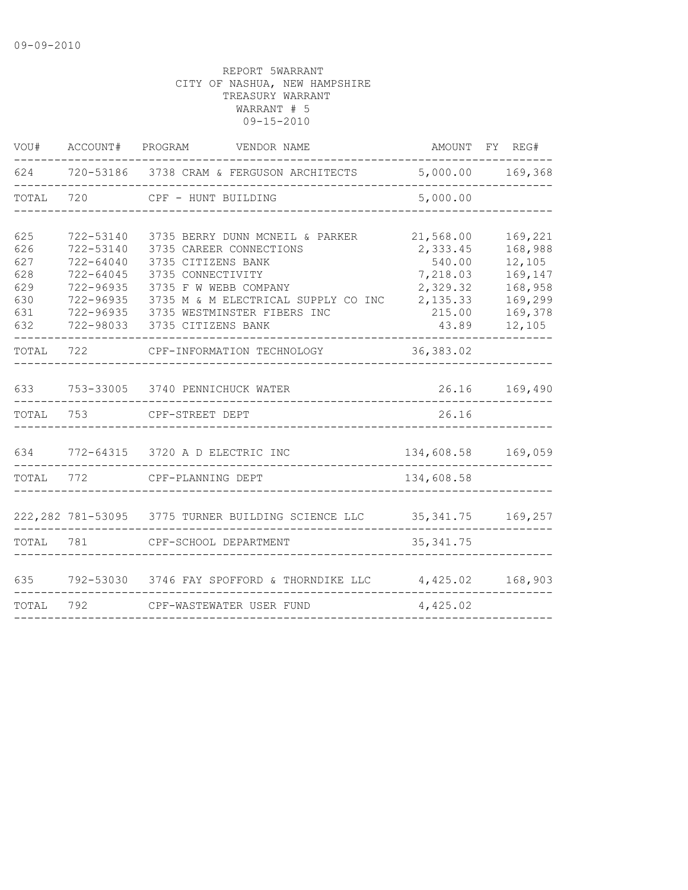| VOU#      |               | ACCOUNT# PROGRAM VENDOR NAME                                         |                    | AMOUNT FY REG#   |
|-----------|---------------|----------------------------------------------------------------------|--------------------|------------------|
|           |               | 624 720-53186 3738 CRAM & FERGUSON ARCHITECTS                        |                    | 5,000.00 169,368 |
| TOTAL     | 720           | CPF - HUNT BUILDING                                                  | 5,000.00           |                  |
|           |               |                                                                      |                    |                  |
| 625       | 722-53140     | 3735 BERRY DUNN MCNEIL & PARKER                                      | 21,568.00          | 169,221          |
| 626       | 722-53140     | 3735 CAREER CONNECTIONS                                              | 2,333.45           | 168,988          |
| 627       | 722-64040     | 3735 CITIZENS BANK                                                   | 540.00             | 12,105           |
| 628       | $722 - 64045$ | 3735 CONNECTIVITY                                                    | 7,218.03           | 169,147          |
| 629       | 722-96935     | 3735 F W WEBB COMPANY                                                | 2,329.32           | 168,958          |
| 630       | 722-96935     | 3735 M & M ELECTRICAL SUPPLY CO INC                                  | 2,135.33           | 169,299          |
| 631       |               | 722-96935 3735 WESTMINSTER FIBERS INC                                | 215.00             | 169,378          |
| 632       |               | 722-98033 3735 CITIZENS BANK                                         | 43.89              | 12,105           |
| TOTAL     | 722           | CPF-INFORMATION TECHNOLOGY                                           | 36,383.02          |                  |
|           |               |                                                                      |                    |                  |
| 633       |               | 753-33005 3740 PENNICHUCK WATER                                      |                    | 26.16 169,490    |
| TOTAL     | 753           | CPF-STREET DEPT                                                      | 26.16              |                  |
|           |               |                                                                      |                    |                  |
|           |               | 634 772-64315 3720 A D ELECTRIC INC                                  | 134,608.58 169,059 |                  |
| TOTAL 772 |               | CPF-PLANNING DEPT                                                    | 134,608.58         |                  |
|           |               |                                                                      |                    |                  |
|           |               | 222,282 781-53095 3775 TURNER BUILDING SCIENCE LLC 35,341.75 169,257 |                    |                  |
| TOTAL     | 781           | CPF-SCHOOL DEPARTMENT                                                | 35, 341.75         |                  |
|           |               |                                                                      |                    |                  |
| 635       |               | 792-53030 3746 FAY SPOFFORD & THORNDIKE LLC 4,425.02                 |                    | 168,903          |
| TOTAL     | 792           | CPF-WASTEWATER USER FUND                                             | 4,425.02           |                  |
|           |               |                                                                      |                    |                  |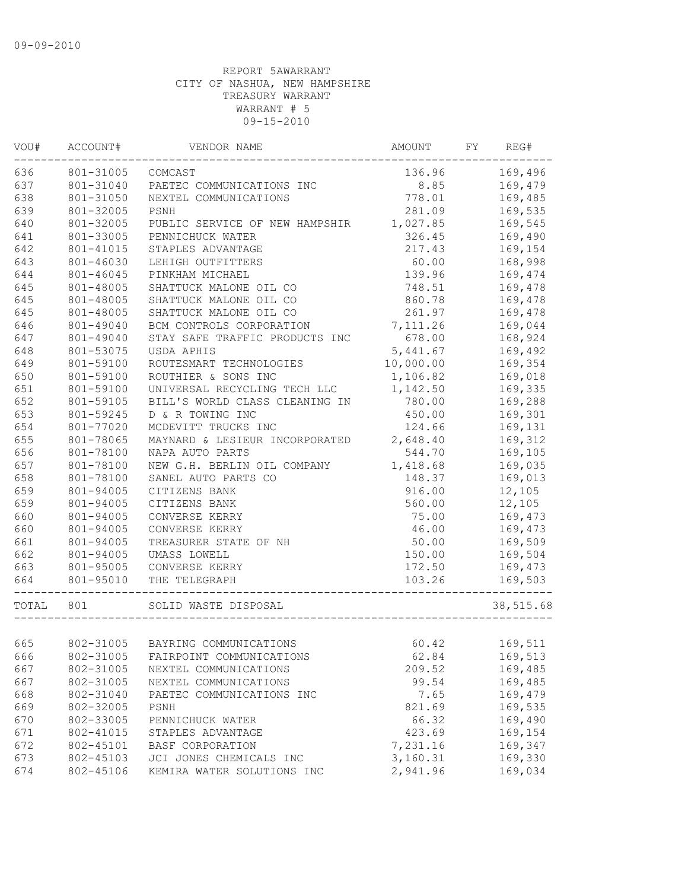| VOU#  | ACCOUNT#  | VENDOR NAME                             | AMOUNT    | FY | REG#      |
|-------|-----------|-----------------------------------------|-----------|----|-----------|
| 636   | 801-31005 | COMCAST                                 | 136.96    |    | 169,496   |
| 637   | 801-31040 | PAETEC COMMUNICATIONS INC               | 8.85      |    | 169,479   |
| 638   | 801-31050 | NEXTEL COMMUNICATIONS                   | 778.01    |    | 169,485   |
| 639   | 801-32005 | PSNH                                    | 281.09    |    | 169,535   |
| 640   | 801-32005 | PUBLIC SERVICE OF NEW HAMPSHIR          | 1,027.85  |    | 169,545   |
| 641   | 801-33005 | PENNICHUCK WATER                        | 326.45    |    | 169,490   |
| 642   | 801-41015 | STAPLES ADVANTAGE                       | 217.43    |    | 169,154   |
| 643   | 801-46030 | LEHIGH OUTFITTERS                       | 60.00     |    | 168,998   |
| 644   | 801-46045 | PINKHAM MICHAEL                         | 139.96    |    | 169,474   |
| 645   | 801-48005 | SHATTUCK MALONE OIL CO                  | 748.51    |    | 169,478   |
| 645   | 801-48005 | SHATTUCK MALONE OIL CO                  | 860.78    |    | 169,478   |
| 645   | 801-48005 | SHATTUCK MALONE OIL CO                  | 261.97    |    | 169,478   |
| 646   | 801-49040 | BCM CONTROLS CORPORATION                | 7,111.26  |    | 169,044   |
| 647   | 801-49040 | STAY SAFE TRAFFIC PRODUCTS INC          | 678.00    |    | 168,924   |
| 648   | 801-53075 | USDA APHIS                              | 5,441.67  |    | 169,492   |
| 649   | 801-59100 | ROUTESMART TECHNOLOGIES                 | 10,000.00 |    | 169,354   |
| 650   | 801-59100 | ROUTHIER & SONS INC                     | 1,106.82  |    | 169,018   |
| 651   | 801-59100 | UNIVERSAL RECYCLING TECH LLC            | 1,142.50  |    | 169,335   |
| 652   | 801-59105 | BILL'S WORLD CLASS CLEANING IN          | 780.00    |    | 169,288   |
| 653   | 801-59245 | D & R TOWING INC                        | 450.00    |    | 169,301   |
| 654   | 801-77020 | MCDEVITT TRUCKS INC                     | 124.66    |    | 169,131   |
| 655   | 801-78065 | MAYNARD & LESIEUR INCORPORATED 2,648.40 |           |    | 169,312   |
| 656   | 801-78100 | NAPA AUTO PARTS                         | 544.70    |    | 169,105   |
| 657   | 801-78100 | NEW G.H. BERLIN OIL COMPANY             | 1,418.68  |    | 169,035   |
| 658   | 801-78100 | SANEL AUTO PARTS CO                     | 148.37    |    | 169,013   |
| 659   | 801-94005 | CITIZENS BANK                           | 916.00    |    | 12,105    |
| 659   | 801-94005 | CITIZENS BANK                           | 560.00    |    | 12,105    |
| 660   | 801-94005 | CONVERSE KERRY                          | 75.00     |    | 169,473   |
| 660   | 801-94005 | CONVERSE KERRY                          | 46.00     |    | 169,473   |
| 661   | 801-94005 | TREASURER STATE OF NH                   | 50.00     |    | 169,509   |
| 662   | 801-94005 | UMASS LOWELL                            | 150.00    |    | 169,504   |
| 663   | 801-95005 | CONVERSE KERRY                          | 172.50    |    | 169,473   |
| 664   | 801-95010 | THE TELEGRAPH                           | 103.26    |    | 169,503   |
| TOTAL | 801       | SOLID WASTE DISPOSAL                    |           |    | 38,515.68 |
|       |           |                                         |           |    |           |
| 665   |           | 802-31005 BAYRING COMMUNICATIONS        | 60.42     |    | 169,511   |
| 666   | 802-31005 | FAIRPOINT COMMUNICATIONS                | 62.84     |    | 169,513   |
| 667   | 802-31005 | NEXTEL COMMUNICATIONS                   | 209.52    |    | 169,485   |
| 667   | 802-31005 | NEXTEL COMMUNICATIONS                   | 99.54     |    | 169,485   |
| 668   | 802-31040 | PAETEC COMMUNICATIONS INC               | 7.65      |    | 169,479   |
| 669   | 802-32005 | PSNH                                    | 821.69    |    | 169,535   |
| 670   | 802-33005 | PENNICHUCK WATER                        | 66.32     |    | 169,490   |
| 671   | 802-41015 | STAPLES ADVANTAGE                       | 423.69    |    | 169,154   |
| 672   | 802-45101 | BASF CORPORATION                        | 7,231.16  |    | 169,347   |
| 673   | 802-45103 | JCI JONES CHEMICALS INC                 | 3,160.31  |    | 169,330   |
| 674   | 802-45106 | KEMIRA WATER SOLUTIONS INC              | 2,941.96  |    | 169,034   |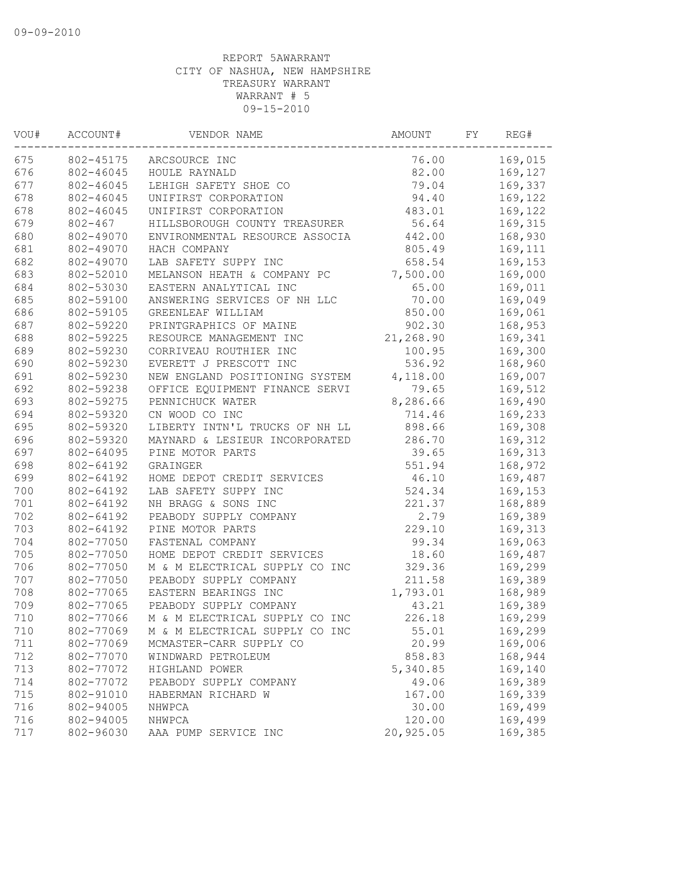| 76.00<br>169,015<br>802-45175<br>ARCSOURCE INC<br>82.00<br>169,127<br>802-46045<br>HOULE RAYNALD<br>802-46045<br>79.04<br>169,337<br>LEHIGH SAFETY SHOE CO<br>802-46045<br>94.40<br>UNIFIRST CORPORATION<br>169,122<br>802-46045<br>483.01<br>UNIFIRST CORPORATION<br>169,122<br>$802 - 467$<br>HILLSBOROUGH COUNTY TREASURER<br>56.64<br>169,315<br>802-49070<br>ENVIRONMENTAL RESOURCE ASSOCIA<br>442.00<br>168,930<br>805.49<br>169,111<br>802-49070<br>HACH COMPANY<br>802-49070<br>LAB SAFETY SUPPY INC<br>658.54<br>169,153<br>802-52010<br>MELANSON HEATH & COMPANY PC<br>7,500.00<br>169,000<br>802-53030<br>EASTERN ANALYTICAL INC<br>65.00<br>169,011<br>802-59100<br>70.00<br>169,049<br>ANSWERING SERVICES OF NH LLC<br>802-59105<br>850.00<br>169,061<br>GREENLEAF WILLIAM<br>902.30<br>802-59220<br>168,953<br>PRINTGRAPHICS OF MAINE<br>21,268.90<br>169,341<br>802-59225<br>RESOURCE MANAGEMENT INC<br>169,300<br>802-59230<br>CORRIVEAU ROUTHIER INC<br>100.95<br>802-59230<br>EVERETT J PRESCOTT INC<br>536.92<br>168,960<br>4,118.00<br>169,007<br>802-59230<br>NEW ENGLAND POSITIONING SYSTEM<br>802-59238<br>169,512<br>OFFICE EQUIPMENT FINANCE SERVI<br>79.65<br>802-59275<br>PENNICHUCK WATER<br>8,286.66<br>169,490<br>802-59320<br>CN WOOD CO INC<br>714.46<br>169,233<br>802-59320<br>LIBERTY INTN'L TRUCKS OF NH LL<br>898.66<br>169,308<br>286.70<br>802-59320<br>MAYNARD & LESIEUR INCORPORATED<br>169,312<br>802-64095<br>PINE MOTOR PARTS<br>39.65<br>169,313<br>551.94<br>802-64192<br>168,972<br>GRAINGER<br>802-64192<br>46.10<br>169,487<br>HOME DEPOT CREDIT SERVICES<br>524.34<br>802-64192<br>LAB SAFETY SUPPY INC<br>169,153<br>221.37<br>802-64192<br>NH BRAGG & SONS INC<br>168,889<br>802-64192<br>PEABODY SUPPLY COMPANY<br>2.79<br>169,389<br>802-64192<br>229.10<br>169,313<br>PINE MOTOR PARTS<br>802-77050<br>99.34<br>169,063<br>FASTENAL COMPANY<br>802-77050<br>18.60<br>HOME DEPOT CREDIT SERVICES<br>169,487<br>802-77050<br>M & M ELECTRICAL SUPPLY CO INC<br>329.36<br>169,299<br>211.58<br>802-77050<br>PEABODY SUPPLY COMPANY<br>169,389<br>802-77065<br>EASTERN BEARINGS INC<br>1,793.01<br>168,989<br>802-77065<br>PEABODY SUPPLY COMPANY<br>169,389<br>43.21<br>802-77066<br>M & M ELECTRICAL SUPPLY CO INC<br>226.18<br>169,299<br>55.01<br>802-77069<br>M & M ELECTRICAL SUPPLY CO INC<br>169,299<br>802-77069<br>20.99<br>169,006<br>MCMASTER-CARR SUPPLY CO<br>712<br>802-77070<br>858.83<br>168,944<br>WINDWARD PETROLEUM<br>802-77072<br>5,340.85<br>169,140<br>HIGHLAND POWER<br>802-77072<br>49.06<br>169,389<br>PEABODY SUPPLY COMPANY<br>802-91010<br>167.00<br>169,339<br>HABERMAN RICHARD W<br>169,499<br>802-94005<br>30.00<br>NHWPCA<br>169,499<br>716<br>802-94005<br>120.00<br>NHWPCA<br>AAA PUMP SERVICE INC | VOU# | ACCOUNT#  | VENDOR NAME | AMOUNT    | FY | REG#    |
|-------------------------------------------------------------------------------------------------------------------------------------------------------------------------------------------------------------------------------------------------------------------------------------------------------------------------------------------------------------------------------------------------------------------------------------------------------------------------------------------------------------------------------------------------------------------------------------------------------------------------------------------------------------------------------------------------------------------------------------------------------------------------------------------------------------------------------------------------------------------------------------------------------------------------------------------------------------------------------------------------------------------------------------------------------------------------------------------------------------------------------------------------------------------------------------------------------------------------------------------------------------------------------------------------------------------------------------------------------------------------------------------------------------------------------------------------------------------------------------------------------------------------------------------------------------------------------------------------------------------------------------------------------------------------------------------------------------------------------------------------------------------------------------------------------------------------------------------------------------------------------------------------------------------------------------------------------------------------------------------------------------------------------------------------------------------------------------------------------------------------------------------------------------------------------------------------------------------------------------------------------------------------------------------------------------------------------------------------------------------------------------------------------------------------------------------------------------------------------------------------------------------------------------------------------------------------------------------------------------------------------------------------------------------------------------------------------------------------------------------------------------------------------------------|------|-----------|-------------|-----------|----|---------|
|                                                                                                                                                                                                                                                                                                                                                                                                                                                                                                                                                                                                                                                                                                                                                                                                                                                                                                                                                                                                                                                                                                                                                                                                                                                                                                                                                                                                                                                                                                                                                                                                                                                                                                                                                                                                                                                                                                                                                                                                                                                                                                                                                                                                                                                                                                                                                                                                                                                                                                                                                                                                                                                                                                                                                                                           | 675  |           |             |           |    |         |
|                                                                                                                                                                                                                                                                                                                                                                                                                                                                                                                                                                                                                                                                                                                                                                                                                                                                                                                                                                                                                                                                                                                                                                                                                                                                                                                                                                                                                                                                                                                                                                                                                                                                                                                                                                                                                                                                                                                                                                                                                                                                                                                                                                                                                                                                                                                                                                                                                                                                                                                                                                                                                                                                                                                                                                                           | 676  |           |             |           |    |         |
|                                                                                                                                                                                                                                                                                                                                                                                                                                                                                                                                                                                                                                                                                                                                                                                                                                                                                                                                                                                                                                                                                                                                                                                                                                                                                                                                                                                                                                                                                                                                                                                                                                                                                                                                                                                                                                                                                                                                                                                                                                                                                                                                                                                                                                                                                                                                                                                                                                                                                                                                                                                                                                                                                                                                                                                           | 677  |           |             |           |    |         |
|                                                                                                                                                                                                                                                                                                                                                                                                                                                                                                                                                                                                                                                                                                                                                                                                                                                                                                                                                                                                                                                                                                                                                                                                                                                                                                                                                                                                                                                                                                                                                                                                                                                                                                                                                                                                                                                                                                                                                                                                                                                                                                                                                                                                                                                                                                                                                                                                                                                                                                                                                                                                                                                                                                                                                                                           | 678  |           |             |           |    |         |
|                                                                                                                                                                                                                                                                                                                                                                                                                                                                                                                                                                                                                                                                                                                                                                                                                                                                                                                                                                                                                                                                                                                                                                                                                                                                                                                                                                                                                                                                                                                                                                                                                                                                                                                                                                                                                                                                                                                                                                                                                                                                                                                                                                                                                                                                                                                                                                                                                                                                                                                                                                                                                                                                                                                                                                                           | 678  |           |             |           |    |         |
|                                                                                                                                                                                                                                                                                                                                                                                                                                                                                                                                                                                                                                                                                                                                                                                                                                                                                                                                                                                                                                                                                                                                                                                                                                                                                                                                                                                                                                                                                                                                                                                                                                                                                                                                                                                                                                                                                                                                                                                                                                                                                                                                                                                                                                                                                                                                                                                                                                                                                                                                                                                                                                                                                                                                                                                           | 679  |           |             |           |    |         |
|                                                                                                                                                                                                                                                                                                                                                                                                                                                                                                                                                                                                                                                                                                                                                                                                                                                                                                                                                                                                                                                                                                                                                                                                                                                                                                                                                                                                                                                                                                                                                                                                                                                                                                                                                                                                                                                                                                                                                                                                                                                                                                                                                                                                                                                                                                                                                                                                                                                                                                                                                                                                                                                                                                                                                                                           | 680  |           |             |           |    |         |
|                                                                                                                                                                                                                                                                                                                                                                                                                                                                                                                                                                                                                                                                                                                                                                                                                                                                                                                                                                                                                                                                                                                                                                                                                                                                                                                                                                                                                                                                                                                                                                                                                                                                                                                                                                                                                                                                                                                                                                                                                                                                                                                                                                                                                                                                                                                                                                                                                                                                                                                                                                                                                                                                                                                                                                                           | 681  |           |             |           |    |         |
|                                                                                                                                                                                                                                                                                                                                                                                                                                                                                                                                                                                                                                                                                                                                                                                                                                                                                                                                                                                                                                                                                                                                                                                                                                                                                                                                                                                                                                                                                                                                                                                                                                                                                                                                                                                                                                                                                                                                                                                                                                                                                                                                                                                                                                                                                                                                                                                                                                                                                                                                                                                                                                                                                                                                                                                           | 682  |           |             |           |    |         |
|                                                                                                                                                                                                                                                                                                                                                                                                                                                                                                                                                                                                                                                                                                                                                                                                                                                                                                                                                                                                                                                                                                                                                                                                                                                                                                                                                                                                                                                                                                                                                                                                                                                                                                                                                                                                                                                                                                                                                                                                                                                                                                                                                                                                                                                                                                                                                                                                                                                                                                                                                                                                                                                                                                                                                                                           | 683  |           |             |           |    |         |
|                                                                                                                                                                                                                                                                                                                                                                                                                                                                                                                                                                                                                                                                                                                                                                                                                                                                                                                                                                                                                                                                                                                                                                                                                                                                                                                                                                                                                                                                                                                                                                                                                                                                                                                                                                                                                                                                                                                                                                                                                                                                                                                                                                                                                                                                                                                                                                                                                                                                                                                                                                                                                                                                                                                                                                                           | 684  |           |             |           |    |         |
|                                                                                                                                                                                                                                                                                                                                                                                                                                                                                                                                                                                                                                                                                                                                                                                                                                                                                                                                                                                                                                                                                                                                                                                                                                                                                                                                                                                                                                                                                                                                                                                                                                                                                                                                                                                                                                                                                                                                                                                                                                                                                                                                                                                                                                                                                                                                                                                                                                                                                                                                                                                                                                                                                                                                                                                           | 685  |           |             |           |    |         |
|                                                                                                                                                                                                                                                                                                                                                                                                                                                                                                                                                                                                                                                                                                                                                                                                                                                                                                                                                                                                                                                                                                                                                                                                                                                                                                                                                                                                                                                                                                                                                                                                                                                                                                                                                                                                                                                                                                                                                                                                                                                                                                                                                                                                                                                                                                                                                                                                                                                                                                                                                                                                                                                                                                                                                                                           | 686  |           |             |           |    |         |
|                                                                                                                                                                                                                                                                                                                                                                                                                                                                                                                                                                                                                                                                                                                                                                                                                                                                                                                                                                                                                                                                                                                                                                                                                                                                                                                                                                                                                                                                                                                                                                                                                                                                                                                                                                                                                                                                                                                                                                                                                                                                                                                                                                                                                                                                                                                                                                                                                                                                                                                                                                                                                                                                                                                                                                                           | 687  |           |             |           |    |         |
|                                                                                                                                                                                                                                                                                                                                                                                                                                                                                                                                                                                                                                                                                                                                                                                                                                                                                                                                                                                                                                                                                                                                                                                                                                                                                                                                                                                                                                                                                                                                                                                                                                                                                                                                                                                                                                                                                                                                                                                                                                                                                                                                                                                                                                                                                                                                                                                                                                                                                                                                                                                                                                                                                                                                                                                           | 688  |           |             |           |    |         |
|                                                                                                                                                                                                                                                                                                                                                                                                                                                                                                                                                                                                                                                                                                                                                                                                                                                                                                                                                                                                                                                                                                                                                                                                                                                                                                                                                                                                                                                                                                                                                                                                                                                                                                                                                                                                                                                                                                                                                                                                                                                                                                                                                                                                                                                                                                                                                                                                                                                                                                                                                                                                                                                                                                                                                                                           | 689  |           |             |           |    |         |
|                                                                                                                                                                                                                                                                                                                                                                                                                                                                                                                                                                                                                                                                                                                                                                                                                                                                                                                                                                                                                                                                                                                                                                                                                                                                                                                                                                                                                                                                                                                                                                                                                                                                                                                                                                                                                                                                                                                                                                                                                                                                                                                                                                                                                                                                                                                                                                                                                                                                                                                                                                                                                                                                                                                                                                                           | 690  |           |             |           |    |         |
|                                                                                                                                                                                                                                                                                                                                                                                                                                                                                                                                                                                                                                                                                                                                                                                                                                                                                                                                                                                                                                                                                                                                                                                                                                                                                                                                                                                                                                                                                                                                                                                                                                                                                                                                                                                                                                                                                                                                                                                                                                                                                                                                                                                                                                                                                                                                                                                                                                                                                                                                                                                                                                                                                                                                                                                           | 691  |           |             |           |    |         |
|                                                                                                                                                                                                                                                                                                                                                                                                                                                                                                                                                                                                                                                                                                                                                                                                                                                                                                                                                                                                                                                                                                                                                                                                                                                                                                                                                                                                                                                                                                                                                                                                                                                                                                                                                                                                                                                                                                                                                                                                                                                                                                                                                                                                                                                                                                                                                                                                                                                                                                                                                                                                                                                                                                                                                                                           | 692  |           |             |           |    |         |
|                                                                                                                                                                                                                                                                                                                                                                                                                                                                                                                                                                                                                                                                                                                                                                                                                                                                                                                                                                                                                                                                                                                                                                                                                                                                                                                                                                                                                                                                                                                                                                                                                                                                                                                                                                                                                                                                                                                                                                                                                                                                                                                                                                                                                                                                                                                                                                                                                                                                                                                                                                                                                                                                                                                                                                                           | 693  |           |             |           |    |         |
|                                                                                                                                                                                                                                                                                                                                                                                                                                                                                                                                                                                                                                                                                                                                                                                                                                                                                                                                                                                                                                                                                                                                                                                                                                                                                                                                                                                                                                                                                                                                                                                                                                                                                                                                                                                                                                                                                                                                                                                                                                                                                                                                                                                                                                                                                                                                                                                                                                                                                                                                                                                                                                                                                                                                                                                           | 694  |           |             |           |    |         |
|                                                                                                                                                                                                                                                                                                                                                                                                                                                                                                                                                                                                                                                                                                                                                                                                                                                                                                                                                                                                                                                                                                                                                                                                                                                                                                                                                                                                                                                                                                                                                                                                                                                                                                                                                                                                                                                                                                                                                                                                                                                                                                                                                                                                                                                                                                                                                                                                                                                                                                                                                                                                                                                                                                                                                                                           | 695  |           |             |           |    |         |
|                                                                                                                                                                                                                                                                                                                                                                                                                                                                                                                                                                                                                                                                                                                                                                                                                                                                                                                                                                                                                                                                                                                                                                                                                                                                                                                                                                                                                                                                                                                                                                                                                                                                                                                                                                                                                                                                                                                                                                                                                                                                                                                                                                                                                                                                                                                                                                                                                                                                                                                                                                                                                                                                                                                                                                                           | 696  |           |             |           |    |         |
|                                                                                                                                                                                                                                                                                                                                                                                                                                                                                                                                                                                                                                                                                                                                                                                                                                                                                                                                                                                                                                                                                                                                                                                                                                                                                                                                                                                                                                                                                                                                                                                                                                                                                                                                                                                                                                                                                                                                                                                                                                                                                                                                                                                                                                                                                                                                                                                                                                                                                                                                                                                                                                                                                                                                                                                           | 697  |           |             |           |    |         |
|                                                                                                                                                                                                                                                                                                                                                                                                                                                                                                                                                                                                                                                                                                                                                                                                                                                                                                                                                                                                                                                                                                                                                                                                                                                                                                                                                                                                                                                                                                                                                                                                                                                                                                                                                                                                                                                                                                                                                                                                                                                                                                                                                                                                                                                                                                                                                                                                                                                                                                                                                                                                                                                                                                                                                                                           | 698  |           |             |           |    |         |
|                                                                                                                                                                                                                                                                                                                                                                                                                                                                                                                                                                                                                                                                                                                                                                                                                                                                                                                                                                                                                                                                                                                                                                                                                                                                                                                                                                                                                                                                                                                                                                                                                                                                                                                                                                                                                                                                                                                                                                                                                                                                                                                                                                                                                                                                                                                                                                                                                                                                                                                                                                                                                                                                                                                                                                                           | 699  |           |             |           |    |         |
|                                                                                                                                                                                                                                                                                                                                                                                                                                                                                                                                                                                                                                                                                                                                                                                                                                                                                                                                                                                                                                                                                                                                                                                                                                                                                                                                                                                                                                                                                                                                                                                                                                                                                                                                                                                                                                                                                                                                                                                                                                                                                                                                                                                                                                                                                                                                                                                                                                                                                                                                                                                                                                                                                                                                                                                           | 700  |           |             |           |    |         |
|                                                                                                                                                                                                                                                                                                                                                                                                                                                                                                                                                                                                                                                                                                                                                                                                                                                                                                                                                                                                                                                                                                                                                                                                                                                                                                                                                                                                                                                                                                                                                                                                                                                                                                                                                                                                                                                                                                                                                                                                                                                                                                                                                                                                                                                                                                                                                                                                                                                                                                                                                                                                                                                                                                                                                                                           | 701  |           |             |           |    |         |
|                                                                                                                                                                                                                                                                                                                                                                                                                                                                                                                                                                                                                                                                                                                                                                                                                                                                                                                                                                                                                                                                                                                                                                                                                                                                                                                                                                                                                                                                                                                                                                                                                                                                                                                                                                                                                                                                                                                                                                                                                                                                                                                                                                                                                                                                                                                                                                                                                                                                                                                                                                                                                                                                                                                                                                                           | 702  |           |             |           |    |         |
|                                                                                                                                                                                                                                                                                                                                                                                                                                                                                                                                                                                                                                                                                                                                                                                                                                                                                                                                                                                                                                                                                                                                                                                                                                                                                                                                                                                                                                                                                                                                                                                                                                                                                                                                                                                                                                                                                                                                                                                                                                                                                                                                                                                                                                                                                                                                                                                                                                                                                                                                                                                                                                                                                                                                                                                           | 703  |           |             |           |    |         |
|                                                                                                                                                                                                                                                                                                                                                                                                                                                                                                                                                                                                                                                                                                                                                                                                                                                                                                                                                                                                                                                                                                                                                                                                                                                                                                                                                                                                                                                                                                                                                                                                                                                                                                                                                                                                                                                                                                                                                                                                                                                                                                                                                                                                                                                                                                                                                                                                                                                                                                                                                                                                                                                                                                                                                                                           | 704  |           |             |           |    |         |
|                                                                                                                                                                                                                                                                                                                                                                                                                                                                                                                                                                                                                                                                                                                                                                                                                                                                                                                                                                                                                                                                                                                                                                                                                                                                                                                                                                                                                                                                                                                                                                                                                                                                                                                                                                                                                                                                                                                                                                                                                                                                                                                                                                                                                                                                                                                                                                                                                                                                                                                                                                                                                                                                                                                                                                                           | 705  |           |             |           |    |         |
|                                                                                                                                                                                                                                                                                                                                                                                                                                                                                                                                                                                                                                                                                                                                                                                                                                                                                                                                                                                                                                                                                                                                                                                                                                                                                                                                                                                                                                                                                                                                                                                                                                                                                                                                                                                                                                                                                                                                                                                                                                                                                                                                                                                                                                                                                                                                                                                                                                                                                                                                                                                                                                                                                                                                                                                           | 706  |           |             |           |    |         |
|                                                                                                                                                                                                                                                                                                                                                                                                                                                                                                                                                                                                                                                                                                                                                                                                                                                                                                                                                                                                                                                                                                                                                                                                                                                                                                                                                                                                                                                                                                                                                                                                                                                                                                                                                                                                                                                                                                                                                                                                                                                                                                                                                                                                                                                                                                                                                                                                                                                                                                                                                                                                                                                                                                                                                                                           | 707  |           |             |           |    |         |
|                                                                                                                                                                                                                                                                                                                                                                                                                                                                                                                                                                                                                                                                                                                                                                                                                                                                                                                                                                                                                                                                                                                                                                                                                                                                                                                                                                                                                                                                                                                                                                                                                                                                                                                                                                                                                                                                                                                                                                                                                                                                                                                                                                                                                                                                                                                                                                                                                                                                                                                                                                                                                                                                                                                                                                                           | 708  |           |             |           |    |         |
|                                                                                                                                                                                                                                                                                                                                                                                                                                                                                                                                                                                                                                                                                                                                                                                                                                                                                                                                                                                                                                                                                                                                                                                                                                                                                                                                                                                                                                                                                                                                                                                                                                                                                                                                                                                                                                                                                                                                                                                                                                                                                                                                                                                                                                                                                                                                                                                                                                                                                                                                                                                                                                                                                                                                                                                           | 709  |           |             |           |    |         |
|                                                                                                                                                                                                                                                                                                                                                                                                                                                                                                                                                                                                                                                                                                                                                                                                                                                                                                                                                                                                                                                                                                                                                                                                                                                                                                                                                                                                                                                                                                                                                                                                                                                                                                                                                                                                                                                                                                                                                                                                                                                                                                                                                                                                                                                                                                                                                                                                                                                                                                                                                                                                                                                                                                                                                                                           | 710  |           |             |           |    |         |
|                                                                                                                                                                                                                                                                                                                                                                                                                                                                                                                                                                                                                                                                                                                                                                                                                                                                                                                                                                                                                                                                                                                                                                                                                                                                                                                                                                                                                                                                                                                                                                                                                                                                                                                                                                                                                                                                                                                                                                                                                                                                                                                                                                                                                                                                                                                                                                                                                                                                                                                                                                                                                                                                                                                                                                                           | 710  |           |             |           |    |         |
|                                                                                                                                                                                                                                                                                                                                                                                                                                                                                                                                                                                                                                                                                                                                                                                                                                                                                                                                                                                                                                                                                                                                                                                                                                                                                                                                                                                                                                                                                                                                                                                                                                                                                                                                                                                                                                                                                                                                                                                                                                                                                                                                                                                                                                                                                                                                                                                                                                                                                                                                                                                                                                                                                                                                                                                           | 711  |           |             |           |    |         |
|                                                                                                                                                                                                                                                                                                                                                                                                                                                                                                                                                                                                                                                                                                                                                                                                                                                                                                                                                                                                                                                                                                                                                                                                                                                                                                                                                                                                                                                                                                                                                                                                                                                                                                                                                                                                                                                                                                                                                                                                                                                                                                                                                                                                                                                                                                                                                                                                                                                                                                                                                                                                                                                                                                                                                                                           |      |           |             |           |    |         |
|                                                                                                                                                                                                                                                                                                                                                                                                                                                                                                                                                                                                                                                                                                                                                                                                                                                                                                                                                                                                                                                                                                                                                                                                                                                                                                                                                                                                                                                                                                                                                                                                                                                                                                                                                                                                                                                                                                                                                                                                                                                                                                                                                                                                                                                                                                                                                                                                                                                                                                                                                                                                                                                                                                                                                                                           | 713  |           |             |           |    |         |
|                                                                                                                                                                                                                                                                                                                                                                                                                                                                                                                                                                                                                                                                                                                                                                                                                                                                                                                                                                                                                                                                                                                                                                                                                                                                                                                                                                                                                                                                                                                                                                                                                                                                                                                                                                                                                                                                                                                                                                                                                                                                                                                                                                                                                                                                                                                                                                                                                                                                                                                                                                                                                                                                                                                                                                                           | 714  |           |             |           |    |         |
|                                                                                                                                                                                                                                                                                                                                                                                                                                                                                                                                                                                                                                                                                                                                                                                                                                                                                                                                                                                                                                                                                                                                                                                                                                                                                                                                                                                                                                                                                                                                                                                                                                                                                                                                                                                                                                                                                                                                                                                                                                                                                                                                                                                                                                                                                                                                                                                                                                                                                                                                                                                                                                                                                                                                                                                           | 715  |           |             |           |    |         |
|                                                                                                                                                                                                                                                                                                                                                                                                                                                                                                                                                                                                                                                                                                                                                                                                                                                                                                                                                                                                                                                                                                                                                                                                                                                                                                                                                                                                                                                                                                                                                                                                                                                                                                                                                                                                                                                                                                                                                                                                                                                                                                                                                                                                                                                                                                                                                                                                                                                                                                                                                                                                                                                                                                                                                                                           | 716  |           |             |           |    |         |
|                                                                                                                                                                                                                                                                                                                                                                                                                                                                                                                                                                                                                                                                                                                                                                                                                                                                                                                                                                                                                                                                                                                                                                                                                                                                                                                                                                                                                                                                                                                                                                                                                                                                                                                                                                                                                                                                                                                                                                                                                                                                                                                                                                                                                                                                                                                                                                                                                                                                                                                                                                                                                                                                                                                                                                                           |      |           |             |           |    |         |
|                                                                                                                                                                                                                                                                                                                                                                                                                                                                                                                                                                                                                                                                                                                                                                                                                                                                                                                                                                                                                                                                                                                                                                                                                                                                                                                                                                                                                                                                                                                                                                                                                                                                                                                                                                                                                                                                                                                                                                                                                                                                                                                                                                                                                                                                                                                                                                                                                                                                                                                                                                                                                                                                                                                                                                                           | 717  | 802-96030 |             | 20,925.05 |    | 169,385 |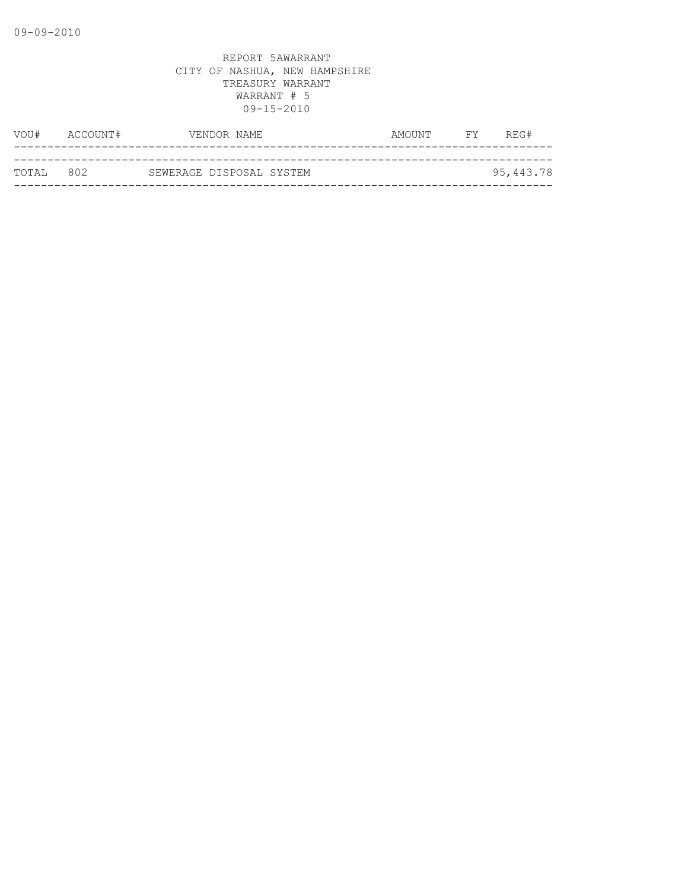| VOU#      | ACCOUNT# | VENDOR NAME              | <b>FY</b><br>AMOUNT | REG#      |
|-----------|----------|--------------------------|---------------------|-----------|
|           |          |                          |                     |           |
| TOTAL 802 |          | SEWERAGE DISPOSAL SYSTEM |                     | 95,443.78 |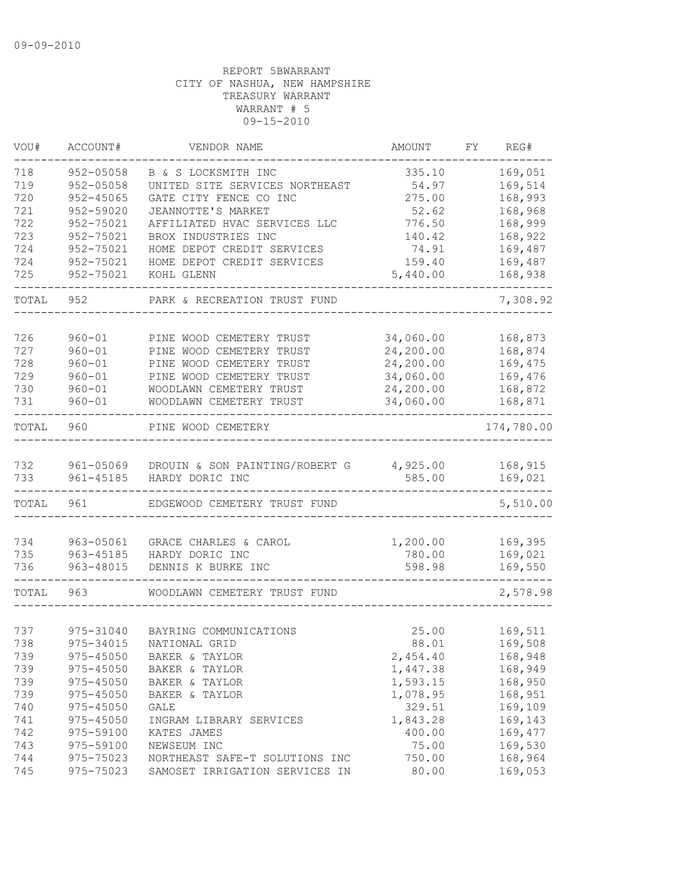| VOU#       | ACCOUNT#                 | VENDOR NAME                                          | <b>AMOUNT</b>          | FΥ | REG#               |
|------------|--------------------------|------------------------------------------------------|------------------------|----|--------------------|
| 718        | 952-05058                | B & S LOCKSMITH INC                                  | 335.10                 |    | 169,051            |
| 719        | $952 - 05058$            | UNITED SITE SERVICES NORTHEAST                       | 54.97                  |    | 169,514            |
| 720        | 952-45065                | GATE CITY FENCE CO INC                               | 275.00                 |    | 168,993            |
| 721        | 952-59020                | JEANNOTTE'S MARKET                                   | 52.62                  |    | 168,968            |
| 722        | 952-75021                | AFFILIATED HVAC SERVICES LLC                         | 776.50                 |    | 168,999            |
| 723        | 952-75021                | BROX INDUSTRIES INC                                  | 140.42                 |    | 168,922            |
| 724        | 952-75021                | HOME DEPOT CREDIT SERVICES                           | 74.91                  |    | 169,487            |
| 724        | 952-75021                | HOME DEPOT CREDIT SERVICES                           | 159.40                 |    | 169,487            |
| 725        | 952-75021                | KOHL GLENN                                           | 5,440.00               |    | 168,938            |
| TOTAL      | 952                      | PARK & RECREATION TRUST FUND                         |                        |    | 7,308.92           |
|            |                          |                                                      |                        |    |                    |
| 726<br>727 | $960 - 01$<br>$960 - 01$ | PINE WOOD CEMETERY TRUST<br>PINE WOOD CEMETERY TRUST | 34,060.00<br>24,200.00 |    | 168,873<br>168,874 |
| 728        | $960 - 01$               | PINE WOOD CEMETERY TRUST                             |                        |    |                    |
| 729        | $960 - 01$               | PINE WOOD CEMETERY TRUST                             | 24,200.00<br>34,060.00 |    | 169,475<br>169,476 |
|            |                          | WOODLAWN CEMETERY TRUST                              | 24,200.00              |    |                    |
| 730        | $960 - 01$               |                                                      |                        |    | 168,872            |
| 731        | $960 - 01$               | WOODLAWN CEMETERY TRUST                              | 34,060.00              |    | 168,871            |
| TOTAL      | 960                      | PINE WOOD CEMETERY                                   |                        |    | 174,780.00         |
| 732        | 961-05069                | DROUIN & SON PAINTING/ROBERT G                       | 4,925.00               |    | 168,915            |
| 733        | $961 - 45185$            | HARDY DORIC INC                                      | 585.00                 |    | 169,021            |
| TOTAL      | 961                      | EDGEWOOD CEMETERY TRUST FUND                         |                        |    | 5,510.00           |
| 734        | 963-05061                | GRACE CHARLES & CAROL                                | 1,200.00               |    | 169,395            |
| 735        | 963-45185                | HARDY DORIC INC                                      | 780.00                 |    | 169,021            |
| 736        | 963-48015                | DENNIS K BURKE INC                                   | 598.98                 |    | 169,550            |
| TOTAL      | 963                      | WOODLAWN CEMETERY TRUST FUND                         |                        |    | 2,578.98           |
|            |                          |                                                      |                        |    |                    |
| 737        | 975-31040                | BAYRING COMMUNICATIONS                               | 25.00                  |    | 169,511            |
| 738        | 975-34015                | NATIONAL GRID                                        | 88.01                  |    | 169,508            |
| 739        | 975-45050                | BAKER & TAYLOR                                       | 2,454.40               |    | 168,948            |
| 739        | $975 - 45050$            | BAKER & TAYLOR                                       | 1,447.38               |    | 168,949            |
| 739        | $975 - 45050$            | BAKER & TAYLOR                                       | 1,593.15               |    | 168,950            |
| 739        | $975 - 45050$            | BAKER & TAYLOR                                       | 1,078.95               |    | 168,951            |
| 740        | 975-45050                | GALE                                                 | 329.51                 |    | 169,109            |
| 741        | 975-45050                | INGRAM LIBRARY SERVICES                              | 1,843.28               |    | 169,143            |
| 742        | 975-59100                | KATES JAMES                                          | 400.00                 |    | 169,477            |
| 743        | 975-59100                | NEWSEUM INC                                          | 75.00                  |    | 169,530            |
| 744        | 975-75023                | NORTHEAST SAFE-T SOLUTIONS INC                       | 750.00                 |    | 168,964            |
| 745        |                          | 975-75023 SAMOSET IRRIGATION SERVICES IN             | 80.00                  |    | 169,053            |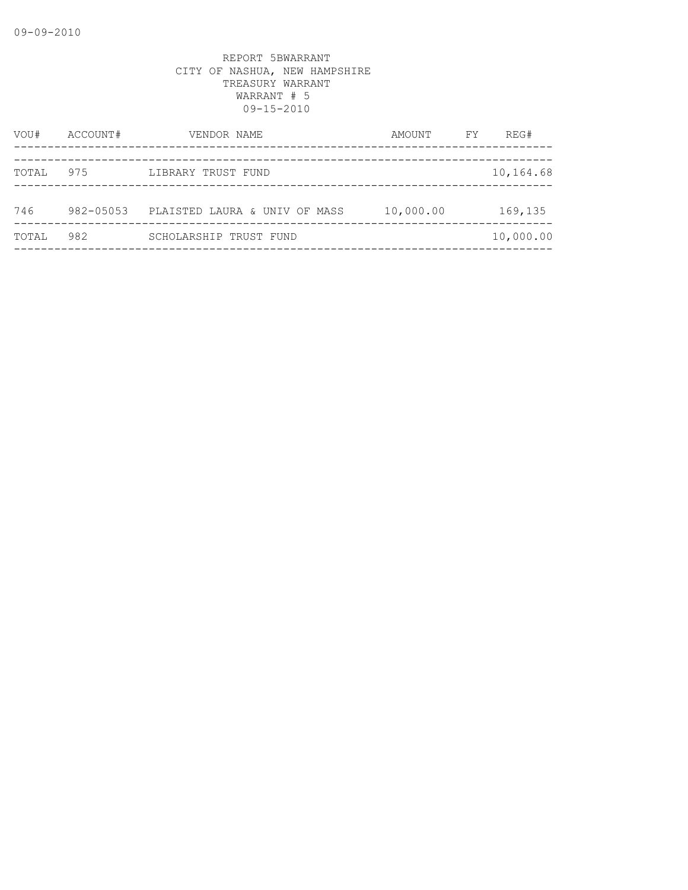| VOU#  | ACCOUNT#      | VENDOR NAME                   | AMOUNT    | FY | REG#      |
|-------|---------------|-------------------------------|-----------|----|-----------|
|       |               |                               |           |    |           |
| TOTAL | 975           | LIBRARY TRUST FUND            |           |    | 10,164.68 |
| 746   | $982 - 05053$ | PLAISTED LAURA & UNIV OF MASS | 10,000.00 |    | 169,135   |
| TOTAL | 982           | SCHOLARSHIP TRUST FUND        |           |    | 10,000.00 |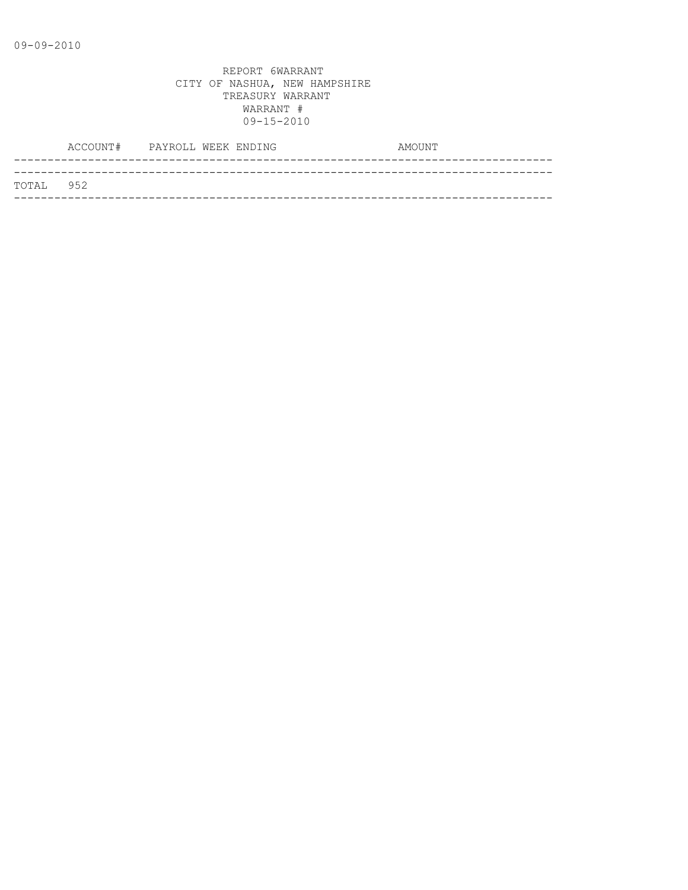|            | ACCOUNT# PAYROLL WEEK ENDING |  |  | AMOUNT |
|------------|------------------------------|--|--|--------|
|            |                              |  |  |        |
| ТОТАІ. 952 |                              |  |  |        |
|            |                              |  |  |        |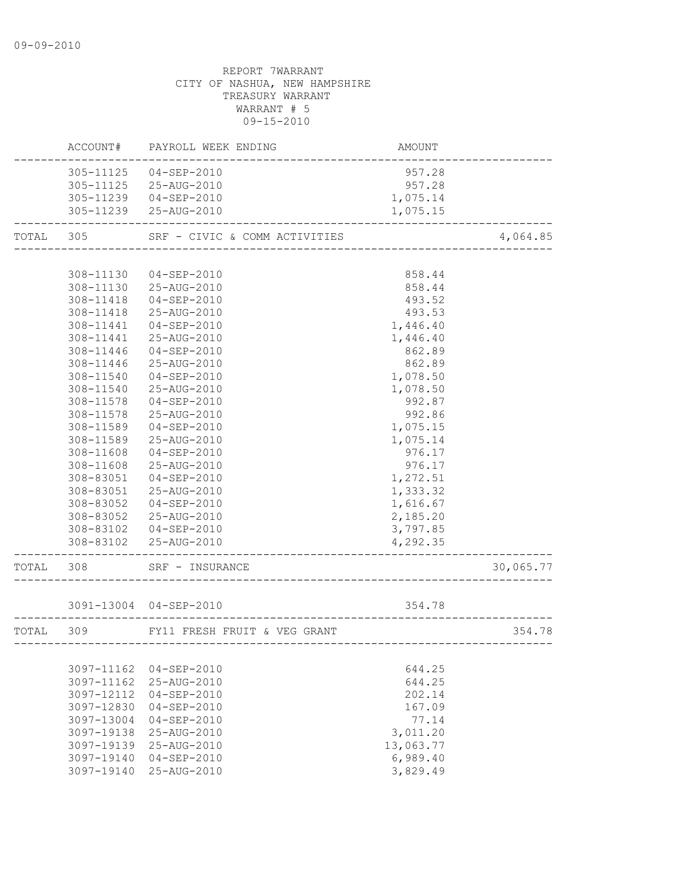# REPORT 7WARRANT CITY OF NASHUA, NEW HAMPSHIRE TREASURY WARRANT WARRANT # 5 09-15-2010 ACCOUNT# PAYROLL WEEK ENDING AND AMOUNT -------------------------------------------------------------------------------- 305-11125 04-SEP-2010 957.28 305-11125 25-AUG-2010 957.28 305-11239 04-SEP-2010 1,075.14 305-11239 25-AUG-2010 1,075.15 -------------------------------------------------------------------------------- TOTAL 305 SRF - CIVIC & COMM ACTIVITIES 4,064.85

| TOTAL | 305           | SRE - CIVIC & COMM ACTIVITIES |          | 4,064.85  |
|-------|---------------|-------------------------------|----------|-----------|
|       |               |                               |          |           |
|       | 308-11130     | $04 - SEP - 2010$             | 858.44   |           |
|       | 308-11130     | 25-AUG-2010                   | 858.44   |           |
|       | 308-11418     | $04 - SEP - 2010$             | 493.52   |           |
|       | 308-11418     | 25-AUG-2010                   | 493.53   |           |
|       | 308-11441     | $04 - SEP - 2010$             | 1,446.40 |           |
|       | $308 - 11441$ | 25-AUG-2010                   | 1,446.40 |           |
|       | 308-11446     | 04-SEP-2010                   | 862.89   |           |
|       | 308-11446     | 25-AUG-2010                   | 862.89   |           |
|       | 308-11540     | $04 - SEP - 2010$             | 1,078.50 |           |
|       | 308-11540     | 25-AUG-2010                   | 1,078.50 |           |
|       | 308-11578     | $04 - SEP - 2010$             | 992.87   |           |
|       | 308-11578     | 25-AUG-2010                   | 992.86   |           |
|       | 308-11589     | 04-SEP-2010                   | 1,075.15 |           |
|       | 308-11589     | 25-AUG-2010                   | 1,075.14 |           |
|       | 308-11608     | $04 - SEP - 2010$             | 976.17   |           |
|       | 308-11608     | 25-AUG-2010                   | 976.17   |           |
|       | 308-83051     | 04-SEP-2010                   | 1,272.51 |           |
|       | 308-83051     | 25-AUG-2010                   | 1,333.32 |           |
|       | 308-83052     | $04 - SEP - 2010$             | 1,616.67 |           |
|       | 308-83052     | 25-AUG-2010                   | 2,185.20 |           |
|       | 308-83102     | $04 - SEP - 2010$             | 3,797.85 |           |
|       | 308-83102     | 25-AUG-2010                   | 4,292.35 |           |
| TOTAL | 308           | SRF - INSURANCE               |          | 30,065.77 |

3091-13004 04-SEP-2010 354.78

| TOTAL | 309 | FY11 FRESH FRUIT & VEG GRANT            |           | 354.78 |
|-------|-----|-----------------------------------------|-----------|--------|
|       |     |                                         |           |        |
|       |     | 3097-11162 04-SEP-2010                  | 644.25    |        |
|       |     | 3097-11162 25-AUG-2010                  | 644.25    |        |
|       |     | 3097-12112 04-SEP-2010                  | 202.14    |        |
|       |     | 3097-12830 04-SEP-2010                  | 167.09    |        |
|       |     | 3097-13004 04-SEP-2010                  | 77.14     |        |
|       |     | $3097 - 19138$ $25 - \text{AUG} - 2010$ | 3,011.20  |        |
|       |     | 3097-19139 25-AUG-2010                  | 13,063.77 |        |
|       |     | 3097-19140 04-SEP-2010                  | 6,989.40  |        |
|       |     | $3097 - 19140$ $25 - \text{AUG} - 2010$ | 3,829.49  |        |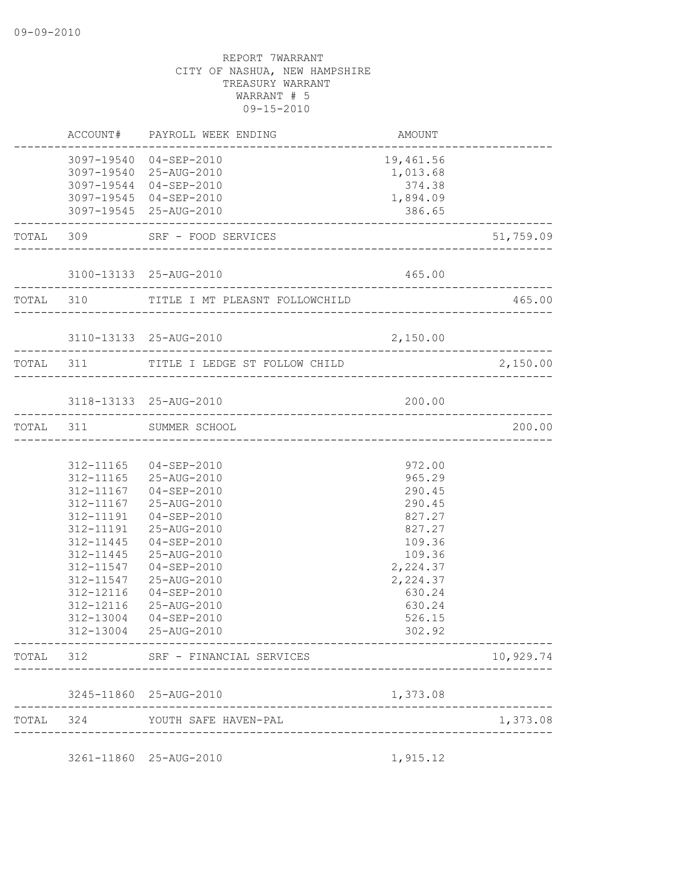|       |           | ACCOUNT# PAYROLL WEEK ENDING                     | AMOUNT                |           |
|-------|-----------|--------------------------------------------------|-----------------------|-----------|
|       |           | 3097-19540 04-SEP-2010<br>3097-19540 25-AUG-2010 | 19,461.56<br>1,013.68 |           |
|       |           | 3097-19544 04-SEP-2010                           | 374.38                |           |
|       |           | 3097-19545 04-SEP-2010<br>3097-19545 25-AUG-2010 | 1,894.09<br>386.65    |           |
|       |           | TOTAL 309 SRF - FOOD SERVICES                    |                       | 51,759.09 |
|       |           |                                                  |                       |           |
|       |           | 3100-13133 25-AUG-2010                           | 465.00                |           |
|       |           | TOTAL 310 TITLE I MT PLEASNT FOLLOWCHILD         |                       | 465.00    |
|       |           | 3110-13133 25-AUG-2010                           | 2,150.00              |           |
|       |           |                                                  |                       | 2,150.00  |
|       |           | 3118-13133 25-AUG-2010                           | 200.00                |           |
|       |           | TOTAL 311 SUMMER SCHOOL                          |                       | 200.00    |
|       |           |                                                  |                       |           |
|       |           | 312-11165 04-SEP-2010                            | 972.00                |           |
|       |           | 312-11165 25-AUG-2010                            | 965.29                |           |
|       |           | 312-11167 04-SEP-2010                            | 290.45                |           |
|       | 312-11167 | 25-AUG-2010                                      | 290.45                |           |
|       | 312-11191 | 04-SEP-2010                                      | 827.27                |           |
|       | 312-11445 | 312-11191 25-AUG-2010<br>04-SEP-2010             | 827.27<br>109.36      |           |
|       |           | 312-11445 25-AUG-2010                            | 109.36                |           |
|       |           | 312-11547  04-SEP-2010                           | 2,224.37              |           |
|       | 312-11547 | 25-AUG-2010                                      | 2,224.37              |           |
|       | 312-12116 | 04-SEP-2010                                      | 630.24                |           |
|       | 312-12116 | 25-AUG-2010                                      | 630.24                |           |
|       | 312-13004 | 04-SEP-2010                                      | 526.15                |           |
|       | 312-13004 | 25-AUG-2010                                      | 302.92                |           |
|       |           | TOTAL 312 SRF - FINANCIAL SERVICES               |                       | 10,929.74 |
|       |           | 3245-11860 25-AUG-2010                           | 1,373.08              |           |
| TOTAL |           | 324 YOUTH SAFE HAVEN-PAL<br>-------------        |                       | 1,373.08  |
|       |           | 3261-11860 25-AUG-2010                           | 1,915.12              |           |
|       |           |                                                  |                       |           |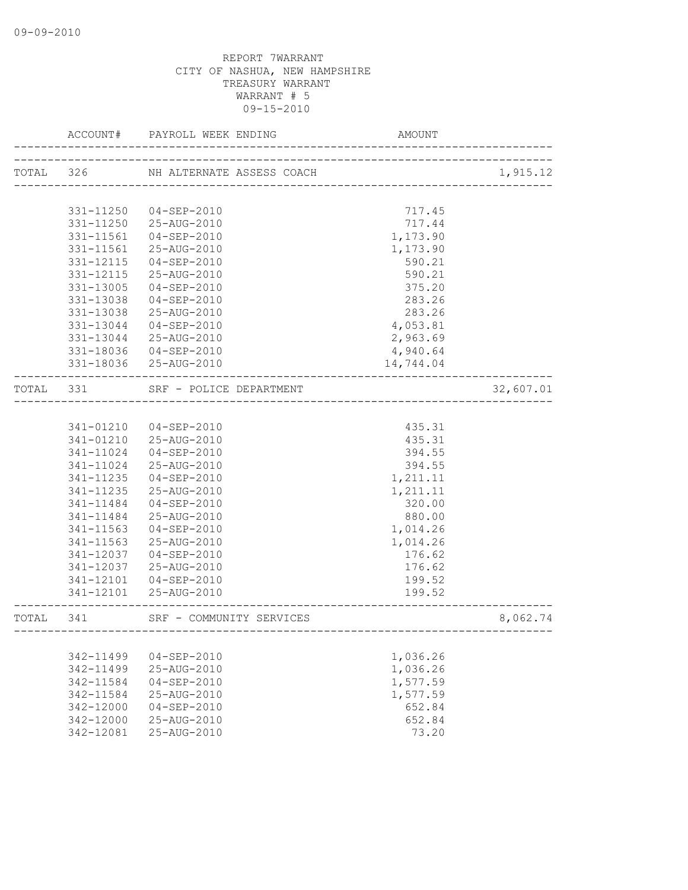|           | ACCOUNT#      | PAYROLL WEEK ENDING       | AMOUNT                                |           |
|-----------|---------------|---------------------------|---------------------------------------|-----------|
| TOTAL 326 |               | NH ALTERNATE ASSESS COACH | ~~~<br>-----------------------------  | 1,915.12  |
|           |               |                           |                                       |           |
|           | 331-11250     | 04-SEP-2010               | 717.45                                |           |
|           |               | 331-11250 25-AUG-2010     | 717.44                                |           |
|           | 331-11561     | 04-SEP-2010               | 1,173.90                              |           |
|           | 331-11561     | 25-AUG-2010               | 1,173.90                              |           |
|           | 331-12115     | 04-SEP-2010               | 590.21                                |           |
|           | 331-12115     | 25-AUG-2010               | 590.21                                |           |
|           | 331-13005     | 04-SEP-2010               | 375.20                                |           |
|           | 331-13038     | $04 - SEP - 2010$         | 283.26                                |           |
|           | 331-13038     | 25-AUG-2010               | 283.26                                |           |
|           | 331-13044     | 04-SEP-2010               | 4,053.81                              |           |
|           | 331-13044     | 25-AUG-2010               | 2,963.69                              |           |
|           | 331-18036     | $04 - SEP - 2010$         | 4,940.64                              |           |
|           |               | 331-18036 25-AUG-2010     | 14,744.04                             |           |
| TOTAL 331 |               | SRF - POLICE DEPARTMENT   | ------------------------------------- | 32,607.01 |
|           |               |                           |                                       |           |
|           | 341-01210     | 04-SEP-2010               | 435.31                                |           |
|           |               | 341-01210 25-AUG-2010     | 435.31                                |           |
|           | 341-11024     | 04-SEP-2010               | 394.55                                |           |
|           | 341-11024     | 25-AUG-2010               | 394.55                                |           |
|           | 341-11235     | 04-SEP-2010               | 1,211.11                              |           |
|           | 341-11235     | 25-AUG-2010               | 1,211.11                              |           |
|           | 341-11484     | 04-SEP-2010               | 320.00                                |           |
|           | 341-11484     | 25-AUG-2010               | 880.00                                |           |
|           | 341-11563     | $04 - SEP - 2010$         | 1,014.26                              |           |
|           | 341-11563     | 25-AUG-2010               | 1,014.26                              |           |
|           | 341-12037     | 04-SEP-2010               | 176.62                                |           |
|           | 341-12037     | 25-AUG-2010               | 176.62                                |           |
|           | 341-12101     | $04 - SEP - 2010$         | 199.52                                |           |
|           |               | 341-12101 25-AUG-2010     | 199.52                                |           |
| TOTAL 341 |               | SRF - COMMUNITY SERVICES  |                                       | 8,062.74  |
|           |               |                           |                                       |           |
|           | 342-11499     | $04 - SEP - 2010$         | 1,036.26                              |           |
|           | 342-11499     | 25-AUG-2010               | 1,036.26                              |           |
|           | 342-11584     | $04 - SEP - 2010$         | 1,577.59                              |           |
|           | 342-11584     | 25-AUG-2010               | 1,577.59                              |           |
|           | 342-12000     | $04 - SEP - 2010$         | 652.84                                |           |
|           | $342 - 12000$ | $25 - \text{AUG} - 2010$  | 652.84                                |           |
|           | 342-12081     | 25-AUG-2010               | 73.20                                 |           |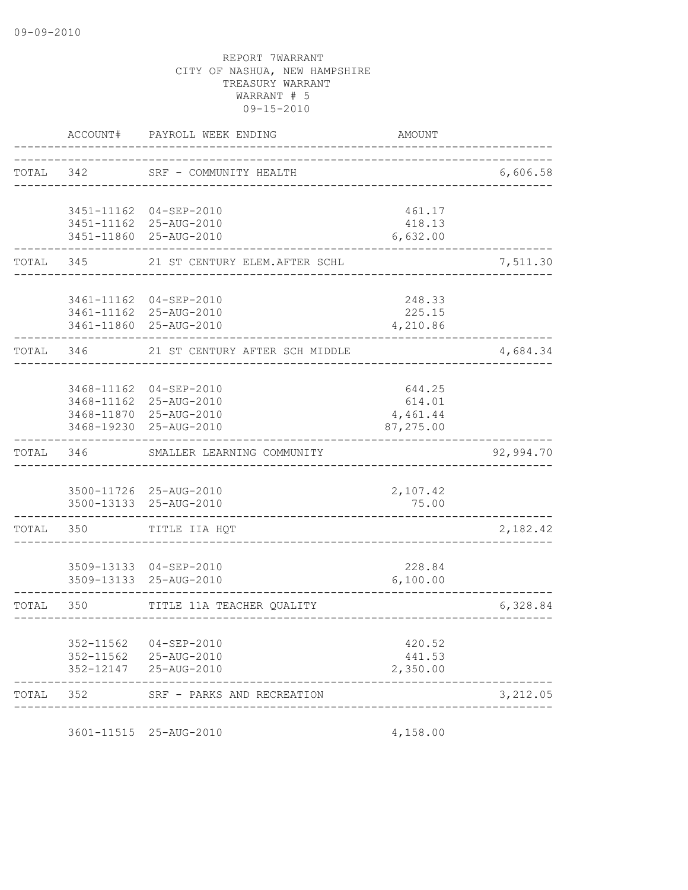| ACCOUNT#     | PAYROLL WEEK ENDING            | <b>AMOUNT</b>                                                                                                                                                                                                                                                                                                                                                                                                                                                                |                                                                                                         |
|--------------|--------------------------------|------------------------------------------------------------------------------------------------------------------------------------------------------------------------------------------------------------------------------------------------------------------------------------------------------------------------------------------------------------------------------------------------------------------------------------------------------------------------------|---------------------------------------------------------------------------------------------------------|
| TOTAL<br>342 |                                |                                                                                                                                                                                                                                                                                                                                                                                                                                                                              | 6,606.58                                                                                                |
|              |                                |                                                                                                                                                                                                                                                                                                                                                                                                                                                                              |                                                                                                         |
|              |                                | 418.13                                                                                                                                                                                                                                                                                                                                                                                                                                                                       |                                                                                                         |
|              |                                |                                                                                                                                                                                                                                                                                                                                                                                                                                                                              |                                                                                                         |
| 345          | 21 ST CENTURY ELEM. AFTER SCHL |                                                                                                                                                                                                                                                                                                                                                                                                                                                                              | 7,511.30                                                                                                |
|              |                                | 248.33                                                                                                                                                                                                                                                                                                                                                                                                                                                                       |                                                                                                         |
|              |                                | 225.15                                                                                                                                                                                                                                                                                                                                                                                                                                                                       |                                                                                                         |
|              |                                |                                                                                                                                                                                                                                                                                                                                                                                                                                                                              |                                                                                                         |
| 346          | 21 ST CENTURY AFTER SCH MIDDLE |                                                                                                                                                                                                                                                                                                                                                                                                                                                                              | 4,684.34                                                                                                |
|              |                                |                                                                                                                                                                                                                                                                                                                                                                                                                                                                              |                                                                                                         |
|              |                                |                                                                                                                                                                                                                                                                                                                                                                                                                                                                              |                                                                                                         |
|              |                                | 4,461.44                                                                                                                                                                                                                                                                                                                                                                                                                                                                     |                                                                                                         |
|              |                                | 87,275.00                                                                                                                                                                                                                                                                                                                                                                                                                                                                    |                                                                                                         |
| 346          | SMALLER LEARNING COMMUNITY     |                                                                                                                                                                                                                                                                                                                                                                                                                                                                              | 92,994.70                                                                                               |
|              |                                |                                                                                                                                                                                                                                                                                                                                                                                                                                                                              |                                                                                                         |
|              |                                | 75.00                                                                                                                                                                                                                                                                                                                                                                                                                                                                        |                                                                                                         |
| 350          | TITLE IIA HQT                  |                                                                                                                                                                                                                                                                                                                                                                                                                                                                              | 2,182.42                                                                                                |
|              |                                |                                                                                                                                                                                                                                                                                                                                                                                                                                                                              |                                                                                                         |
|              |                                | 6,100.00                                                                                                                                                                                                                                                                                                                                                                                                                                                                     |                                                                                                         |
| 350          | TITLE 11A TEACHER OUALITY      |                                                                                                                                                                                                                                                                                                                                                                                                                                                                              | 6,328.84                                                                                                |
|              |                                |                                                                                                                                                                                                                                                                                                                                                                                                                                                                              |                                                                                                         |
|              |                                | 441.53                                                                                                                                                                                                                                                                                                                                                                                                                                                                       |                                                                                                         |
|              |                                | 2,350.00                                                                                                                                                                                                                                                                                                                                                                                                                                                                     |                                                                                                         |
| 352          | SRF - PARKS AND RECREATION     |                                                                                                                                                                                                                                                                                                                                                                                                                                                                              | 3,212.05                                                                                                |
|              | 352-11562                      | SRF - COMMUNITY HEALTH<br>3451-11162 04-SEP-2010<br>3451-11162 25-AUG-2010<br>3451-11860 25-AUG-2010<br>3461-11162 04-SEP-2010<br>3461-11162 25-AUG-2010<br>3461-11860 25-AUG-2010<br>3468-11162<br>$04 - SEP - 2010$<br>3468-11162 25-AUG-2010<br>3468-11870 25-AUG-2010<br>3468-19230 25-AUG-2010<br>3500-11726 25-AUG-2010<br>3500-13133 25-AUG-2010<br>3509-13133 04-SEP-2010<br>3509-13133 25-AUG-2010<br>04-SEP-2010<br>352-11562 25-AUG-2010<br>352-12147 25-AUG-2010 | _________________<br>461.17<br>6,632.00<br>4,210.86<br>644.25<br>614.01<br>2,107.42<br>228.84<br>420.52 |

3601-11515 25-AUG-2010 4,158.00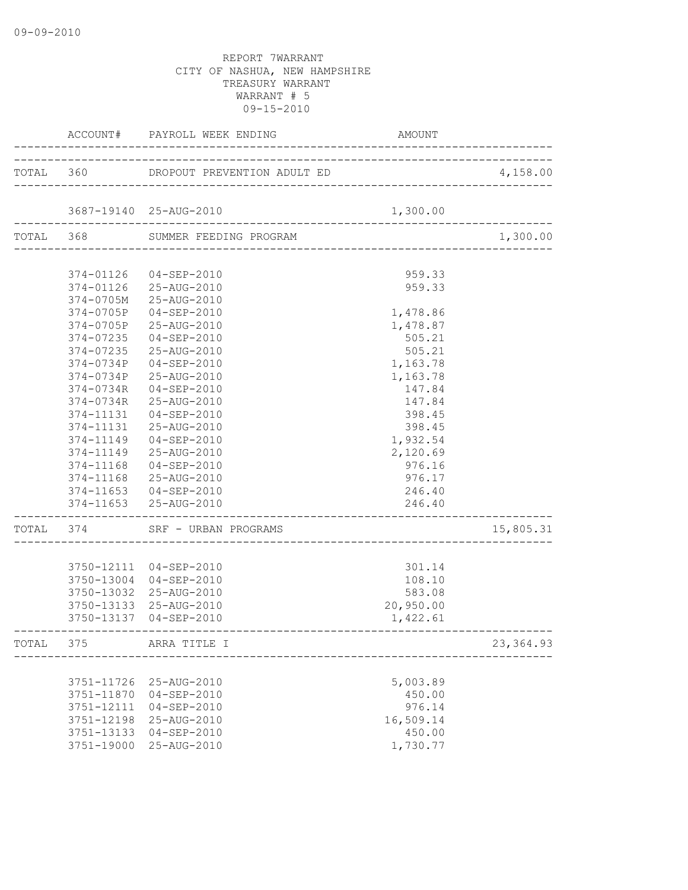|       |            | ACCOUNT# PAYROLL WEEK ENDING                       | AMOUNT                                |            |
|-------|------------|----------------------------------------------------|---------------------------------------|------------|
|       |            | TOTAL 360 DROPOUT PREVENTION ADULT ED              |                                       | 4,158.00   |
|       |            | 3687-19140 25-AUG-2010                             | 1,300.00                              |            |
|       |            | --------------------------------                   |                                       |            |
|       |            | TOTAL 368 SUMMER FEEDING PROGRAM                   |                                       | 1,300.00   |
|       |            | 374-01126  04-SEP-2010                             | 959.33                                |            |
|       |            | 374-01126 25-AUG-2010                              | 959.33                                |            |
|       |            | 374-0705M 25-AUG-2010                              |                                       |            |
|       | 374-0705P  |                                                    |                                       |            |
|       |            | $04 - SEP - 2010$                                  | 1,478.86                              |            |
|       |            | 374-0705P 25-AUG-2010                              | 1,478.87                              |            |
|       | 374-07235  | 04-SEP-2010                                        | 505.21                                |            |
|       | 374-07235  | 25-AUG-2010                                        | 505.21                                |            |
|       | 374-0734P  | $04 - SEP - 2010$                                  | 1,163.78                              |            |
|       | 374-0734P  | 25-AUG-2010                                        | 1,163.78                              |            |
|       | 374-0734R  | $04 - SEP - 2010$                                  | 147.84                                |            |
|       | 374-0734R  | 25-AUG-2010                                        | 147.84                                |            |
|       | 374-11131  | $04 - SEP - 2010$                                  | 398.45                                |            |
|       | 374-11131  | 25-AUG-2010                                        | 398.45                                |            |
|       | 374-11149  | $04 - SEP - 2010$                                  | 1,932.54                              |            |
|       | 374-11149  | 25-AUG-2010                                        | 2,120.69                              |            |
|       | 374-11168  | $04 - SEP - 2010$                                  | 976.16                                |            |
|       |            | 374-11168 25-AUG-2010                              | 976.17                                |            |
|       |            | 374-11653   04-SEP-2010<br>374-11653   25-AUG-2010 | 246.40                                |            |
|       |            |                                                    | 246.40<br>________________            |            |
|       |            | TOTAL 374 SRF - URBAN PROGRAMS                     | _____________________________________ | 15,805.31  |
|       |            |                                                    |                                       |            |
|       |            | 3750-12111 04-SEP-2010                             | 301.14                                |            |
|       | 3750-13004 | $04 - SEP - 2010$                                  | 108.10                                |            |
|       |            | 3750-13032 25-AUG-2010                             | 583.08                                |            |
|       |            | 3750-13133 25-AUG-2010<br>3750-13137 04-SEP-2010   | 20,950.00<br>1,422.61                 |            |
|       |            |                                                    |                                       |            |
| TOTAL | 375        | ARRA TITLE I                                       |                                       | 23, 364.93 |
|       | 3751-11726 | 25-AUG-2010                                        | 5,003.89                              |            |
|       | 3751-11870 | 04-SEP-2010                                        | 450.00                                |            |
|       | 3751-12111 | 04-SEP-2010                                        | 976.14                                |            |
|       | 3751-12198 | 25-AUG-2010                                        | 16,509.14                             |            |
|       | 3751-13133 | 04-SEP-2010                                        | 450.00                                |            |
|       | 3751-19000 | 25-AUG-2010                                        | 1,730.77                              |            |
|       |            |                                                    |                                       |            |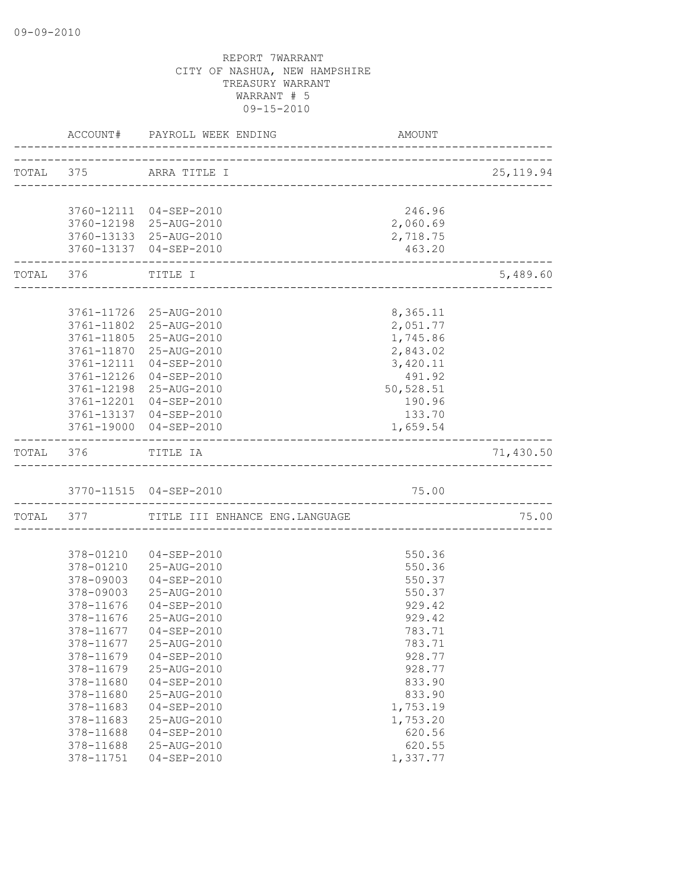|                   | ACCOUNT# PAYROLL WEEK ENDING              | AMOUNT    |            |
|-------------------|-------------------------------------------|-----------|------------|
|                   | TOTAL 375 ARRA TITLE I                    |           | 25, 119.94 |
|                   |                                           |           |            |
|                   | 3760-12111 04-SEP-2010                    | 246.96    |            |
|                   | 3760-12198 25-AUG-2010                    | 2,060.69  |            |
|                   | 3760-13133 25-AUG-2010                    | 2,718.75  |            |
|                   | 3760-13137 04-SEP-2010                    | 463.20    |            |
| TOTAL 376 TITLE I | _____________________________________     |           | 5,489.60   |
|                   |                                           |           |            |
|                   | 3761-11726 25-AUG-2010                    | 8,365.11  |            |
|                   | 3761-11802 25-AUG-2010                    | 2,051.77  |            |
|                   | 3761-11805 25-AUG-2010                    | 1,745.86  |            |
|                   | 3761-11870 25-AUG-2010                    | 2,843.02  |            |
| 3761-12111        | $04 - SEP - 2010$                         | 3,420.11  |            |
| 3761-12126        | $04 - SEP - 2010$                         | 491.92    |            |
| 3761-12198        | 25-AUG-2010                               | 50,528.51 |            |
| 3761-12201        | 04-SEP-2010                               | 190.96    |            |
|                   | 3761-13137 04-SEP-2010                    | 133.70    |            |
|                   | 3761-19000 04-SEP-2010                    | 1,659.54  |            |
| TOTAL 376         | TITLE IA                                  |           | 71,430.50  |
|                   | 3770-11515 04-SEP-2010                    | 75.00     |            |
|                   | TOTAL 377 TITLE III ENHANCE ENG. LANGUAGE |           | 75.00      |
|                   |                                           |           |            |
|                   | 378-01210  04-SEP-2010                    | 550.36    |            |
|                   | 378-01210 25-AUG-2010                     | 550.36    |            |
| 378-09003         | 04-SEP-2010                               | 550.37    |            |
| 378-09003         | 25-AUG-2010                               | 550.37    |            |
| 378-11676         | $04 - SEP - 2010$                         | 929.42    |            |
| 378-11676         | 25-AUG-2010                               | 929.42    |            |
|                   | 378-11677  04-SEP-2010                    | 783.71    |            |
| 378-11677         | 25-AUG-2010                               | 783.71    |            |
| 378-11679         | $04 - SEP - 2010$                         | 928.77    |            |
| 378-11679         | 25-AUG-2010                               | 928.77    |            |
| 378-11680         | $04 - SEP - 2010$                         | 833.90    |            |
| 378-11680         | 25-AUG-2010                               | 833.90    |            |
| 378-11683         | $04 - SEP - 2010$                         | 1,753.19  |            |
| 378-11683         | 25-AUG-2010                               | 1,753.20  |            |
| 378-11688         | $04 - SEP - 2010$                         | 620.56    |            |
| 378-11688         | 25-AUG-2010                               | 620.55    |            |
| 378-11751         | $04 - SEP - 2010$                         | 1,337.77  |            |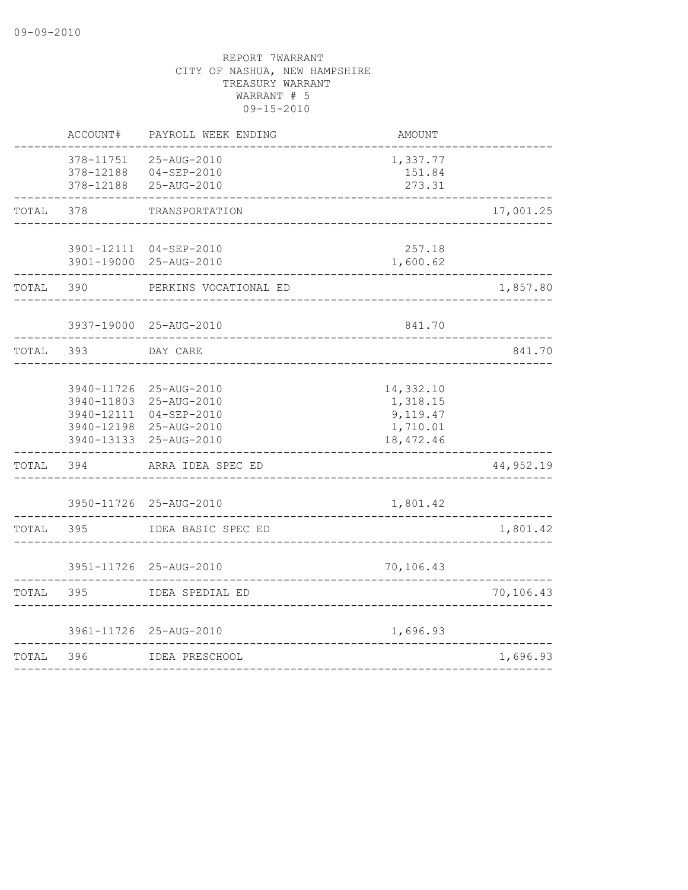|       | ACCOUNT#                            | PAYROLL WEEK ENDING                                                                                                 | AMOUNT                                                      |           |
|-------|-------------------------------------|---------------------------------------------------------------------------------------------------------------------|-------------------------------------------------------------|-----------|
|       | 378-11751<br>378-12188<br>378-12188 | 25-AUG-2010<br>$04 - SEP - 2010$<br>25-AUG-2010                                                                     | 1,337.77<br>151.84<br>273.31                                |           |
| TOTAL | 378                                 | TRANSPORTATION                                                                                                      |                                                             | 17,001.25 |
|       |                                     | 3901-12111 04-SEP-2010<br>3901-19000 25-AUG-2010                                                                    | 257.18<br>1,600.62                                          |           |
| TOTAL | 390                                 | PERKINS VOCATIONAL ED                                                                                               |                                                             | 1,857.80  |
|       |                                     | 3937-19000 25-AUG-2010                                                                                              | 841.70                                                      |           |
| TOTAL | 393                                 | DAY CARE                                                                                                            |                                                             | 841.70    |
|       | 3940-11803                          | 3940-11726 25-AUG-2010<br>25-AUG-2010<br>3940-12111 04-SEP-2010<br>3940-12198 25-AUG-2010<br>3940-13133 25-AUG-2010 | 14,332.10<br>1,318.15<br>9,119.47<br>1,710.01<br>18, 472.46 |           |
| TOTAL | 394                                 | ARRA IDEA SPEC ED                                                                                                   |                                                             | 44,952.19 |
|       |                                     | 3950-11726 25-AUG-2010                                                                                              | 1,801.42                                                    |           |
| TOTAL | 395                                 | IDEA BASIC SPEC ED                                                                                                  | -------------                                               | 1,801.42  |
|       |                                     | 3951-11726 25-AUG-2010                                                                                              | 70,106.43                                                   |           |
| TOTAL | 395                                 | IDEA SPEDIAL ED                                                                                                     |                                                             | 70,106.43 |
|       |                                     | 3961-11726 25-AUG-2010                                                                                              | 1,696.93                                                    |           |
| TOTAL | 396                                 | IDEA PRESCHOOL                                                                                                      |                                                             | 1,696.93  |
|       |                                     |                                                                                                                     |                                                             |           |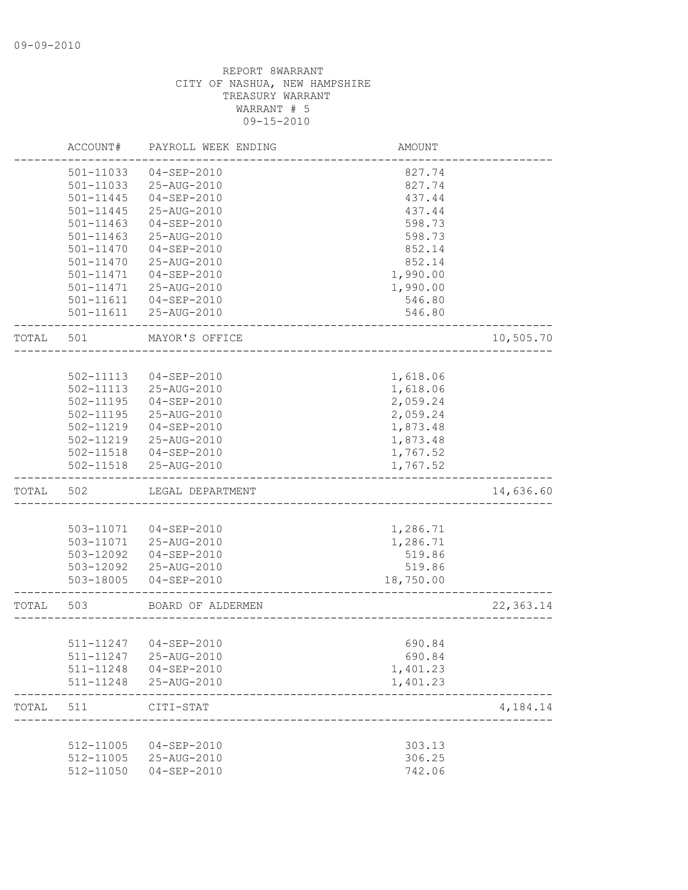|       | ACCOUNT#      | PAYROLL WEEK ENDING                            | AMOUNT           |           |
|-------|---------------|------------------------------------------------|------------------|-----------|
|       | 501-11033     | $04 - SEP - 2010$                              | 827.74           |           |
|       | 501-11033     | 25-AUG-2010                                    | 827.74           |           |
|       | 501-11445     | $04 - SEP - 2010$                              | 437.44           |           |
|       | 501-11445     | 25-AUG-2010                                    | 437.44           |           |
|       | $501 - 11463$ | $04 - SEP - 2010$                              | 598.73           |           |
|       | 501-11463     | 25-AUG-2010                                    | 598.73           |           |
|       | 501-11470     | $04 - SEP - 2010$                              | 852.14           |           |
|       | 501-11470     | 25-AUG-2010                                    | 852.14           |           |
|       | 501-11471     | $04 - SEP - 2010$                              | 1,990.00         |           |
|       | 501-11471     | 25-AUG-2010                                    | 1,990.00         |           |
|       |               | 501-11611  04-SEP-2010                         | 546.80           |           |
|       | 501-11611     | 25-AUG-2010                                    | 546.80           |           |
| TOTAL | 501           | MAYOR'S OFFICE                                 |                  | 10,505.70 |
|       |               |                                                |                  |           |
|       | 502-11113     | $04 - SEP - 2010$                              | 1,618.06         |           |
|       | 502-11113     | 25-AUG-2010                                    | 1,618.06         |           |
|       | 502-11195     | $04 - SEP - 2010$                              | 2,059.24         |           |
|       | 502-11195     | 25-AUG-2010                                    | 2,059.24         |           |
|       | 502-11219     | $04 - SEP - 2010$                              | 1,873.48         |           |
|       | 502-11219     | 25-AUG-2010                                    | 1,873.48         |           |
|       | 502-11518     | 04-SEP-2010                                    | 1,767.52         |           |
|       | 502-11518     | 25-AUG-2010                                    | 1,767.52         |           |
| TOTAL | 502           | LEGAL DEPARTMENT                               |                  | 14,636.60 |
|       |               |                                                |                  |           |
|       | 503-11071     | 04-SEP-2010                                    | 1,286.71         |           |
|       | 503-11071     | 25-AUG-2010                                    | 1,286.71         |           |
|       | 503-12092     | 04-SEP-2010                                    | 519.86           |           |
|       | 503-12092     | 25-AUG-2010                                    | 519.86           |           |
|       | 503-18005     | $04 - SEP - 2010$                              | 18,750.00        |           |
| TOTAL | 503           | BOARD OF ALDERMEN                              |                  | 22,363.14 |
|       |               |                                                |                  |           |
|       |               | 511-11247 04-SEP-2010                          | 690.84           |           |
|       |               | 511-11247 25-AUG-2010                          | 690.84           |           |
|       |               | 511-11248  04-SEP-2010                         | 1,401.23         |           |
|       |               | 511-11248 25-AUG-2010                          | 1,401.23         |           |
| TOTAL | 511           | CITI-STAT<br>-------------------------         |                  | 4,184.14  |
|       |               |                                                |                  |           |
|       |               | 512-11005 04-SEP-2010<br>512-11005 25-AUG-2010 | 303.13<br>306.25 |           |
|       |               | $04 - SEP - 2010$                              |                  |           |
|       | 512-11050     |                                                | 742.06           |           |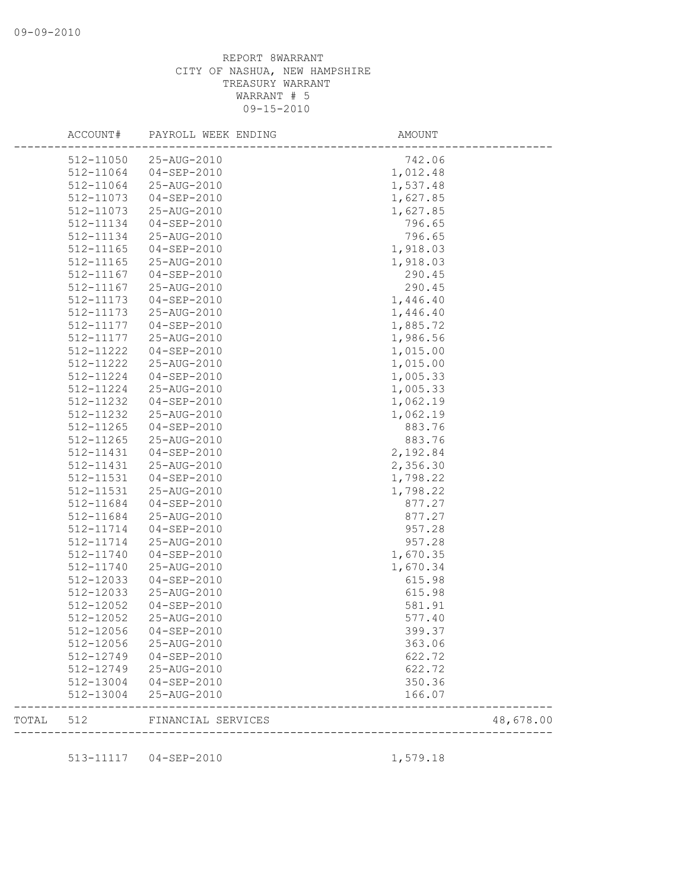|       | ACCOUNT#  | PAYROLL WEEK ENDING                  | AMOUNT                |           |
|-------|-----------|--------------------------------------|-----------------------|-----------|
|       | 512-11050 | 25-AUG-2010                          | 742.06                |           |
|       | 512-11064 | $04 - SEP - 2010$                    | 1,012.48              |           |
|       | 512-11064 | 25-AUG-2010                          | 1,537.48              |           |
|       | 512-11073 | $04 - SEP - 2010$                    | 1,627.85              |           |
|       | 512-11073 | 25-AUG-2010                          | 1,627.85              |           |
|       | 512-11134 | $04 - SEP - 2010$                    | 796.65                |           |
|       | 512-11134 | 25-AUG-2010                          | 796.65                |           |
|       | 512-11165 | $04 - SEP - 2010$                    | 1,918.03              |           |
|       | 512-11165 | 25-AUG-2010                          | 1,918.03              |           |
|       | 512-11167 | $04 - SEP - 2010$                    | 290.45                |           |
|       | 512-11167 | 25-AUG-2010                          | 290.45                |           |
|       | 512-11173 | 04-SEP-2010                          | 1,446.40              |           |
|       | 512-11173 | 25-AUG-2010                          | 1,446.40              |           |
|       | 512-11177 | 04-SEP-2010                          | 1,885.72              |           |
|       | 512-11177 | 25-AUG-2010                          | 1,986.56              |           |
|       | 512-11222 | $04 - SEP - 2010$                    | 1,015.00              |           |
|       | 512-11222 | 25-AUG-2010                          | 1,015.00              |           |
|       | 512-11224 | 04-SEP-2010                          | 1,005.33              |           |
|       | 512-11224 | 25-AUG-2010                          | 1,005.33              |           |
|       | 512-11232 | $04 - SEP - 2010$                    | 1,062.19              |           |
|       | 512-11232 | 25-AUG-2010                          | 1,062.19              |           |
|       | 512-11265 | $04 - SEP - 2010$                    | 883.76                |           |
|       | 512-11265 | 25-AUG-2010                          | 883.76                |           |
|       | 512-11431 | 04-SEP-2010                          | 2,192.84              |           |
|       | 512-11431 | 25-AUG-2010                          | 2,356.30              |           |
|       | 512-11531 | $04 - SEP - 2010$                    | 1,798.22              |           |
|       | 512-11531 | 25-AUG-2010                          | 1,798.22              |           |
|       | 512-11684 | 04-SEP-2010                          | 877.27                |           |
|       | 512-11684 | 25-AUG-2010                          | 877.27                |           |
|       | 512-11714 | $04 - SEP - 2010$                    | 957.28                |           |
|       | 512-11714 | 25-AUG-2010                          | 957.28                |           |
|       | 512-11740 | $04 - SEP - 2010$                    | 1,670.35              |           |
|       | 512-11740 | 25-AUG-2010                          | 1,670.34              |           |
|       | 512-12033 | $04 - SEP - 2010$                    | 615.98                |           |
|       | 512-12033 | 25-AUG-2010                          | 615.98                |           |
|       | 512-12052 | 04-SEP-2010                          | 581.91                |           |
|       | 512-12052 | 25-AUG-2010                          | 577.40                |           |
|       | 512-12056 | $04 - SEP - 2010$                    | 399.37                |           |
|       |           |                                      |                       |           |
|       | 512-12056 | 25-AUG-2010<br>512-12749 04-SEP-2010 | 363.06                |           |
|       |           |                                      | 622.72                |           |
|       | 512-12749 | 25-AUG-2010                          | 622.72                |           |
|       | 512-13004 | 04-SEP-2010                          | 350.36                |           |
|       | 512-13004 | 25-AUG-2010                          | 166.07                |           |
| TOTAL |           | 512 FINANCIAL SERVICES               | _____________________ | 48,678.00 |
|       |           | 513-11117  04-SEP-2010               | 1,579.18              |           |
|       |           |                                      |                       |           |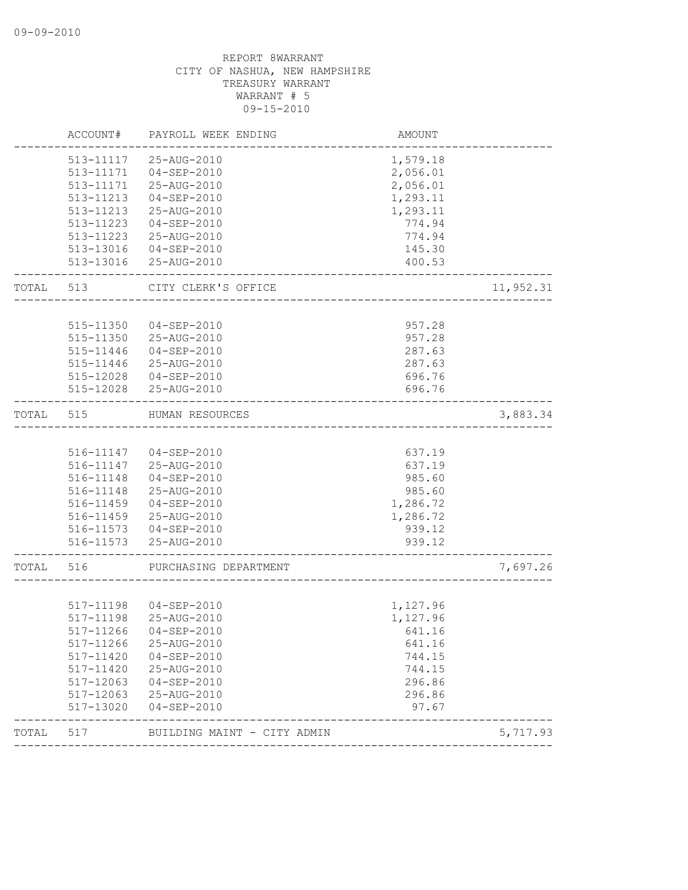|           | ACCOUNT#  | PAYROLL WEEK ENDING                  | AMOUNT           |           |
|-----------|-----------|--------------------------------------|------------------|-----------|
|           | 513-11117 | 25-AUG-2010                          | 1,579.18         |           |
|           |           | 513-11171  04-SEP-2010               | 2,056.01         |           |
|           | 513-11171 | 25-AUG-2010                          | 2,056.01         |           |
|           | 513-11213 | $04 - SEP - 2010$                    | 1,293.11         |           |
|           | 513-11213 | 25-AUG-2010                          | 1,293.11         |           |
|           | 513-11223 | $04 - SEP - 2010$                    | 774.94           |           |
|           | 513-11223 | 25-AUG-2010                          | 774.94           |           |
|           | 513-13016 | 04-SEP-2010<br>513-13016 25-AUG-2010 | 145.30<br>400.53 |           |
|           |           |                                      |                  |           |
| TOTAL 513 |           | CITY CLERK'S OFFICE                  |                  | 11,952.31 |
|           | 515-11350 | 04-SEP-2010                          | 957.28           |           |
|           | 515-11350 | 25-AUG-2010                          | 957.28           |           |
|           | 515-11446 | 04-SEP-2010                          | 287.63           |           |
|           | 515-11446 | 25-AUG-2010                          | 287.63           |           |
|           | 515-12028 | 04-SEP-2010                          | 696.76           |           |
|           | 515-12028 | 25-AUG-2010                          | 696.76           |           |
| TOTAL     | 515       | HUMAN RESOURCES                      |                  | 3,883.34  |
|           |           |                                      |                  |           |
|           |           | 516-11147 04-SEP-2010                | 637.19           |           |
|           | 516-11147 | 25-AUG-2010                          | 637.19           |           |
|           | 516-11148 | 04-SEP-2010                          | 985.60           |           |
|           | 516-11148 | 25-AUG-2010                          | 985.60           |           |
|           | 516-11459 | $04 - SEP - 2010$                    | 1,286.72         |           |
|           |           | 516-11459 25-AUG-2010                | 1,286.72         |           |
|           |           | 516-11573  04-SEP-2010               | 939.12           |           |
|           |           | 516-11573 25-AUG-2010                | 939.12           |           |
| TOTAL 516 |           | PURCHASING DEPARTMENT                |                  | 7,697.26  |
|           |           |                                      |                  |           |
|           |           | 517-11198 04-SEP-2010                | 1,127.96         |           |
|           | 517-11198 | 25-AUG-2010                          | 1,127.96         |           |
|           | 517-11266 | $04 - SEP - 2010$                    | 641.16           |           |
|           | 517-11266 | 25-AUG-2010                          | 641.16           |           |
|           | 517-11420 | $04 - SEP - 2010$                    | 744.15           |           |
|           | 517-11420 | 25-AUG-2010                          | 744.15           |           |
|           | 517-12063 | $04 - SEP - 2010$                    | 296.86           |           |
|           | 517-12063 | 25-AUG-2010                          | 296.86           |           |
|           | 517-13020 | $04 - SEP - 2010$                    | 97.67            |           |
| TOTAL     | 517       | BUILDING MAINT - CITY ADMIN          |                  | 5,717.93  |
|           |           |                                      |                  |           |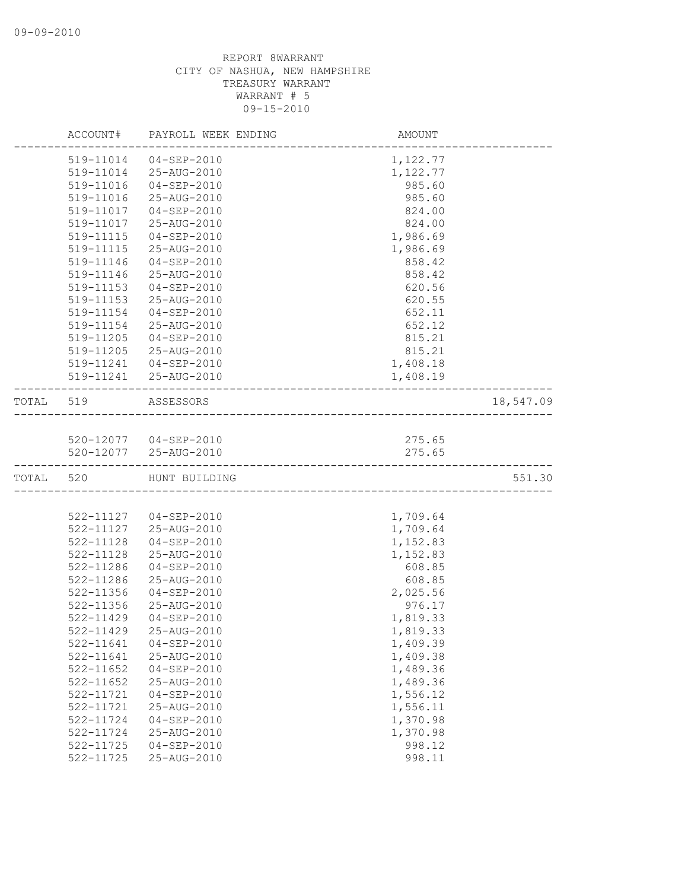|           | ACCOUNT#      | PAYROLL WEEK ENDING    | AMOUNT   |           |
|-----------|---------------|------------------------|----------|-----------|
|           | 519-11014     | 04-SEP-2010            | 1,122.77 |           |
|           | 519-11014     | 25-AUG-2010            | 1,122.77 |           |
|           | 519-11016     | 04-SEP-2010            | 985.60   |           |
|           | 519-11016     | 25-AUG-2010            | 985.60   |           |
|           | 519-11017     | 04-SEP-2010            | 824.00   |           |
|           | 519-11017     | 25-AUG-2010            | 824.00   |           |
|           | 519-11115     | $04 - SEP - 2010$      | 1,986.69 |           |
|           | 519-11115     | 25-AUG-2010            | 1,986.69 |           |
|           | 519-11146     | $04 - SEP - 2010$      | 858.42   |           |
|           | 519-11146     | 25-AUG-2010            | 858.42   |           |
|           | $519 - 11153$ | $04 - SEP - 2010$      | 620.56   |           |
|           | 519-11153     | 25-AUG-2010            | 620.55   |           |
|           | 519-11154     | 04-SEP-2010            | 652.11   |           |
|           | 519-11154     | 25-AUG-2010            | 652.12   |           |
|           | 519-11205     | $04 - SEP - 2010$      | 815.21   |           |
|           | 519-11205     | 25-AUG-2010            | 815.21   |           |
|           | 519-11241     | $04 - SEP - 2010$      | 1,408.18 |           |
|           |               | 519-11241 25-AUG-2010  | 1,408.19 |           |
| TOTAL 519 |               | ASSESSORS              |          | 18,547.09 |
|           |               |                        |          |           |
|           |               | 520-12077  04-SEP-2010 | 275.65   |           |
|           |               | 520-12077 25-AUG-2010  | 275.65   |           |
| TOTAL 520 |               | HUNT BUILDING          |          | 551.30    |
|           |               |                        |          |           |
|           |               | 522-11127  04-SEP-2010 | 1,709.64 |           |
|           | 522-11127     | 25-AUG-2010            | 1,709.64 |           |
|           | 522-11128     | 04-SEP-2010            | 1,152.83 |           |
|           | 522-11128     | 25-AUG-2010            | 1,152.83 |           |
|           | 522-11286     | $04 - SEP - 2010$      | 608.85   |           |
|           | 522-11286     | 25-AUG-2010            | 608.85   |           |
|           | 522-11356     | $04 - SEP - 2010$      | 2,025.56 |           |
|           | 522-11356     | 25-AUG-2010            | 976.17   |           |
|           | 522-11429     | $04 - SEP - 2010$      | 1,819.33 |           |
|           | 522-11429     | 25-AUG-2010            | 1,819.33 |           |
|           | 522-11641     | $04 - SEP - 2010$      | 1,409.39 |           |
|           | 522-11641     | 25-AUG-2010            | 1,409.38 |           |
|           | 522-11652     | $04 - SEP - 2010$      | 1,489.36 |           |
|           | 522-11652     | 25-AUG-2010            | 1,489.36 |           |
|           | 522-11721     | $04 - SEP - 2010$      | 1,556.12 |           |
|           | 522-11721     | 25-AUG-2010            | 1,556.11 |           |
|           | 522-11724     | $04 - SEP - 2010$      | 1,370.98 |           |
|           | 522-11724     | 25-AUG-2010            | 1,370.98 |           |
|           | 522-11725     | $04 - SEP - 2010$      | 998.12   |           |
|           | 522-11725     | 25-AUG-2010            | 998.11   |           |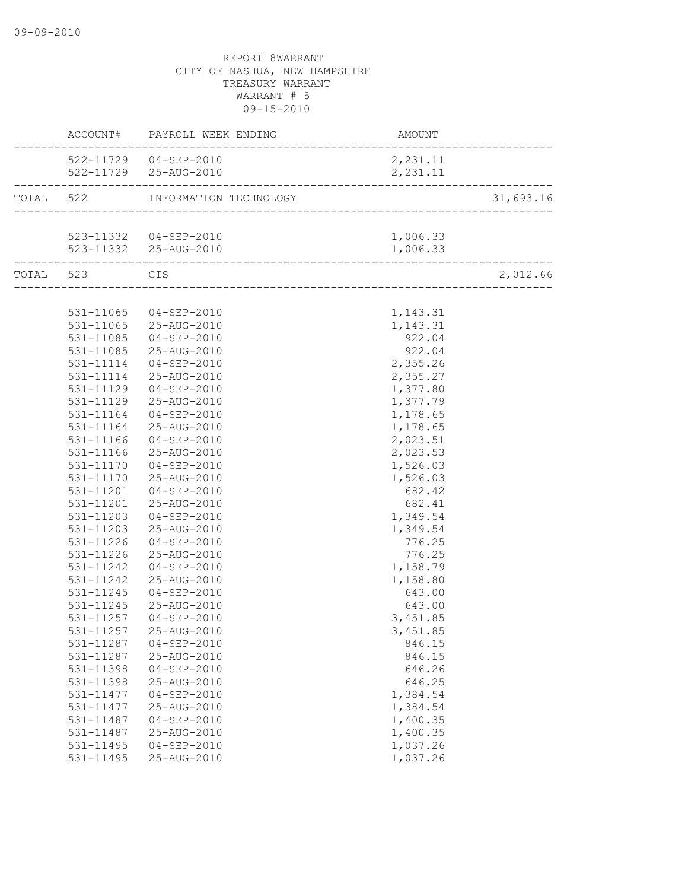|                        | ACCOUNT# PAYROLL WEEK ENDING     | AMOUNT                               |           |
|------------------------|----------------------------------|--------------------------------------|-----------|
|                        | 522-11729  04-SEP-2010           | 2,231.11                             |           |
|                        |                                  | 2,231.11                             |           |
|                        | TOTAL 522 INFORMATION TECHNOLOGY | ∪७1<br>————————————————————————————— | 31,693.16 |
|                        |                                  |                                      |           |
|                        | 523-11332  04-SEP-2010           | 1,006.33                             |           |
|                        | 523-11332 25-AUG-2010            | 1,006.33                             |           |
| TOTAL 523 GIS          |                                  |                                      | 2,012.66  |
|                        |                                  |                                      |           |
|                        | 531-11065 04-SEP-2010            | 1,143.31                             |           |
|                        | 531-11065 25-AUG-2010            | 1,143.31                             |           |
|                        | 531-11085  04-SEP-2010           | 922.04                               |           |
| 531-11085              | 25-AUG-2010                      | 922.04                               |           |
| 531-11114              | $04 - SEP - 2010$                | 2,355.26                             |           |
| 531-11114              | 25-AUG-2010                      | 2,355.27                             |           |
| 531-11129              | $04 - SEP - 2010$                | 1,377.80                             |           |
| 531-11129              | 25-AUG-2010                      | 1,377.79                             |           |
| 531-11164              | $04 - SEP - 2010$                | 1,178.65                             |           |
| 531-11164              | 25-AUG-2010                      | 1,178.65                             |           |
| 531-11166              | $04 - SEP - 2010$                | 2,023.51                             |           |
| 531-11166              | 25-AUG-2010                      | 2,023.53                             |           |
| 531-11170              | $04 - SEP - 2010$                | 1,526.03                             |           |
| 531-11170              | 25-AUG-2010                      | 1,526.03                             |           |
| 531-11201              | 04-SEP-2010                      | 682.42                               |           |
| 531-11201              | 25-AUG-2010                      | 682.41                               |           |
| 531-11203              | 04-SEP-2010                      | 1,349.54                             |           |
| 531-11203<br>531-11226 | 25-AUG-2010<br>04-SEP-2010       | 1,349.54<br>776.25                   |           |
| 531-11226              | 25-AUG-2010                      | 776.25                               |           |
| 531-11242              | 04-SEP-2010                      | 1,158.79                             |           |
| 531-11242              | 25-AUG-2010                      | 1,158.80                             |           |
| 531-11245              | 04-SEP-2010                      | 643.00                               |           |
| 531-11245              | 25-AUG-2010                      | 643.00                               |           |
| 531-11257              | $04 - SEP - 2010$                | 3,451.85                             |           |
| 531-11257              | 25-AUG-2010                      | 3,451.85                             |           |
| 531-11287              | $04 - SEP - 2010$                | 846.15                               |           |
| 531-11287              | 25-AUG-2010                      | 846.15                               |           |
| 531-11398              | $04 - SEP - 2010$                | 646.26                               |           |
| 531-11398              | 25-AUG-2010                      | 646.25                               |           |
| 531-11477              | $04 - SEP - 2010$                | 1,384.54                             |           |
| 531-11477              | 25-AUG-2010                      | 1,384.54                             |           |
| 531-11487              | $04 - SEP - 2010$                | 1,400.35                             |           |
| 531-11487              | 25-AUG-2010                      | 1,400.35                             |           |
| 531-11495              | $04 - SEP - 2010$                | 1,037.26                             |           |
| 531-11495              | 25-AUG-2010                      | 1,037.26                             |           |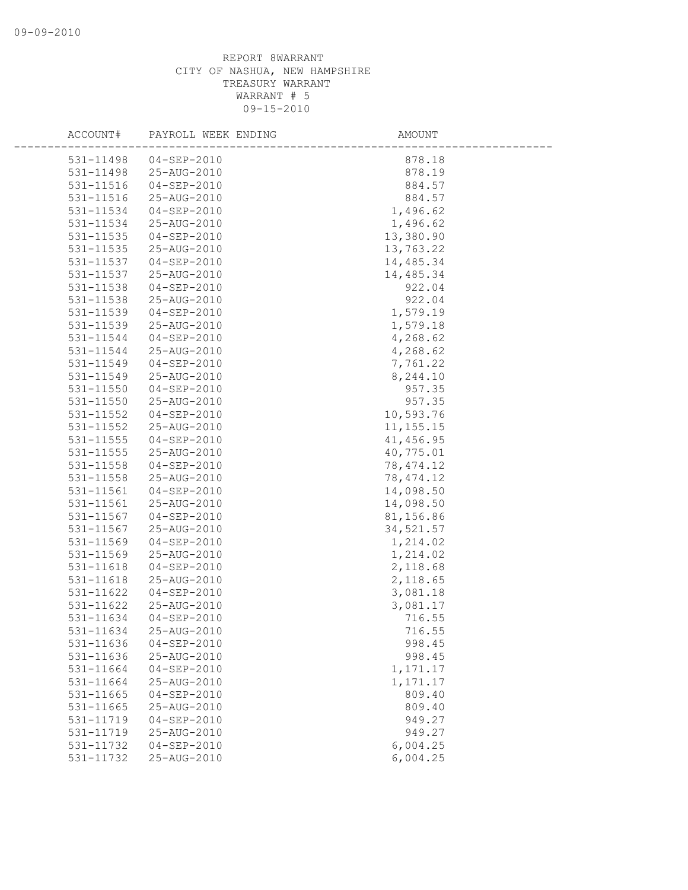| ACCOUNT#      | PAYROLL WEEK ENDING | AMOUNT      |
|---------------|---------------------|-------------|
| 531-11498     | 04-SEP-2010         | 878.18      |
| 531-11498     | 25-AUG-2010         | 878.19      |
| 531-11516     | 04-SEP-2010         | 884.57      |
| 531-11516     | 25-AUG-2010         | 884.57      |
| 531-11534     | 04-SEP-2010         | 1,496.62    |
| 531-11534     | 25-AUG-2010         | 1,496.62    |
| 531-11535     | $04 - SEP - 2010$   | 13,380.90   |
| 531-11535     | 25-AUG-2010         | 13,763.22   |
| 531-11537     | 04-SEP-2010         | 14,485.34   |
| 531-11537     | 25-AUG-2010         | 14,485.34   |
| 531-11538     | $04 - SEP - 2010$   | 922.04      |
| 531-11538     | 25-AUG-2010         | 922.04      |
| 531-11539     | 04-SEP-2010         | 1,579.19    |
| 531-11539     | 25-AUG-2010         | 1,579.18    |
| 531-11544     | $04 - SEP - 2010$   | 4,268.62    |
| 531-11544     | 25-AUG-2010         | 4,268.62    |
| 531-11549     | $04 - SEP - 2010$   | 7,761.22    |
| 531-11549     | 25-AUG-2010         | 8,244.10    |
| 531-11550     | $04 - SEP - 2010$   | 957.35      |
| 531-11550     | 25-AUG-2010         | 957.35      |
| 531-11552     | 04-SEP-2010         | 10,593.76   |
| 531-11552     | 25-AUG-2010         | 11, 155. 15 |
| 531-11555     | 04-SEP-2010         | 41, 456.95  |
| 531-11555     | 25-AUG-2010         | 40,775.01   |
| 531-11558     | 04-SEP-2010         | 78, 474.12  |
| $531 - 11558$ | 25-AUG-2010         | 78, 474.12  |
| 531-11561     | $04 - SEP - 2010$   | 14,098.50   |
| 531-11561     | 25-AUG-2010         | 14,098.50   |
| 531-11567     | $04 - SEP - 2010$   | 81,156.86   |
| 531-11567     | 25-AUG-2010         | 34,521.57   |
| 531-11569     | $04 - SEP - 2010$   | 1,214.02    |
| 531-11569     | 25-AUG-2010         | 1,214.02    |
| 531-11618     | $04 - SEP - 2010$   | 2,118.68    |
| 531-11618     | 25-AUG-2010         | 2,118.65    |
| 531-11622     | $04 - SEP - 2010$   | 3,081.18    |
| 531-11622     | 25-AUG-2010         | 3,081.17    |
| 531-11634     | $04 - SEP - 2010$   | 716.55      |
| 531-11634     | 25-AUG-2010         | 716.55      |
| 531-11636     | $04 - SEP - 2010$   | 998.45      |
| 531-11636     | 25-AUG-2010         | 998.45      |
| 531-11664     | $04 - SEP - 2010$   | 1,171.17    |
| 531-11664     | 25-AUG-2010         | 1,171.17    |
| 531-11665     | $04 - SEP - 2010$   | 809.40      |
| $531 - 11665$ | 25-AUG-2010         | 809.40      |
| 531-11719     | $04 - SEP - 2010$   | 949.27      |
| 531-11719     | 25-AUG-2010         | 949.27      |
| 531-11732     | $04 - SEP - 2010$   | 6,004.25    |
| 531-11732     | 25-AUG-2010         | 6,004.25    |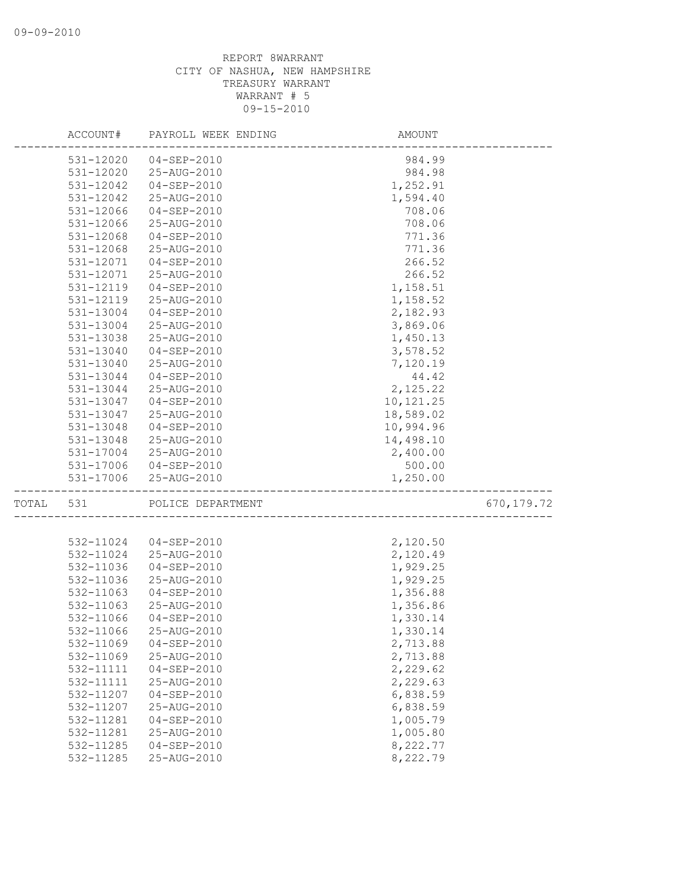|       | ACCOUNT#               | PAYROLL WEEK ENDING              | AMOUNT               |             |
|-------|------------------------|----------------------------------|----------------------|-------------|
|       | 531-12020              | $04 - SEP - 2010$                | 984.99               |             |
|       | $531 - 12020$          | 25-AUG-2010                      | 984.98               |             |
|       | 531-12042              | $04 - SEP - 2010$                | 1,252.91             |             |
|       | 531-12042              | 25-AUG-2010                      | 1,594.40             |             |
|       | 531-12066              | $04 - SEP - 2010$                | 708.06               |             |
|       | 531-12066              | 25-AUG-2010                      | 708.06               |             |
|       | 531-12068              | $04 - SEP - 2010$                | 771.36               |             |
|       | 531-12068              | 25-AUG-2010                      | 771.36               |             |
|       | 531-12071              | $04 - SEP - 2010$                | 266.52               |             |
|       | 531-12071              | 25-AUG-2010                      | 266.52               |             |
|       | 531-12119              | $04 - SEP - 2010$                | 1,158.51             |             |
|       | 531-12119              | 25-AUG-2010                      | 1,158.52             |             |
|       | 531-13004              | $04 - SEP - 2010$                | 2,182.93             |             |
|       | 531-13004              | 25-AUG-2010                      | 3,869.06             |             |
|       | 531-13038              | 25-AUG-2010                      | 1,450.13             |             |
|       | 531-13040              | $04 - SEP - 2010$                | 3,578.52             |             |
|       | 531-13040              | 25-AUG-2010                      | 7,120.19             |             |
|       | 531-13044              | $04 - SEP - 2010$                | 44.42                |             |
|       | 531-13044              | 25-AUG-2010                      | 2,125.22             |             |
|       | 531-13047              | $04 - SEP - 2010$                | 10,121.25            |             |
|       | 531-13047              | 25-AUG-2010                      | 18,589.02            |             |
|       | 531-13048              | $04 - SEP - 2010$                | 10,994.96            |             |
|       | 531-13048              | 25-AUG-2010                      | 14,498.10            |             |
|       | 531-17004              | 25-AUG-2010                      | 2,400.00             |             |
|       | 531-17006<br>531-17006 | $04 - SEP - 2010$                | 500.00<br>1,250.00   |             |
|       |                        | 25-AUG-2010                      |                      |             |
| TOTAL | 531                    | POLICE DEPARTMENT                |                      | 670, 179.72 |
|       |                        |                                  |                      |             |
|       | 532-11024              | $04 - SEP - 2010$                | 2,120.50             |             |
|       | 532-11024              | 25-AUG-2010                      | 2,120.49             |             |
|       | 532-11036              | $04 - SEP - 2010$<br>25-AUG-2010 | 1,929.25             |             |
|       | 532-11036              | $04 - SEP - 2010$                | 1,929.25             |             |
|       | 532-11063<br>532-11063 | 25-AUG-2010                      | 1,356.88<br>1,356.86 |             |
|       | 532-11066              | $04 - SEP - 2010$                | 1,330.14             |             |
|       | 532-11066              | 25-AUG-2010                      | 1,330.14             |             |
|       | 532-11069              | $04 - SEP - 2010$                | 2,713.88             |             |
|       | 532-11069              | 25-AUG-2010                      | 2,713.88             |             |
|       | 532-11111              | $04 - SEP - 2010$                | 2,229.62             |             |
|       | 532-11111              | 25-AUG-2010                      | 2,229.63             |             |
|       | 532-11207              | $04 - SEP - 2010$                | 6,838.59             |             |
|       | 532-11207              | 25-AUG-2010                      | 6,838.59             |             |
|       | 532-11281              | $04 - SEP - 2010$                | 1,005.79             |             |
|       | 532-11281              | 25-AUG-2010                      | 1,005.80             |             |
|       | 532-11285              | $04 - SEP - 2010$                | 8,222.77             |             |
|       | 532-11285              | 25-AUG-2010                      | 8,222.79             |             |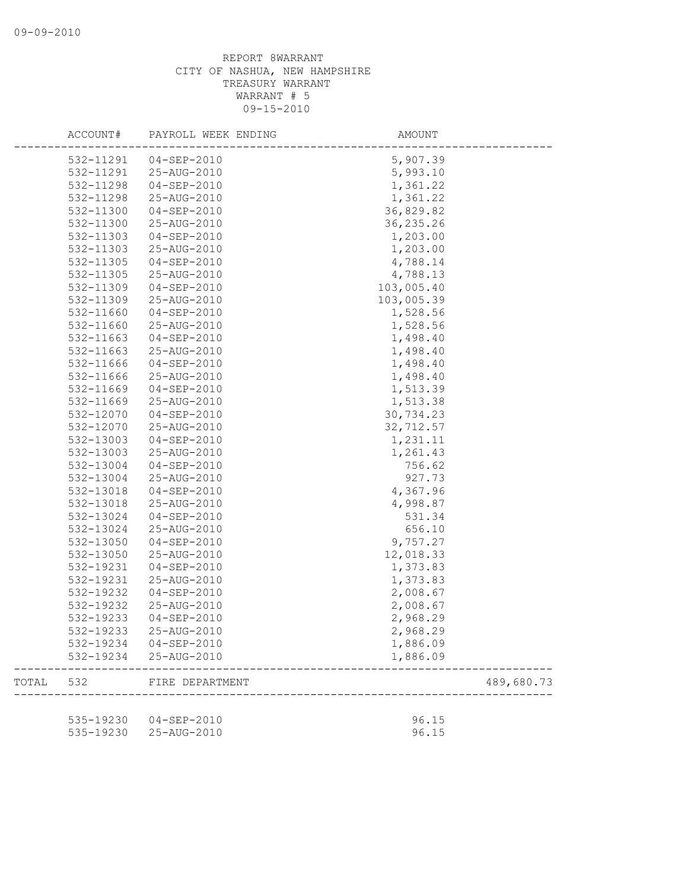|       | ACCOUNT#  | PAYROLL WEEK ENDING    | AMOUNT     |            |
|-------|-----------|------------------------|------------|------------|
|       | 532-11291 | 04-SEP-2010            | 5,907.39   |            |
|       | 532-11291 | 25-AUG-2010            | 5,993.10   |            |
|       | 532-11298 | $04 - SEP - 2010$      | 1,361.22   |            |
|       | 532-11298 | 25-AUG-2010            | 1,361.22   |            |
|       | 532-11300 | 04-SEP-2010            | 36,829.82  |            |
|       | 532-11300 | 25-AUG-2010            | 36, 235.26 |            |
|       | 532-11303 | $04 - SEP - 2010$      | 1,203.00   |            |
|       | 532-11303 | 25-AUG-2010            | 1,203.00   |            |
|       | 532-11305 | $04 - SEP - 2010$      | 4,788.14   |            |
|       | 532-11305 | 25-AUG-2010            | 4,788.13   |            |
|       | 532-11309 | $04 - SEP - 2010$      | 103,005.40 |            |
|       | 532-11309 | 25-AUG-2010            | 103,005.39 |            |
|       | 532-11660 | 04-SEP-2010            | 1,528.56   |            |
|       | 532-11660 | 25-AUG-2010            | 1,528.56   |            |
|       | 532-11663 | $04 - SEP - 2010$      | 1,498.40   |            |
|       | 532-11663 | 25-AUG-2010            | 1,498.40   |            |
|       | 532-11666 | 04-SEP-2010            | 1,498.40   |            |
|       | 532-11666 | 25-AUG-2010            | 1,498.40   |            |
|       | 532-11669 | $04 - SEP - 2010$      | 1,513.39   |            |
|       | 532-11669 | 25-AUG-2010            | 1,513.38   |            |
|       | 532-12070 | $04 - SEP - 2010$      | 30,734.23  |            |
|       | 532-12070 | 25-AUG-2010            | 32,712.57  |            |
|       | 532-13003 | 04-SEP-2010            | 1,231.11   |            |
|       | 532-13003 | 25-AUG-2010            | 1,261.43   |            |
|       | 532-13004 | $04 - SEP - 2010$      | 756.62     |            |
|       | 532-13004 | 25-AUG-2010            | 927.73     |            |
|       | 532-13018 | $04 - SEP - 2010$      | 4,367.96   |            |
|       | 532-13018 | 25-AUG-2010            | 4,998.87   |            |
|       | 532-13024 | $04 - SEP - 2010$      | 531.34     |            |
|       | 532-13024 | 25-AUG-2010            | 656.10     |            |
|       | 532-13050 | 04-SEP-2010            | 9,757.27   |            |
|       | 532-13050 | 25-AUG-2010            | 12,018.33  |            |
|       | 532-19231 | 04-SEP-2010            | 1,373.83   |            |
|       | 532-19231 | 25-AUG-2010            | 1,373.83   |            |
|       | 532-19232 | 04-SEP-2010            | 2,008.67   |            |
|       | 532-19232 | 25-AUG-2010            | 2,008.67   |            |
|       | 532-19233 | $04 - SEP - 2010$      | 2,968.29   |            |
|       | 532-19233 | 25-AUG-2010            | 2,968.29   |            |
|       | 532-19234 | $04 - SEP - 2010$      | 1,886.09   |            |
|       | 532-19234 | 25-AUG-2010            | 1,886.09   |            |
| TOTAL | 532       | FIRE DEPARTMENT        |            | 489,680.73 |
|       |           |                        |            |            |
|       |           | 535-19230  04-SEP-2010 | 96.15      |            |
|       | 535-19230 | 25-AUG-2010            | 96.15      |            |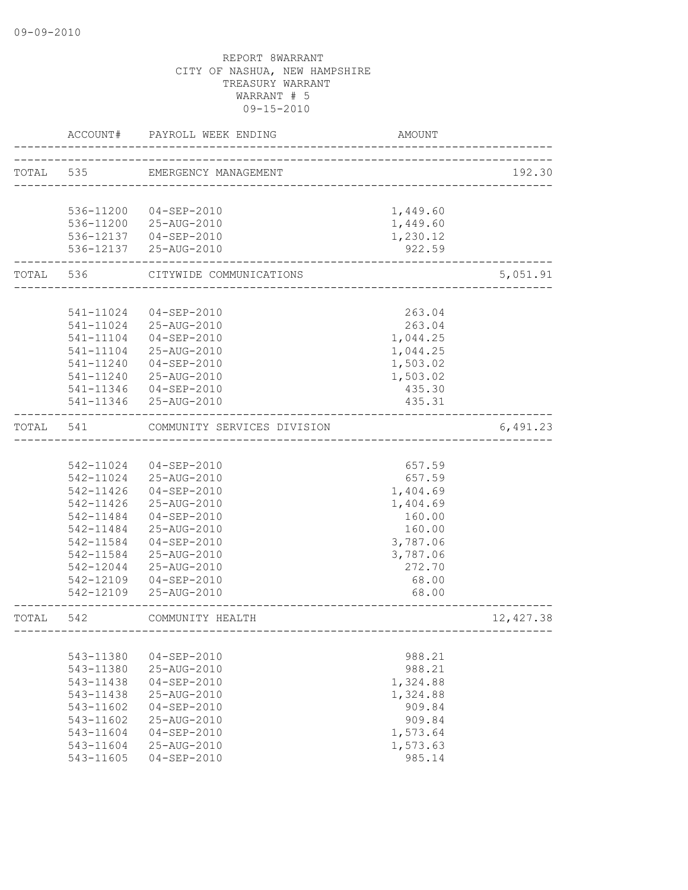|           | ACCOUNT#  | PAYROLL WEEK ENDING         | AMOUNT   |           |
|-----------|-----------|-----------------------------|----------|-----------|
| TOTAL 535 |           | EMERGENCY MANAGEMENT        |          | 192.30    |
|           |           |                             |          |           |
|           | 536-11200 | $04 - SEP - 2010$           | 1,449.60 |           |
|           |           | 536-11200 25-AUG-2010       | 1,449.60 |           |
|           |           | 536-12137  04-SEP-2010      | 1,230.12 |           |
|           |           | 536-12137 25-AUG-2010       | 922.59   |           |
| TOTAL 536 |           | CITYWIDE COMMUNICATIONS     |          | 5,051.91  |
|           |           |                             |          |           |
|           | 541-11024 | 04-SEP-2010                 | 263.04   |           |
|           | 541-11024 | 25-AUG-2010                 | 263.04   |           |
|           | 541-11104 | $04 - SEP - 2010$           | 1,044.25 |           |
|           | 541-11104 | 25-AUG-2010                 | 1,044.25 |           |
|           | 541-11240 | 04-SEP-2010                 | 1,503.02 |           |
|           | 541-11240 | 25-AUG-2010                 | 1,503.02 |           |
|           | 541-11346 | $04 - SEP - 2010$           | 435.30   |           |
|           |           | 541-11346 25-AUG-2010       | 435.31   |           |
| TOTAL     | 541       | COMMUNITY SERVICES DIVISION |          | 6,491.23  |
|           |           |                             |          |           |
|           | 542-11024 | 04-SEP-2010                 | 657.59   |           |
|           | 542-11024 | 25-AUG-2010                 | 657.59   |           |
|           | 542-11426 | 04-SEP-2010                 | 1,404.69 |           |
|           | 542-11426 | 25-AUG-2010                 | 1,404.69 |           |
|           | 542-11484 | 04-SEP-2010                 | 160.00   |           |
|           | 542-11484 | 25-AUG-2010                 | 160.00   |           |
|           | 542-11584 | $04 - SEP - 2010$           | 3,787.06 |           |
|           | 542-11584 | 25-AUG-2010                 | 3,787.06 |           |
|           | 542-12044 | 25-AUG-2010                 | 272.70   |           |
|           | 542-12109 | 04-SEP-2010                 | 68.00    |           |
|           | 542-12109 | 25-AUG-2010                 | 68.00    |           |
| TOTAL     | 542       | COMMUNITY HEALTH            |          | 12,427.38 |
|           |           |                             |          |           |
|           | 543-11380 | $04 - SEP - 2010$           | 988.21   |           |
|           | 543-11380 | 25-AUG-2010                 | 988.21   |           |
|           | 543-11438 | $04 - SEP - 2010$           | 1,324.88 |           |
|           | 543-11438 | 25-AUG-2010                 | 1,324.88 |           |
|           | 543-11602 | $04 - SEP - 2010$           | 909.84   |           |
|           | 543-11602 | $25 - \text{AUG} - 2010$    | 909.84   |           |
|           | 543-11604 | $04 - SEP - 2010$           | 1,573.64 |           |
|           | 543-11604 | 25-AUG-2010                 | 1,573.63 |           |
|           | 543-11605 | $04 - SEP - 2010$           | 985.14   |           |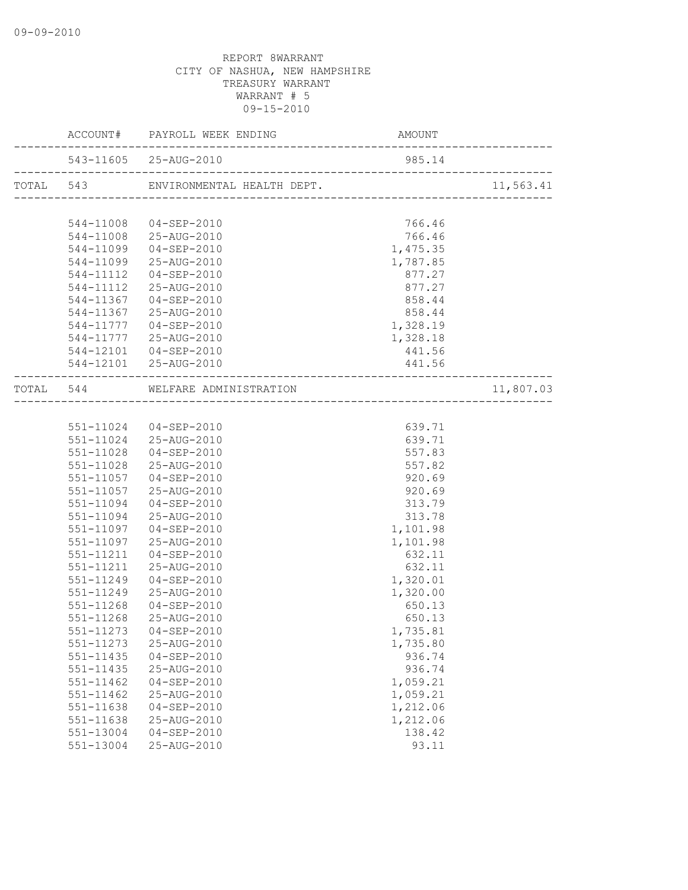|           |               | ACCOUNT# PAYROLL WEEK ENDING                                    | AMOUNT<br>------------------------- |           |
|-----------|---------------|-----------------------------------------------------------------|-------------------------------------|-----------|
|           |               | 543-11605 25-AUG-2010<br>-------------------------------------- | 985.14                              |           |
| TOTAL 543 |               |                                                                 |                                     | 11,563.41 |
|           |               |                                                                 |                                     |           |
|           | 544-11008     | $04 - SEP - 2010$                                               | 766.46                              |           |
|           | 544-11008     | 25-AUG-2010                                                     | 766.46                              |           |
|           | 544-11099     | $04 - SEP - 2010$                                               | 1,475.35                            |           |
|           | 544-11099     | 25-AUG-2010                                                     | 1,787.85                            |           |
|           | 544-11112     | 04-SEP-2010                                                     | 877.27                              |           |
|           | 544-11112     | 25-AUG-2010                                                     | 877.27                              |           |
|           | 544-11367     | $04 - SEP - 2010$                                               | 858.44                              |           |
|           | 544-11367     | 25-AUG-2010                                                     | 858.44                              |           |
|           | 544-11777     | $04 - SEP - 2010$                                               | 1,328.19                            |           |
|           | 544-11777     | 25-AUG-2010                                                     | 1,328.18                            |           |
|           | 544-12101     | $04 - SEP - 2010$                                               | 441.56                              |           |
|           |               | 544-12101 25-AUG-2010                                           | 441.56<br>--------------------      |           |
|           |               | TOTAL 544 WELFARE ADMINISTRATION<br>_________________           |                                     | 11,807.03 |
|           |               |                                                                 |                                     |           |
|           |               | 551-11024 04-SEP-2010                                           | 639.71                              |           |
|           |               | 551-11024 25-AUG-2010                                           | 639.71                              |           |
|           | 551-11028     | $04 - SEP - 2010$                                               | 557.83                              |           |
|           | 551-11028     | 25-AUG-2010                                                     | 557.82                              |           |
|           | 551-11057     | $04 - SEP - 2010$                                               | 920.69                              |           |
|           | 551-11057     | 25-AUG-2010                                                     | 920.69                              |           |
|           | 551-11094     | 04-SEP-2010                                                     | 313.79                              |           |
|           | 551-11094     | 25-AUG-2010                                                     | 313.78                              |           |
|           | 551-11097     | 04-SEP-2010                                                     | 1,101.98                            |           |
|           | 551-11097     | 25-AUG-2010                                                     | 1,101.98                            |           |
|           | 551-11211     | 04-SEP-2010                                                     | 632.11                              |           |
|           | 551-11211     | 25-AUG-2010                                                     | 632.11                              |           |
|           | 551-11249     | 04-SEP-2010                                                     | 1,320.01                            |           |
|           | 551-11249     | 25-AUG-2010                                                     | 1,320.00                            |           |
|           | 551-11268     | 04-SEP-2010                                                     | 650.13                              |           |
|           | 551-11268     | 25-AUG-2010                                                     | 650.13                              |           |
|           |               | 551-11273  04-SEP-2010                                          | 1,735.81                            |           |
|           | 551-11273     | 25-AUG-2010                                                     | 1,735.80                            |           |
|           | 551-11435     | $04 - SEP - 2010$                                               | 936.74                              |           |
|           | 551-11435     | 25-AUG-2010                                                     | 936.74                              |           |
|           | 551-11462     | $04 - SEP - 2010$                                               | 1,059.21                            |           |
|           | $551 - 11462$ | 25-AUG-2010                                                     | 1,059.21                            |           |
|           | 551-11638     | $04 - SEP - 2010$                                               | 1,212.06                            |           |
|           | 551-11638     | 25-AUG-2010                                                     | 1,212.06                            |           |
|           | 551-13004     | $04 - SEP - 2010$                                               | 138.42                              |           |
|           | 551-13004     | 25-AUG-2010                                                     | 93.11                               |           |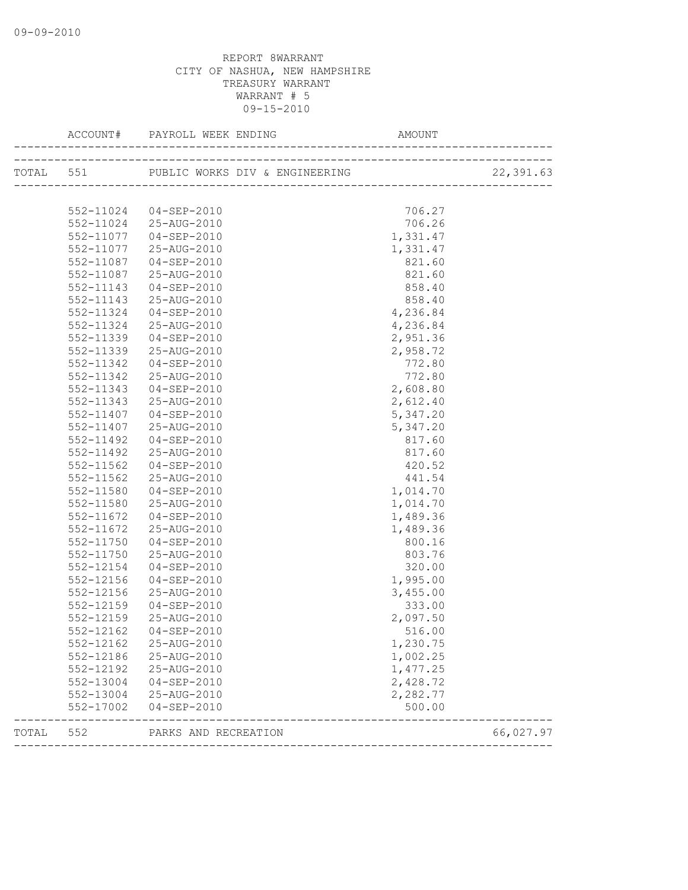|       |           |                                              |          | 22,391.63 |
|-------|-----------|----------------------------------------------|----------|-----------|
|       |           |                                              |          |           |
|       |           | 552-11024 04-SEP-2010                        | 706.27   |           |
|       |           | 552-11024 25-AUG-2010                        | 706.26   |           |
|       | 552-11077 | $04 - SEP - 2010$                            | 1,331.47 |           |
|       | 552-11077 | 25-AUG-2010                                  | 1,331.47 |           |
|       | 552-11087 | 04-SEP-2010                                  | 821.60   |           |
|       | 552-11087 | 25-AUG-2010                                  | 821.60   |           |
|       | 552-11143 | 04-SEP-2010                                  | 858.40   |           |
|       | 552-11143 | 25-AUG-2010                                  | 858.40   |           |
|       | 552-11324 | 04-SEP-2010                                  | 4,236.84 |           |
|       | 552-11324 | 25-AUG-2010                                  | 4,236.84 |           |
|       | 552-11339 | $04 - SEP - 2010$                            | 2,951.36 |           |
|       | 552-11339 | 25-AUG-2010                                  | 2,958.72 |           |
|       | 552-11342 | $04 - SEP - 2010$                            | 772.80   |           |
|       | 552-11342 | 25-AUG-2010                                  | 772.80   |           |
|       | 552-11343 | $04 - SEP - 2010$                            | 2,608.80 |           |
|       | 552-11343 | 25-AUG-2010                                  | 2,612.40 |           |
|       | 552-11407 | 04-SEP-2010                                  | 5,347.20 |           |
|       | 552-11407 | 25-AUG-2010                                  | 5,347.20 |           |
|       | 552-11492 | 04-SEP-2010                                  | 817.60   |           |
|       | 552-11492 | 25-AUG-2010                                  | 817.60   |           |
|       | 552-11562 | 04-SEP-2010                                  | 420.52   |           |
|       | 552-11562 | 25-AUG-2010                                  | 441.54   |           |
|       | 552-11580 | 04-SEP-2010                                  | 1,014.70 |           |
|       | 552-11580 | 25-AUG-2010                                  | 1,014.70 |           |
|       | 552-11672 | 04-SEP-2010                                  | 1,489.36 |           |
|       | 552-11672 | 25-AUG-2010                                  | 1,489.36 |           |
|       | 552-11750 | 04-SEP-2010                                  | 800.16   |           |
|       | 552-11750 | 25-AUG-2010                                  | 803.76   |           |
|       | 552-12154 | $04 - SEP - 2010$                            | 320.00   |           |
|       | 552-12156 | 04-SEP-2010                                  | 1,995.00 |           |
|       | 552-12156 | 25-AUG-2010                                  | 3,455.00 |           |
|       | 552-12159 | $04 - SEP - 2010$                            | 333.00   |           |
|       | 552-12159 | 25-AUG-2010                                  | 2,097.50 |           |
|       |           | 552-12162  04-SEP-2010                       | 516.00   |           |
|       | 552-12162 | 25-AUG-2010                                  | 1,230.75 |           |
|       | 552-12186 | 25-AUG-2010                                  | 1,002.25 |           |
|       | 552-12192 | 25-AUG-2010                                  | 1,477.25 |           |
|       | 552-13004 | $04 - SEP - 2010$                            | 2,428.72 |           |
|       | 552-13004 | 25-AUG-2010                                  | 2,282.77 |           |
|       | 552-17002 | 04-SEP-2010                                  | 500.00   |           |
| TOTAL | 552       | PARKS AND RECREATION<br>-------------------- |          | 66,027.97 |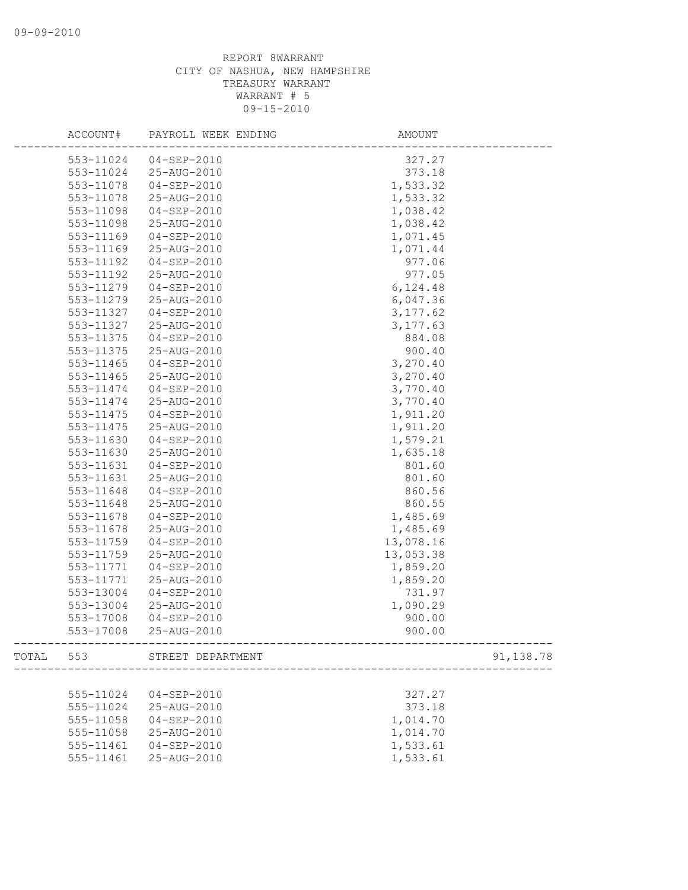| ACCOUNT#  | PAYROLL WEEK ENDING         | AMOUNT                                       |           |
|-----------|-----------------------------|----------------------------------------------|-----------|
| 553-11024 | 04-SEP-2010                 | 327.27                                       |           |
| 553-11024 | 25-AUG-2010                 | 373.18                                       |           |
| 553-11078 | $04 - SEP - 2010$           | 1,533.32                                     |           |
| 553-11078 | 25-AUG-2010                 | 1,533.32                                     |           |
| 553-11098 | 04-SEP-2010                 | 1,038.42                                     |           |
| 553-11098 | 25-AUG-2010                 | 1,038.42                                     |           |
| 553-11169 | 04-SEP-2010                 | 1,071.45                                     |           |
| 553-11169 | 25-AUG-2010                 | 1,071.44                                     |           |
| 553-11192 | 04-SEP-2010                 | 977.06                                       |           |
| 553-11192 | 25-AUG-2010                 | 977.05                                       |           |
| 553-11279 | $04 - SEP - 2010$           | 6,124.48                                     |           |
| 553-11279 | 25-AUG-2010                 | 6,047.36                                     |           |
| 553-11327 | 04-SEP-2010                 | 3, 177.62                                    |           |
| 553-11327 | 25-AUG-2010                 | 3,177.63                                     |           |
| 553-11375 | $04 - SEP - 2010$           | 884.08                                       |           |
| 553-11375 | 25-AUG-2010                 | 900.40                                       |           |
| 553-11465 | $04 - SEP - 2010$           | 3,270.40                                     |           |
| 553-11465 | 25-AUG-2010                 | 3,270.40                                     |           |
| 553-11474 | $04 - SEP - 2010$           | 3,770.40                                     |           |
| 553-11474 | 25-AUG-2010                 | 3,770.40                                     |           |
| 553-11475 | $04 - SEP - 2010$           | 1,911.20                                     |           |
| 553-11475 | 25-AUG-2010                 | 1,911.20                                     |           |
| 553-11630 | $04 - SEP - 2010$           | 1,579.21                                     |           |
| 553-11630 | 25-AUG-2010                 | 1,635.18                                     |           |
| 553-11631 | 04-SEP-2010                 | 801.60                                       |           |
| 553-11631 | 25-AUG-2010                 | 801.60                                       |           |
| 553-11648 | 04-SEP-2010                 | 860.56                                       |           |
| 553-11648 | 25-AUG-2010                 | 860.55                                       |           |
| 553-11678 | $04 - SEP - 2010$           | 1,485.69                                     |           |
| 553-11678 | 25-AUG-2010                 | 1,485.69                                     |           |
| 553-11759 | $04 - SEP - 2010$           | 13,078.16                                    |           |
| 553-11759 | 25-AUG-2010                 | 13,053.38                                    |           |
| 553-11771 | 04-SEP-2010                 | 1,859.20                                     |           |
| 553-11771 | 25-AUG-2010                 | 1,859.20                                     |           |
| 553-13004 | $04 - SEP - 2010$           | 731.97                                       |           |
| 553-13004 | 25-AUG-2010                 | 1,090.29                                     |           |
| 553-17008 | $04 - SEP - 2010$           | 900.00                                       |           |
| 553-17008 | 25-AUG-2010                 | 900.00<br>---------------------------------- |           |
|           | TOTAL 553 STREET DEPARTMENT | --------------------                         | 91,138.78 |
|           |                             |                                              |           |
| 555-11024 | 04-SEP-2010                 | 327.27                                       |           |
| 555-11024 | 25-AUG-2010                 | 373.18                                       |           |
| 555-11058 | $04 - SEP - 2010$           | 1,014.70                                     |           |
| 555-11058 | 25-AUG-2010                 | 1,014.70                                     |           |
| 555-11461 | 04-SEP-2010                 | 1,533.61                                     |           |
| 555-11461 | 25-AUG-2010                 | 1,533.61                                     |           |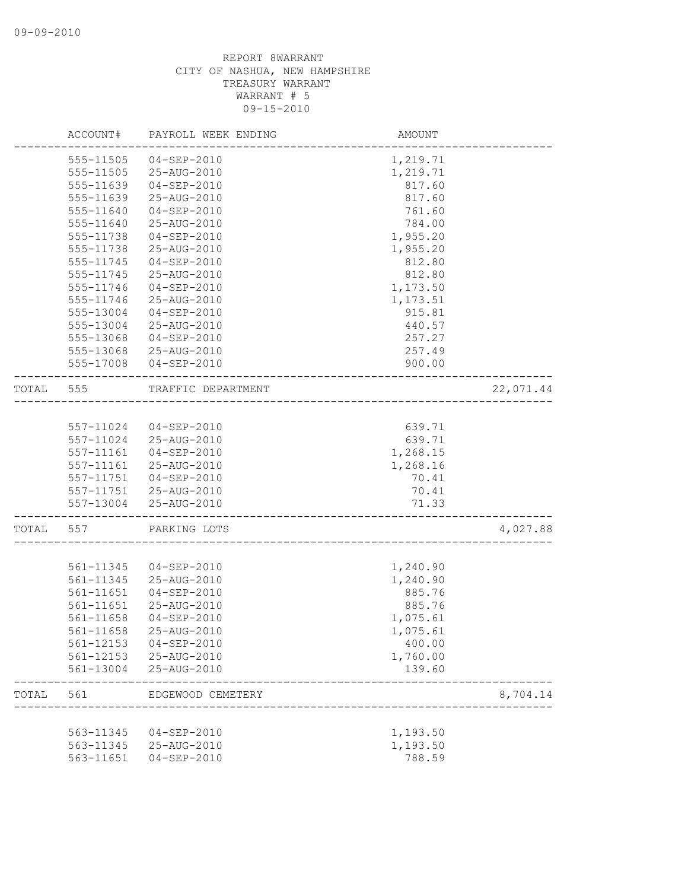|       | ACCOUNT#      | PAYROLL WEEK ENDING                        | <b>AMOUNT</b> |           |
|-------|---------------|--------------------------------------------|---------------|-----------|
|       | $555 - 11505$ | $04 - SEP - 2010$                          | 1,219.71      |           |
|       | 555-11505     | 25-AUG-2010                                | 1,219.71      |           |
|       | 555-11639     | $04 - SEP - 2010$                          | 817.60        |           |
|       | 555-11639     | 25-AUG-2010                                | 817.60        |           |
|       | 555-11640     | $04 - SEP - 2010$                          | 761.60        |           |
|       | 555-11640     | 25-AUG-2010                                | 784.00        |           |
|       | 555-11738     | $04 - SEP - 2010$                          | 1,955.20      |           |
|       | 555-11738     | 25-AUG-2010                                | 1,955.20      |           |
|       | 555-11745     | $04 - SEP - 2010$                          | 812.80        |           |
|       | 555-11745     | 25-AUG-2010                                | 812.80        |           |
|       | 555-11746     | $04 - SEP - 2010$                          | 1,173.50      |           |
|       | 555-11746     | 25-AUG-2010                                | 1,173.51      |           |
|       | 555-13004     | $04 - SEP - 2010$                          | 915.81        |           |
|       | 555-13004     | 25-AUG-2010                                | 440.57        |           |
|       | 555-13068     | $04 - SEP - 2010$                          | 257.27        |           |
|       | 555-13068     | 25-AUG-2010                                | 257.49        |           |
|       | 555-17008     | $04 - SEP - 2010$                          | 900.00        |           |
|       |               |                                            |               |           |
| TOTAL | 555           | TRAFFIC DEPARTMENT                         |               | 22,071.44 |
|       |               |                                            |               |           |
|       | 557-11024     | 04-SEP-2010                                | 639.71        |           |
|       | 557-11024     | 25-AUG-2010                                | 639.71        |           |
|       | 557-11161     | $04 - SEP - 2010$                          | 1,268.15      |           |
|       | 557-11161     | 25-AUG-2010                                | 1,268.16      |           |
|       | 557-11751     | 04-SEP-2010                                | 70.41         |           |
|       |               | 557-11751 25-AUG-2010                      | 70.41         |           |
|       | 557-13004     | 25-AUG-2010                                | 71.33         |           |
| TOTAL | 557           | PARKING LOTS                               |               | 4,027.88  |
|       |               |                                            |               |           |
|       | 561-11345     | $04 - SEP - 2010$                          | 1,240.90      |           |
|       | 561-11345     | 25-AUG-2010                                | 1,240.90      |           |
|       | 561-11651     | $04 - SEP - 2010$                          | 885.76        |           |
|       | 561-11651     | 25-AUG-2010                                | 885.76        |           |
|       | 561-11658     | 04-SEP-2010                                | 1,075.61      |           |
|       | 561-11658     | 25-AUG-2010                                | 1,075.61      |           |
|       | 561-12153     | 04-SEP-2010                                | 400.00        |           |
|       | 561-12153     | 25-AUG-2010                                | 1,760.00      |           |
|       | 561-13004     | 25-AUG-2010                                | 139.60        |           |
| TOTAL | 561           | EDGEWOOD CEMETERY<br>--------------------- |               | 8,704.14  |
|       |               |                                            |               |           |
|       | 563-11345     | 04-SEP-2010                                | 1,193.50      |           |
|       | 563-11345     | 25-AUG-2010                                | 1,193.50      |           |
|       | 563-11651     | $04 - SEP - 2010$                          | 788.59        |           |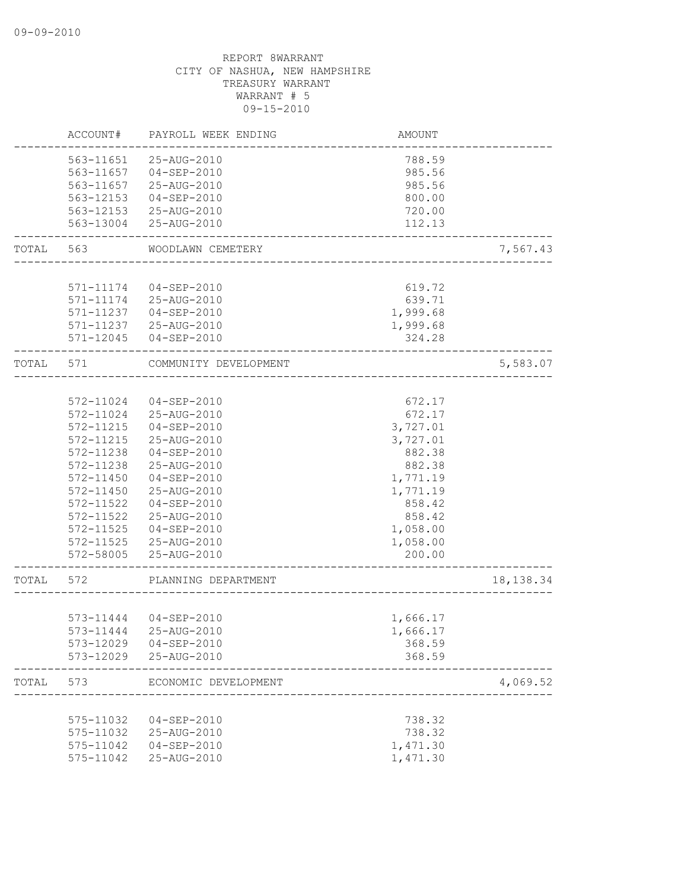|           | ACCOUNT#  | PAYROLL WEEK ENDING   | AMOUNT   |            |
|-----------|-----------|-----------------------|----------|------------|
|           | 563-11651 | 25-AUG-2010           | 788.59   |            |
|           | 563-11657 | $04 - SEP - 2010$     | 985.56   |            |
|           | 563-11657 | 25-AUG-2010           | 985.56   |            |
|           | 563-12153 | $04 - SEP - 2010$     | 800.00   |            |
|           | 563-12153 | 25-AUG-2010           | 720.00   |            |
|           | 563-13004 | 25-AUG-2010           | 112.13   |            |
| TOTAL     | 563       | WOODLAWN CEMETERY     |          | 7,567.43   |
|           |           |                       |          |            |
|           | 571-11174 | $04 - SEP - 2010$     | 619.72   |            |
|           | 571-11174 | 25-AUG-2010           | 639.71   |            |
|           | 571-11237 | 04-SEP-2010           | 1,999.68 |            |
|           |           | 571-11237 25-AUG-2010 | 1,999.68 |            |
|           | 571-12045 | 04-SEP-2010           | 324.28   |            |
| TOTAL     | 571       | COMMUNITY DEVELOPMENT |          | 5,583.07   |
|           |           |                       |          |            |
|           | 572-11024 | $04 - SEP - 2010$     | 672.17   |            |
|           | 572-11024 | 25-AUG-2010           | 672.17   |            |
|           | 572-11215 | $04 - SEP - 2010$     | 3,727.01 |            |
|           | 572-11215 | 25-AUG-2010           | 3,727.01 |            |
|           | 572-11238 | $04 - SEP - 2010$     | 882.38   |            |
|           | 572-11238 | 25-AUG-2010           | 882.38   |            |
|           | 572-11450 | $04 - SEP - 2010$     | 1,771.19 |            |
|           | 572-11450 | 25-AUG-2010           | 1,771.19 |            |
|           | 572-11522 | 04-SEP-2010           | 858.42   |            |
|           | 572-11522 | 25-AUG-2010           | 858.42   |            |
|           | 572-11525 | 04-SEP-2010           | 1,058.00 |            |
|           | 572-11525 | 25-AUG-2010           | 1,058.00 |            |
|           | 572-58005 | 25-AUG-2010           | 200.00   |            |
| TOTAL 572 |           | PLANNING DEPARTMENT   |          | 18, 138.34 |
|           |           |                       |          |            |
|           |           | 573-11444 04-SEP-2010 | 1,666.17 |            |
|           | 573-11444 | 25-AUG-2010           | 1,666.17 |            |
|           | 573-12029 | $04 - SEP - 2010$     | 368.59   |            |
|           | 573-12029 | 25-AUG-2010           | 368.59   |            |
| TOTAL     | 573       | ECONOMIC DEVELOPMENT  |          | 4,069.52   |
|           |           |                       |          |            |
|           | 575-11032 | 04-SEP-2010           | 738.32   |            |
|           | 575-11032 | 25-AUG-2010           | 738.32   |            |
|           | 575-11042 | $04 - SEP - 2010$     | 1,471.30 |            |
|           | 575-11042 | 25-AUG-2010           | 1,471.30 |            |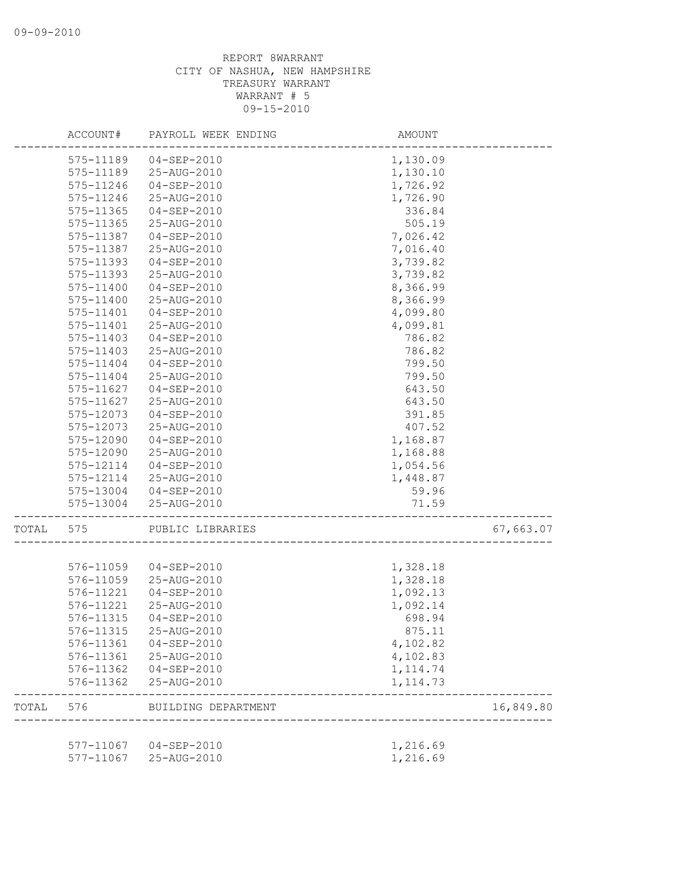|       | ACCOUNT#      | PAYROLL WEEK ENDING   | AMOUNT                                     |           |
|-------|---------------|-----------------------|--------------------------------------------|-----------|
|       | 575-11189     | $04 - SEP - 2010$     | 1,130.09                                   |           |
|       | 575-11189     | 25-AUG-2010           | 1,130.10                                   |           |
|       | 575-11246     | $04 - SEP - 2010$     | 1,726.92                                   |           |
|       | 575-11246     | 25-AUG-2010           | 1,726.90                                   |           |
|       | 575-11365     | $04 - SEP - 2010$     | 336.84                                     |           |
|       | 575-11365     | 25-AUG-2010           | 505.19                                     |           |
|       | 575-11387     | $04 - SEP - 2010$     | 7,026.42                                   |           |
|       | 575-11387     | 25-AUG-2010           | 7,016.40                                   |           |
|       | 575-11393     | $04 - SEP - 2010$     | 3,739.82                                   |           |
|       | 575-11393     | 25-AUG-2010           | 3,739.82                                   |           |
|       | 575-11400     | $04 - SEP - 2010$     | 8,366.99                                   |           |
|       | $575 - 11400$ | 25-AUG-2010           | 8,366.99                                   |           |
|       | 575-11401     | $04 - SEP - 2010$     | 4,099.80                                   |           |
|       | 575-11401     | 25-AUG-2010           | 4,099.81                                   |           |
|       | 575-11403     | $04 - SEP - 2010$     | 786.82                                     |           |
|       | 575-11403     | 25-AUG-2010           | 786.82                                     |           |
|       | 575-11404     | $04 - SEP - 2010$     | 799.50                                     |           |
|       | 575-11404     | 25-AUG-2010           | 799.50                                     |           |
|       | 575-11627     | $04 - SEP - 2010$     | 643.50                                     |           |
|       | 575-11627     | 25-AUG-2010           | 643.50                                     |           |
|       | 575-12073     | $04 - SEP - 2010$     | 391.85                                     |           |
|       | 575-12073     | 25-AUG-2010           | 407.52                                     |           |
|       | 575-12090     | 04-SEP-2010           | 1,168.87                                   |           |
|       | 575-12090     | 25-AUG-2010           | 1,168.88                                   |           |
|       | 575-12114     | $04 - SEP - 2010$     | 1,054.56                                   |           |
|       | 575-12114     | 25-AUG-2010           | 1,448.87                                   |           |
|       | 575-13004     | 04-SEP-2010           | 59.96                                      |           |
|       | 575-13004     | 25-AUG-2010           | 71.59<br>--------------------------------- |           |
| TOTAL | 575           | PUBLIC LIBRARIES      |                                            | 67,663.07 |
|       |               |                       |                                            |           |
|       | 576-11059     | 04-SEP-2010           | 1,328.18                                   |           |
|       | 576-11059     | 25-AUG-2010           | 1,328.18                                   |           |
|       | 576-11221     | $04 - SEP - 2010$     | 1,092.13                                   |           |
|       | 576-11221     | 25-AUG-2010           | 1,092.14                                   |           |
|       | 576-11315     | $04 - SEP - 2010$     | 698.94                                     |           |
|       | 576-11315     | 25-AUG-2010           | 875.11                                     |           |
|       | 576-11361     | $04 - SEP - 2010$     | 4,102.82                                   |           |
|       | 576-11361     | 25-AUG-2010           | 4,102.83                                   |           |
|       | 576-11362     | 04-SEP-2010           | 1, 114.74                                  |           |
|       | 576-11362     | 25-AUG-2010           | 1, 114.73                                  |           |
| TOTAL | 576           | BUILDING DEPARTMENT   |                                            | 16,849.80 |
|       |               |                       |                                            |           |
|       |               | 577-11067 04-SEP-2010 | 1,216.69                                   |           |
|       | 577-11067     | 25-AUG-2010           | 1,216.69                                   |           |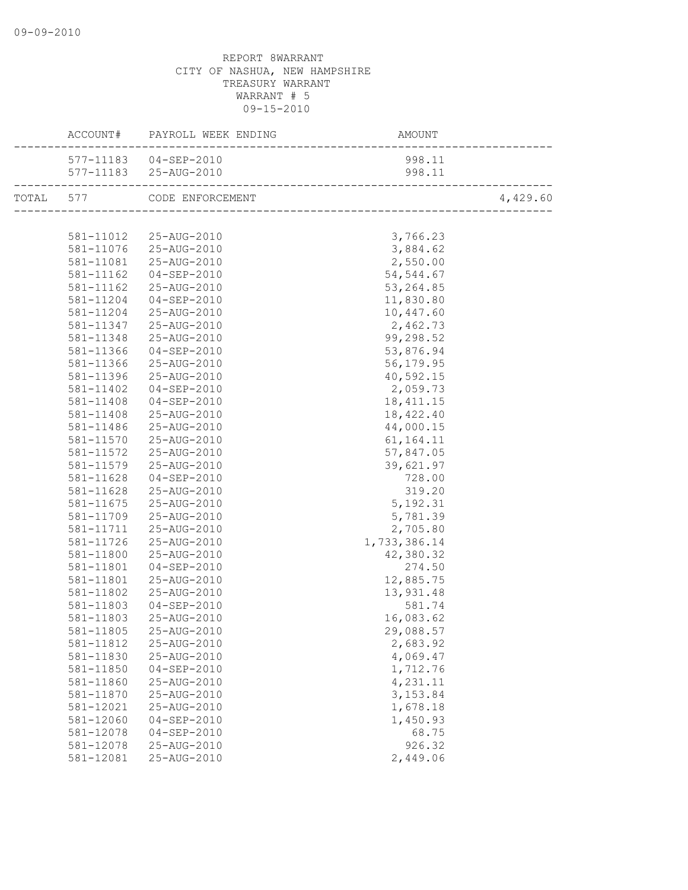|           | ACCOUNT# PAYROLL WEEK ENDING | AMOUNT       |          |
|-----------|------------------------------|--------------|----------|
|           | 577-11183  04-SEP-2010       | 998.11       |          |
|           | 577-11183 25-AUG-2010        | 998.11       |          |
|           | TOTAL 577 CODE ENFORCEMENT   |              | 4,429.60 |
|           |                              |              |          |
|           | 581-11012  25-AUG-2010       | 3,766.23     |          |
|           | 581-11076 25-AUG-2010        | 3,884.62     |          |
|           | 581-11081 25-AUG-2010        | 2,550.00     |          |
| 581-11162 | $04 - SEP - 2010$            | 54, 544.67   |          |
| 581-11162 | 25-AUG-2010                  | 53, 264.85   |          |
| 581-11204 | $04 - SEP - 2010$            | 11,830.80    |          |
| 581-11204 | 25-AUG-2010                  | 10,447.60    |          |
| 581-11347 | 25-AUG-2010                  | 2,462.73     |          |
| 581-11348 | 25-AUG-2010                  | 99,298.52    |          |
| 581-11366 | 04-SEP-2010                  | 53,876.94    |          |
| 581-11366 | 25-AUG-2010                  | 56,179.95    |          |
| 581-11396 | 25-AUG-2010                  | 40,592.15    |          |
| 581-11402 | 04-SEP-2010                  | 2,059.73     |          |
| 581-11408 | 04-SEP-2010                  | 18, 411. 15  |          |
| 581-11408 | 25-AUG-2010                  | 18,422.40    |          |
| 581-11486 | 25-AUG-2010                  | 44,000.15    |          |
| 581-11570 | 25-AUG-2010                  | 61,164.11    |          |
| 581-11572 | 25-AUG-2010                  | 57,847.05    |          |
| 581-11579 | 25-AUG-2010                  | 39,621.97    |          |
| 581-11628 | 04-SEP-2010                  | 728.00       |          |
| 581-11628 | 25-AUG-2010                  | 319.20       |          |
| 581-11675 | 25-AUG-2010                  | 5, 192.31    |          |
| 581-11709 | 25-AUG-2010                  | 5,781.39     |          |
| 581-11711 | 25-AUG-2010                  | 2,705.80     |          |
| 581-11726 | 25-AUG-2010                  | 1,733,386.14 |          |
| 581-11800 | 25-AUG-2010                  | 42,380.32    |          |
| 581-11801 | 04-SEP-2010                  | 274.50       |          |
| 581-11801 | 25-AUG-2010                  | 12,885.75    |          |
| 581-11802 | 25-AUG-2010                  | 13,931.48    |          |
| 581-11803 | 04-SEP-2010                  | 581.74       |          |
| 581-11803 | 25-AUG-2010                  | 16,083.62    |          |
| 581-11805 | 25-AUG-2010                  | 29,088.57    |          |
| 581-11812 | 25-AUG-2010                  | 2,683.92     |          |
| 581-11830 | 25-AUG-2010                  | 4,069.47     |          |
| 581-11850 | $04 - SEP - 2010$            | 1,712.76     |          |
| 581-11860 | 25-AUG-2010                  | 4,231.11     |          |
| 581-11870 | 25-AUG-2010                  | 3, 153.84    |          |
| 581-12021 | 25-AUG-2010                  | 1,678.18     |          |
| 581-12060 | $04 - SEP - 2010$            | 1,450.93     |          |
| 581-12078 | $04 - SEP - 2010$            | 68.75        |          |
| 581-12078 | 25-AUG-2010                  | 926.32       |          |
| 581-12081 | 25-AUG-2010                  | 2,449.06     |          |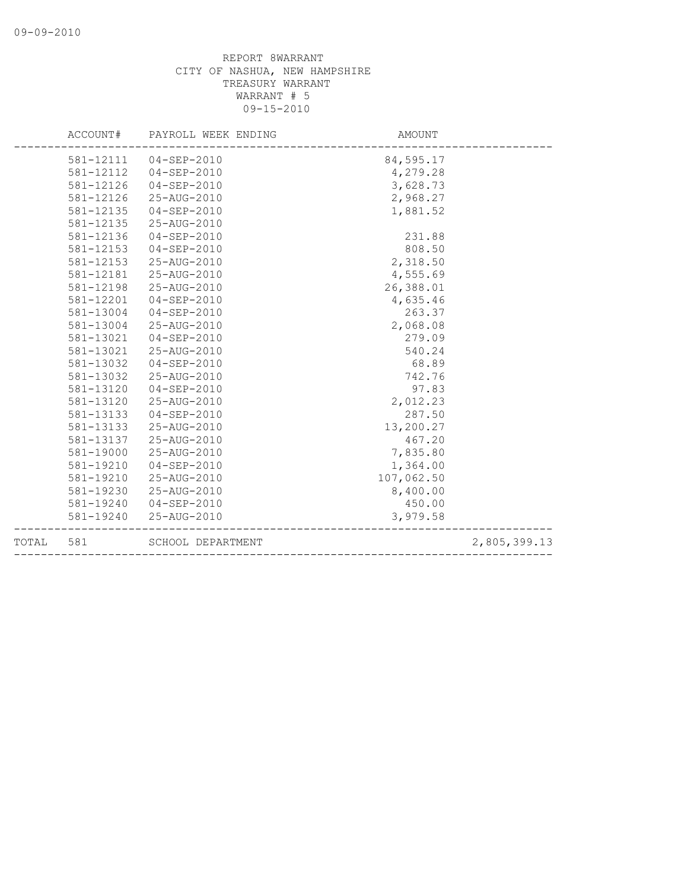| 581-12111  04-SEP-2010<br>84,595.17<br>581-12112<br>4,279.28<br>04-SEP-2010<br>3,628.73<br>581-12126<br>04-SEP-2010<br>581-12126<br>2,968.27<br>25-AUG-2010<br>581-12135<br>$04 - SEP - 2010$<br>1,881.52<br>581-12135<br>25-AUG-2010<br>581-12136<br>231.88<br>$04 - SEP - 2010$<br>808.50<br>581-12153<br>$04 - SEP - 2010$<br>581-12153<br>2,318.50<br>25-AUG-2010<br>581-12181<br>25-AUG-2010<br>4,555.69<br>26,388.01<br>581-12198<br>25-AUG-2010<br>581-12201<br>$04 - SEP - 2010$<br>4,635.46<br>581-13004<br>263.37<br>04-SEP-2010<br>2,068.08<br>581-13004<br>25-AUG-2010<br>581-13021<br>04-SEP-2010<br>279.09<br>581-13021<br>540.24<br>25-AUG-2010<br>581-13032<br>$04 - SEP - 2010$<br>68.89<br>581-13032<br>25-AUG-2010<br>742.76<br>581-13120<br>04-SEP-2010<br>97.83<br>581-13120<br>25-AUG-2010<br>2,012.23<br>287.50<br>581-13133<br>04-SEP-2010<br>13,200.27<br>581-13133<br>25-AUG-2010<br>581-13137<br>25-AUG-2010<br>467.20<br>7,835.80<br>581-19000<br>25-AUG-2010<br>581-19210<br>1,364.00<br>$04 - SEP - 2010$<br>107,062.50<br>581-19210<br>25-AUG-2010<br>8,400.00<br>581-19230<br>25-AUG-2010<br>581-19240<br>04-SEP-2010<br>450.00<br>25-AUG-2010<br>3,979.58<br>581-19240 | ACCOUNT# | PAYROLL WEEK ENDING | AMOUNT |              |
|---------------------------------------------------------------------------------------------------------------------------------------------------------------------------------------------------------------------------------------------------------------------------------------------------------------------------------------------------------------------------------------------------------------------------------------------------------------------------------------------------------------------------------------------------------------------------------------------------------------------------------------------------------------------------------------------------------------------------------------------------------------------------------------------------------------------------------------------------------------------------------------------------------------------------------------------------------------------------------------------------------------------------------------------------------------------------------------------------------------------------------------------------------------------------------------------------------|----------|---------------------|--------|--------------|
|                                                                                                                                                                                                                                                                                                                                                                                                                                                                                                                                                                                                                                                                                                                                                                                                                                                                                                                                                                                                                                                                                                                                                                                                         |          |                     |        |              |
|                                                                                                                                                                                                                                                                                                                                                                                                                                                                                                                                                                                                                                                                                                                                                                                                                                                                                                                                                                                                                                                                                                                                                                                                         |          |                     |        |              |
|                                                                                                                                                                                                                                                                                                                                                                                                                                                                                                                                                                                                                                                                                                                                                                                                                                                                                                                                                                                                                                                                                                                                                                                                         |          |                     |        |              |
|                                                                                                                                                                                                                                                                                                                                                                                                                                                                                                                                                                                                                                                                                                                                                                                                                                                                                                                                                                                                                                                                                                                                                                                                         |          |                     |        |              |
|                                                                                                                                                                                                                                                                                                                                                                                                                                                                                                                                                                                                                                                                                                                                                                                                                                                                                                                                                                                                                                                                                                                                                                                                         |          |                     |        |              |
|                                                                                                                                                                                                                                                                                                                                                                                                                                                                                                                                                                                                                                                                                                                                                                                                                                                                                                                                                                                                                                                                                                                                                                                                         |          |                     |        |              |
|                                                                                                                                                                                                                                                                                                                                                                                                                                                                                                                                                                                                                                                                                                                                                                                                                                                                                                                                                                                                                                                                                                                                                                                                         |          |                     |        |              |
|                                                                                                                                                                                                                                                                                                                                                                                                                                                                                                                                                                                                                                                                                                                                                                                                                                                                                                                                                                                                                                                                                                                                                                                                         |          |                     |        |              |
|                                                                                                                                                                                                                                                                                                                                                                                                                                                                                                                                                                                                                                                                                                                                                                                                                                                                                                                                                                                                                                                                                                                                                                                                         |          |                     |        |              |
|                                                                                                                                                                                                                                                                                                                                                                                                                                                                                                                                                                                                                                                                                                                                                                                                                                                                                                                                                                                                                                                                                                                                                                                                         |          |                     |        |              |
|                                                                                                                                                                                                                                                                                                                                                                                                                                                                                                                                                                                                                                                                                                                                                                                                                                                                                                                                                                                                                                                                                                                                                                                                         |          |                     |        |              |
|                                                                                                                                                                                                                                                                                                                                                                                                                                                                                                                                                                                                                                                                                                                                                                                                                                                                                                                                                                                                                                                                                                                                                                                                         |          |                     |        |              |
|                                                                                                                                                                                                                                                                                                                                                                                                                                                                                                                                                                                                                                                                                                                                                                                                                                                                                                                                                                                                                                                                                                                                                                                                         |          |                     |        |              |
|                                                                                                                                                                                                                                                                                                                                                                                                                                                                                                                                                                                                                                                                                                                                                                                                                                                                                                                                                                                                                                                                                                                                                                                                         |          |                     |        |              |
|                                                                                                                                                                                                                                                                                                                                                                                                                                                                                                                                                                                                                                                                                                                                                                                                                                                                                                                                                                                                                                                                                                                                                                                                         |          |                     |        |              |
|                                                                                                                                                                                                                                                                                                                                                                                                                                                                                                                                                                                                                                                                                                                                                                                                                                                                                                                                                                                                                                                                                                                                                                                                         |          |                     |        |              |
|                                                                                                                                                                                                                                                                                                                                                                                                                                                                                                                                                                                                                                                                                                                                                                                                                                                                                                                                                                                                                                                                                                                                                                                                         |          |                     |        |              |
|                                                                                                                                                                                                                                                                                                                                                                                                                                                                                                                                                                                                                                                                                                                                                                                                                                                                                                                                                                                                                                                                                                                                                                                                         |          |                     |        |              |
|                                                                                                                                                                                                                                                                                                                                                                                                                                                                                                                                                                                                                                                                                                                                                                                                                                                                                                                                                                                                                                                                                                                                                                                                         |          |                     |        |              |
|                                                                                                                                                                                                                                                                                                                                                                                                                                                                                                                                                                                                                                                                                                                                                                                                                                                                                                                                                                                                                                                                                                                                                                                                         |          |                     |        |              |
|                                                                                                                                                                                                                                                                                                                                                                                                                                                                                                                                                                                                                                                                                                                                                                                                                                                                                                                                                                                                                                                                                                                                                                                                         |          |                     |        |              |
|                                                                                                                                                                                                                                                                                                                                                                                                                                                                                                                                                                                                                                                                                                                                                                                                                                                                                                                                                                                                                                                                                                                                                                                                         |          |                     |        |              |
|                                                                                                                                                                                                                                                                                                                                                                                                                                                                                                                                                                                                                                                                                                                                                                                                                                                                                                                                                                                                                                                                                                                                                                                                         |          |                     |        |              |
|                                                                                                                                                                                                                                                                                                                                                                                                                                                                                                                                                                                                                                                                                                                                                                                                                                                                                                                                                                                                                                                                                                                                                                                                         |          |                     |        |              |
|                                                                                                                                                                                                                                                                                                                                                                                                                                                                                                                                                                                                                                                                                                                                                                                                                                                                                                                                                                                                                                                                                                                                                                                                         |          |                     |        |              |
|                                                                                                                                                                                                                                                                                                                                                                                                                                                                                                                                                                                                                                                                                                                                                                                                                                                                                                                                                                                                                                                                                                                                                                                                         |          |                     |        |              |
|                                                                                                                                                                                                                                                                                                                                                                                                                                                                                                                                                                                                                                                                                                                                                                                                                                                                                                                                                                                                                                                                                                                                                                                                         |          |                     |        |              |
|                                                                                                                                                                                                                                                                                                                                                                                                                                                                                                                                                                                                                                                                                                                                                                                                                                                                                                                                                                                                                                                                                                                                                                                                         |          |                     |        |              |
|                                                                                                                                                                                                                                                                                                                                                                                                                                                                                                                                                                                                                                                                                                                                                                                                                                                                                                                                                                                                                                                                                                                                                                                                         |          |                     |        |              |
| SCHOOL DEPARTMENT<br>TOTAL<br>581                                                                                                                                                                                                                                                                                                                                                                                                                                                                                                                                                                                                                                                                                                                                                                                                                                                                                                                                                                                                                                                                                                                                                                       |          |                     |        | 2,805,399.13 |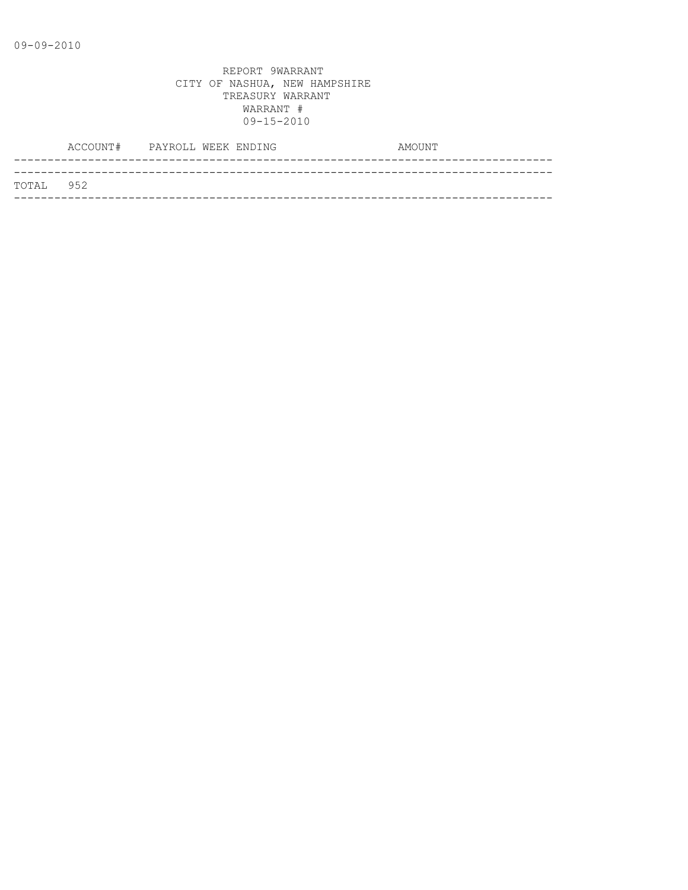|           | ACCOUNT# PAYROLL WEEK ENDING |  |  | AMOUNT |
|-----------|------------------------------|--|--|--------|
|           |                              |  |  |        |
| TOTAL 952 |                              |  |  |        |
|           |                              |  |  |        |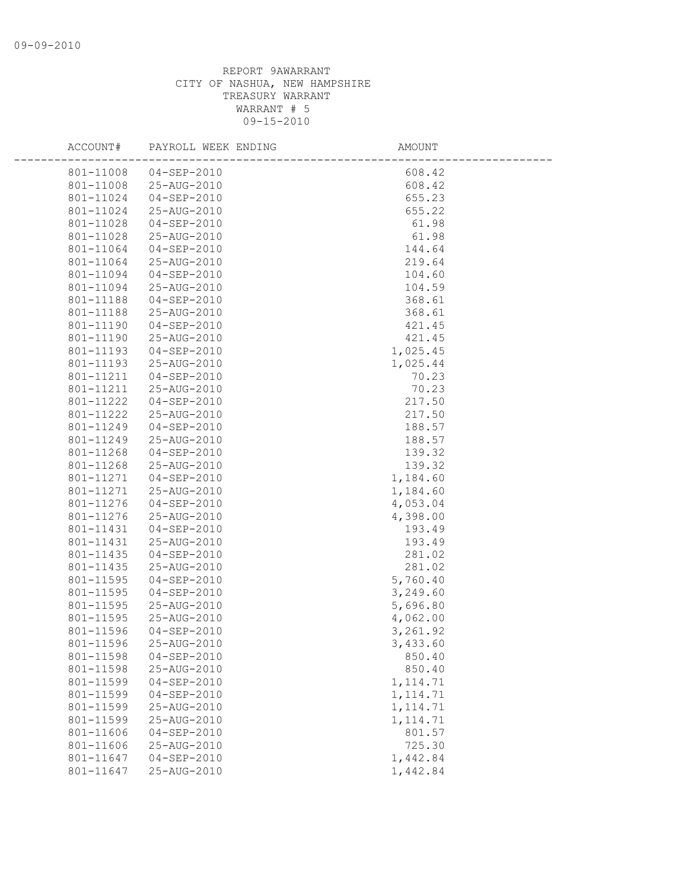| ACCOUNT#  | PAYROLL WEEK ENDING   | AMOUNT    |  |
|-----------|-----------------------|-----------|--|
| 801-11008 | $04 - SEP - 2010$     | 608.42    |  |
| 801-11008 | 25-AUG-2010           | 608.42    |  |
| 801-11024 | $04 - SEP - 2010$     | 655.23    |  |
| 801-11024 | 25-AUG-2010           | 655.22    |  |
| 801-11028 | 04-SEP-2010           | 61.98     |  |
| 801-11028 | 25-AUG-2010           | 61.98     |  |
| 801-11064 | 04-SEP-2010           | 144.64    |  |
| 801-11064 | 25-AUG-2010           | 219.64    |  |
| 801-11094 | 04-SEP-2010           | 104.60    |  |
| 801-11094 | 25-AUG-2010           | 104.59    |  |
| 801-11188 | 04-SEP-2010           | 368.61    |  |
| 801-11188 | 25-AUG-2010           | 368.61    |  |
| 801-11190 | 04-SEP-2010           | 421.45    |  |
| 801-11190 | 25-AUG-2010           | 421.45    |  |
| 801-11193 | 04-SEP-2010           | 1,025.45  |  |
| 801-11193 | 25-AUG-2010           | 1,025.44  |  |
| 801-11211 | 04-SEP-2010           | 70.23     |  |
| 801-11211 | 25-AUG-2010           | 70.23     |  |
| 801-11222 | 04-SEP-2010           | 217.50    |  |
| 801-11222 | 25-AUG-2010           | 217.50    |  |
| 801-11249 | 04-SEP-2010           | 188.57    |  |
| 801-11249 | 25-AUG-2010           | 188.57    |  |
| 801-11268 | 04-SEP-2010           | 139.32    |  |
| 801-11268 | 25-AUG-2010           | 139.32    |  |
| 801-11271 | 04-SEP-2010           | 1,184.60  |  |
| 801-11271 | 25-AUG-2010           | 1,184.60  |  |
| 801-11276 | 04-SEP-2010           | 4,053.04  |  |
| 801-11276 | 25-AUG-2010           | 4,398.00  |  |
| 801-11431 | 04-SEP-2010           | 193.49    |  |
| 801-11431 | 25-AUG-2010           | 193.49    |  |
| 801-11435 | 04-SEP-2010           | 281.02    |  |
| 801-11435 | 25-AUG-2010           | 281.02    |  |
| 801-11595 | 04-SEP-2010           | 5,760.40  |  |
| 801-11595 | $04 - SEP - 2010$     | 3,249.60  |  |
| 801-11595 | 25-AUG-2010           | 5,696.80  |  |
| 801-11595 | 25-AUG-2010           | 4,062.00  |  |
| 801-11596 | $04 - SEP - 2010$     | 3,261.92  |  |
|           | 801-11596 25-AUG-2010 | 3,433.60  |  |
| 801-11598 | $04 - SEP - 2010$     | 850.40    |  |
| 801-11598 | 25-AUG-2010           | 850.40    |  |
| 801-11599 | $04 - SEP - 2010$     | 1, 114.71 |  |
| 801-11599 | $04 - SEP - 2010$     | 1, 114.71 |  |
| 801-11599 | 25-AUG-2010           | 1, 114.71 |  |
| 801-11599 | 25-AUG-2010           | 1, 114.71 |  |
| 801-11606 | $04 - SEP - 2010$     | 801.57    |  |
| 801-11606 | 25-AUG-2010           | 725.30    |  |
| 801-11647 | $04 - SEP - 2010$     | 1,442.84  |  |
| 801-11647 | 25-AUG-2010           | 1,442.84  |  |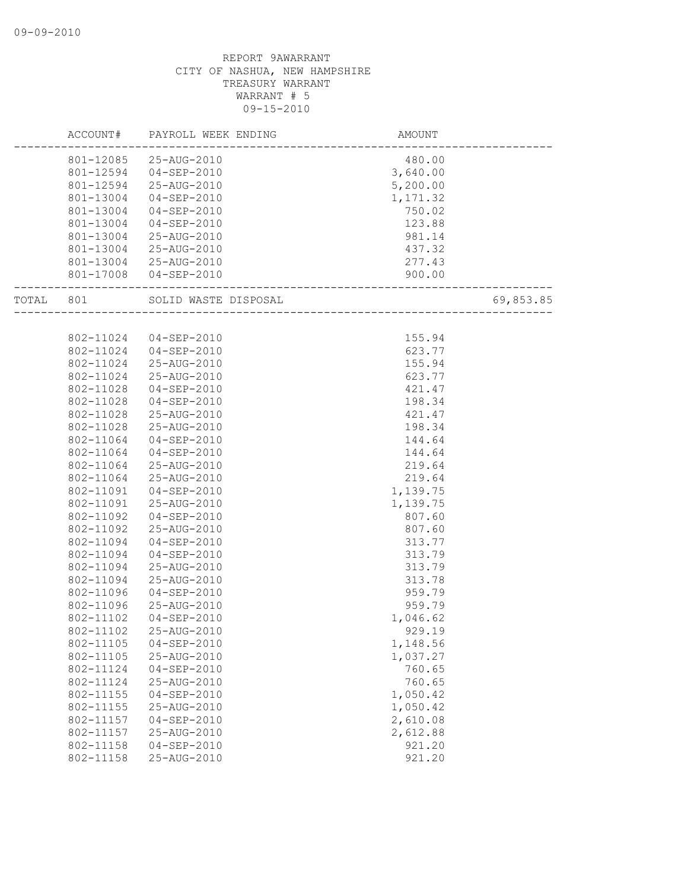|       | ACCOUNT#  | PAYROLL WEEK ENDING   | AMOUNT   |           |
|-------|-----------|-----------------------|----------|-----------|
|       | 801-12085 | 25-AUG-2010           | 480.00   |           |
|       | 801-12594 | 04-SEP-2010           | 3,640.00 |           |
|       | 801-12594 | 25-AUG-2010           | 5,200.00 |           |
|       | 801-13004 | $04 - SEP - 2010$     | 1,171.32 |           |
|       | 801-13004 | 04-SEP-2010           | 750.02   |           |
|       | 801-13004 | $04 - SEP - 2010$     | 123.88   |           |
|       | 801-13004 | 25-AUG-2010           | 981.14   |           |
|       | 801-13004 | 25-AUG-2010           | 437.32   |           |
|       | 801-13004 | 25-AUG-2010           | 277.43   |           |
|       |           | 801-17008 04-SEP-2010 | 900.00   |           |
|       |           |                       |          |           |
| TOTAL | 801       | SOLID WASTE DISPOSAL  |          | 69,853.85 |
|       |           |                       |          |           |
|       | 802-11024 | 04-SEP-2010           | 155.94   |           |
|       | 802-11024 | 04-SEP-2010           | 623.77   |           |
|       | 802-11024 | 25-AUG-2010           | 155.94   |           |
|       | 802-11024 | 25-AUG-2010           | 623.77   |           |
|       | 802-11028 | $04 - SEP - 2010$     | 421.47   |           |
|       | 802-11028 | $04 - SEP - 2010$     | 198.34   |           |
|       | 802-11028 | 25-AUG-2010           | 421.47   |           |
|       | 802-11028 | 25-AUG-2010           | 198.34   |           |
|       | 802-11064 | 04-SEP-2010           | 144.64   |           |
|       | 802-11064 | $04 - SEP - 2010$     | 144.64   |           |
|       | 802-11064 | 25-AUG-2010           | 219.64   |           |
|       | 802-11064 | 25-AUG-2010           | 219.64   |           |
|       | 802-11091 | $04 - SEP - 2010$     | 1,139.75 |           |
|       | 802-11091 | 25-AUG-2010           | 1,139.75 |           |
|       | 802-11092 | $04 - SEP - 2010$     | 807.60   |           |
|       | 802-11092 | 25-AUG-2010           | 807.60   |           |
|       | 802-11094 | $04 - SEP - 2010$     | 313.77   |           |
|       | 802-11094 | $04 - SEP - 2010$     | 313.79   |           |
|       | 802-11094 | 25-AUG-2010           | 313.79   |           |
|       | 802-11094 | 25-AUG-2010           | 313.78   |           |
|       | 802-11096 | $04 - SEP - 2010$     | 959.79   |           |
|       | 802-11096 | 25-AUG-2010           | 959.79   |           |
|       | 802-11102 | $04 - SEP - 2010$     | 1,046.62 |           |
|       | 802-11102 | 25-AUG-2010           | 929.19   |           |
|       | 802-11105 | $04 - SEP - 2010$     | 1,148.56 |           |
|       | 802-11105 | 25-AUG-2010           | 1,037.27 |           |
|       | 802-11124 | $04 - SEP - 2010$     | 760.65   |           |
|       | 802-11124 | 25-AUG-2010           | 760.65   |           |
|       | 802-11155 | $04 - SEP - 2010$     | 1,050.42 |           |
|       | 802-11155 | 25-AUG-2010           | 1,050.42 |           |
|       | 802-11157 | $04 - SEP - 2010$     | 2,610.08 |           |
|       | 802-11157 | 25-AUG-2010           | 2,612.88 |           |
|       | 802-11158 | $04 - SEP - 2010$     | 921.20   |           |
|       | 802-11158 | 25-AUG-2010           | 921.20   |           |
|       |           |                       |          |           |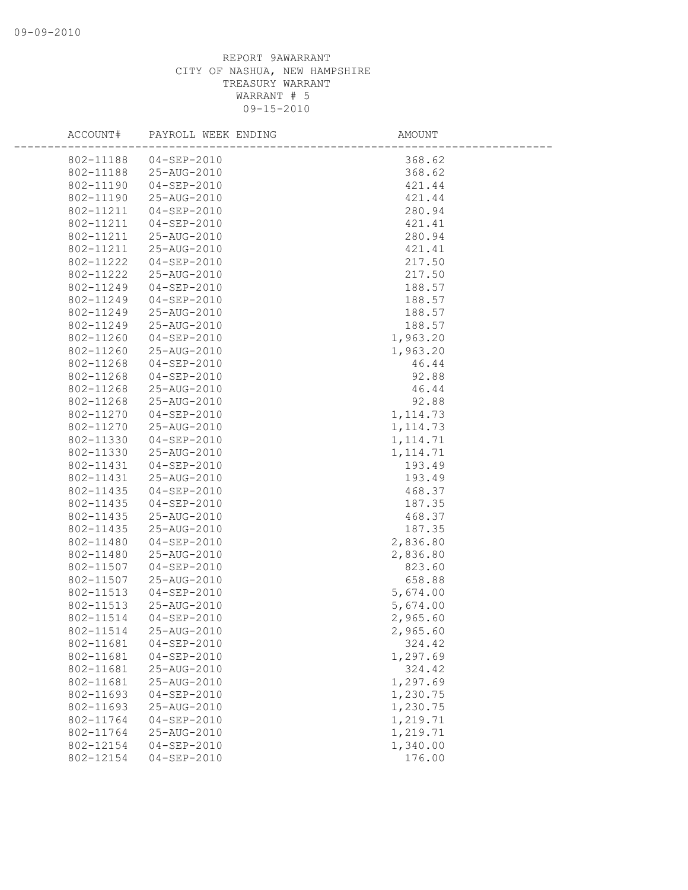| ACCOUNT#  | PAYROLL WEEK ENDING | AMOUNT    |
|-----------|---------------------|-----------|
| 802-11188 | 04-SEP-2010         | 368.62    |
| 802-11188 | 25-AUG-2010         | 368.62    |
| 802-11190 | $04 - SEP - 2010$   | 421.44    |
| 802-11190 | 25-AUG-2010         | 421.44    |
| 802-11211 | 04-SEP-2010         | 280.94    |
| 802-11211 | $04 - SEP - 2010$   | 421.41    |
| 802-11211 | 25-AUG-2010         | 280.94    |
| 802-11211 | 25-AUG-2010         | 421.41    |
| 802-11222 | 04-SEP-2010         | 217.50    |
| 802-11222 | 25-AUG-2010         | 217.50    |
| 802-11249 | 04-SEP-2010         | 188.57    |
| 802-11249 | 04-SEP-2010         | 188.57    |
| 802-11249 | 25-AUG-2010         | 188.57    |
| 802-11249 | 25-AUG-2010         | 188.57    |
| 802-11260 | $04 - SEP - 2010$   | 1,963.20  |
| 802-11260 | 25-AUG-2010         | 1,963.20  |
| 802-11268 | $04 - SEP - 2010$   | 46.44     |
| 802-11268 | 04-SEP-2010         | 92.88     |
| 802-11268 | 25-AUG-2010         | 46.44     |
| 802-11268 | 25-AUG-2010         | 92.88     |
| 802-11270 | $04 - SEP - 2010$   | 1, 114.73 |
| 802-11270 | 25-AUG-2010         | 1, 114.73 |
| 802-11330 | 04-SEP-2010         | 1, 114.71 |
| 802-11330 | 25-AUG-2010         | 1, 114.71 |
| 802-11431 | $04 - SEP - 2010$   | 193.49    |
| 802-11431 | 25-AUG-2010         | 193.49    |
| 802-11435 | $04 - SEP - 2010$   | 468.37    |
| 802-11435 | 04-SEP-2010         | 187.35    |
| 802-11435 | 25-AUG-2010         | 468.37    |
| 802-11435 | 25-AUG-2010         | 187.35    |
| 802-11480 | $04 - SEP - 2010$   | 2,836.80  |
| 802-11480 | 25-AUG-2010         | 2,836.80  |
| 802-11507 | $04 - SEP - 2010$   | 823.60    |
| 802-11507 | 25-AUG-2010         | 658.88    |
| 802-11513 | $04 - SEP - 2010$   | 5,674.00  |
| 802-11513 | 25-AUG-2010         | 5,674.00  |
| 802-11514 | $04 - SEP - 2010$   | 2,965.60  |
| 802-11514 | 25-AUG-2010         | 2,965.60  |
| 802-11681 | $04 - SEP - 2010$   | 324.42    |
| 802-11681 | $04 - SEP - 2010$   | 1,297.69  |
| 802-11681 | 25-AUG-2010         | 324.42    |
| 802-11681 | 25-AUG-2010         | 1,297.69  |
| 802-11693 | $04 - SEP - 2010$   | 1,230.75  |
| 802-11693 | 25-AUG-2010         | 1,230.75  |
| 802-11764 | $04 - SEP - 2010$   | 1,219.71  |
| 802-11764 | 25-AUG-2010         | 1,219.71  |
| 802-12154 | $04 - SEP - 2010$   | 1,340.00  |
| 802-12154 | $04 - SEP - 2010$   | 176.00    |
|           |                     |           |